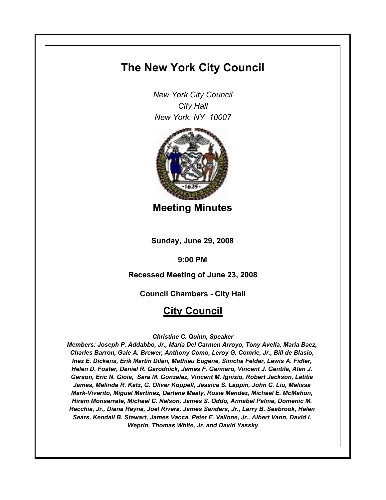# **The New York City Council**

*New York City Council City Hall New York, NY 10007*



**Meeting Minutes**

**Sunday, June 29, 2008**

**9:00 PM**

**Recessed Meeting of June 23, 2008**

**Council Chambers - City Hall**

# **City Council**

### *Christine C. Quinn, Speaker*

*Members: Joseph P. Addabbo, Jr., Maria Del Carmen Arroyo, Tony Avella, Maria Baez, Charles Barron, Gale A. Brewer, Anthony Como, Leroy G. Comrie, Jr., Bill de Blasio, Inez E. Dickens, Erik Martin Dilan, Mathieu Eugene, Simcha Felder, Lewis A. Fidler, Helen D. Foster, Daniel R. Garodnick, James F. Gennaro, Vincent J. Gentile, Alan J. Gerson, Eric N. Gioia, Sara M. Gonzalez, Vincent M. Ignizio, Robert Jackson, Letitia James, Melinda R. Katz, G. Oliver Koppell, Jessica S. Lappin, John C. Liu, Melissa Mark-Viverito, Miguel Martinez, Darlene Mealy, Rosie Mendez, Michael E. McMahon, Hiram Monserrate, Michael C. Nelson, James S. Oddo, Annabel Palma, Domenic M. Recchia, Jr., Diana Reyna, Joel Rivera, James Sanders, Jr., Larry B. Seabrook, Helen Sears, Kendall B. Stewart, James Vacca, Peter F. Vallone, Jr., Albert Vann, David I. Weprin, Thomas White, Jr. and David Yassky*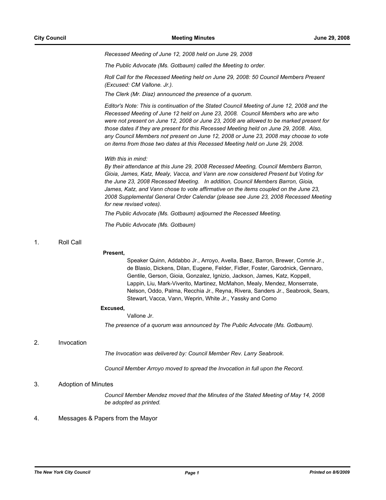*Recessed Meeting of June 12, 2008 held on June 29, 2008*

*The Public Advocate (Ms. Gotbaum) called the Meeting to order.*

*Roll Call for the Recessed Meeting held on June 29, 2008: 50 Council Members Present (Excused: CM Vallone. Jr.).*

*The Clerk (Mr. Diaz) announced the presence of a quorum.*

*Editor's Note: This is continuation of the Stated Council Meeting of June 12, 2008 and the Recessed Meeting of June 12 held on June 23, 2008. Council Members who are who were not present on June 12, 2008 or June 23, 2008 are allowed to be marked present for those dates if they are present for this Recessed Meeting held on June 29, 2008. Also, any Council Members not present on June 12, 2008 or June 23, 2008 may choose to vote on items from those two dates at this Recessed Meeting held on June 29, 2008.*

#### *With this in mind:*

*By their attendance at this June 29, 2008 Recessed Meeting, Council Members Barron, Gioia, James, Katz, Mealy, Vacca, and Vann are now considered Present but Voting for the June 23, 2008 Recessed Meeting. In addition, Council Members Barron, Gioia, James, Katz, and Vann chose to vote affirmative on the items coupled on the June 23, 2008 Supplemental General Order Calendar (please see June 23, 2008 Recessed Meeting for new revised votes).*

*The Public Advocate (Ms. Gotbaum) adjourned the Recessed Meeting.*

*The Public Advocate (Ms. Gotbaum)*

### 1. Roll Call

#### **Present,**

Speaker Quinn, Addabbo Jr., Arroyo, Avella, Baez, Barron, Brewer, Comrie Jr., de Blasio, Dickens, Dilan, Eugene, Felder, Fidler, Foster, Garodnick, Gennaro, Gentile, Gerson, Gioia, Gonzalez, Ignizio, Jackson, James, Katz, Koppell, Lappin, Liu, Mark-Viverito, Martinez, McMahon, Mealy, Mendez, Monserrate, Nelson, Oddo, Palma, Recchia Jr., Reyna, Rivera, Sanders Jr., Seabrook, Sears, Stewart, Vacca, Vann, Weprin, White Jr., Yassky and Como

#### **Excused,**

#### Vallone Jr.

*The presence of a quorum was announced by The Public Advocate (Ms. Gotbaum).*

### 2. Invocation

*The Invocation was delivered by: Council Member Rev. Larry Seabrook.*

*Council Member Arroyo moved to spread the Invocation in full upon the Record.*

### 3. Adoption of Minutes

*Council Member Mendez moved that the Minutes of the Stated Meeting of May 14, 2008 be adopted as printed.*

#### 4. Messages & Papers from the Mayor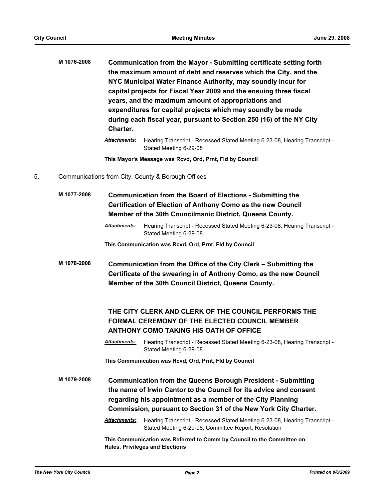| M 1076-2008 | Communication from the Mayor - Submitting certificate setting forth  |
|-------------|----------------------------------------------------------------------|
|             | the maximum amount of debt and reserves which the City, and the      |
|             | NYC Municipal Water Finance Authority, may soundly incur for         |
|             | capital projects for Fiscal Year 2009 and the ensuing three fiscal   |
|             | years, and the maximum amount of appropriations and                  |
|             | expenditures for capital projects which may soundly be made          |
|             | during each fiscal year, pursuant to Section 250 (16) of the NY City |
|             | Charter.                                                             |
|             |                                                                      |

*Attachments:* Hearing Transcript - Recessed Stated Meeting 6-23-08, Hearing Transcript - Stated Meeting 6-29-08

**This Mayor's Message was Rcvd, Ord, Prnt, Fld by Council**

5. Communications from City, County & Borough Offices

| M 1077-2008 | <b>Communication from the Board of Elections - Submitting the</b><br><b>Certification of Election of Anthony Como as the new Council</b><br>Member of the 30th Councilmanic District, Queens County. |                                                                                                                                                                                                                                                                             |  |
|-------------|------------------------------------------------------------------------------------------------------------------------------------------------------------------------------------------------------|-----------------------------------------------------------------------------------------------------------------------------------------------------------------------------------------------------------------------------------------------------------------------------|--|
|             | <b>Attachments:</b>                                                                                                                                                                                  | Hearing Transcript - Recessed Stated Meeting 6-23-08, Hearing Transcript -<br>Stated Meeting 6-29-08                                                                                                                                                                        |  |
|             |                                                                                                                                                                                                      | This Communication was Rcvd, Ord, Prnt, Fld by Council                                                                                                                                                                                                                      |  |
| M 1078-2008 |                                                                                                                                                                                                      | Communication from the Office of the City Clerk - Submitting the<br>Certificate of the swearing in of Anthony Como, as the new Council<br>Member of the 30th Council District, Queens County.                                                                               |  |
|             |                                                                                                                                                                                                      | THE CITY CLERK AND CLERK OF THE COUNCIL PERFORMS THE<br><b>FORMAL CEREMONY OF THE ELECTED COUNCIL MEMBER</b><br><b>ANTHONY COMO TAKING HIS OATH OF OFFICE</b>                                                                                                               |  |
|             | <b>Attachments:</b>                                                                                                                                                                                  | Hearing Transcript - Recessed Stated Meeting 6-23-08, Hearing Transcript -<br>Stated Meeting 6-29-08                                                                                                                                                                        |  |
|             |                                                                                                                                                                                                      | This Communication was Rcvd, Ord, Prnt, Fld by Council                                                                                                                                                                                                                      |  |
| M 1079-2008 |                                                                                                                                                                                                      | <b>Communication from the Queens Borough President - Submitting</b><br>the name of Irwin Cantor to the Council for its advice and consent<br>regarding his appointment as a member of the City Planning<br>Commission, pursuant to Section 31 of the New York City Charter. |  |
|             | <b>Attachments:</b>                                                                                                                                                                                  | Hearing Transcript - Recessed Stated Meeting 6-23-08, Hearing Transcript -<br>Stated Meeting 6-29-08, Committee Report, Resolution                                                                                                                                          |  |
|             |                                                                                                                                                                                                      | This Communication was Referred to Comm by Council to the Committee on<br><b>Rules, Privileges and Elections</b>                                                                                                                                                            |  |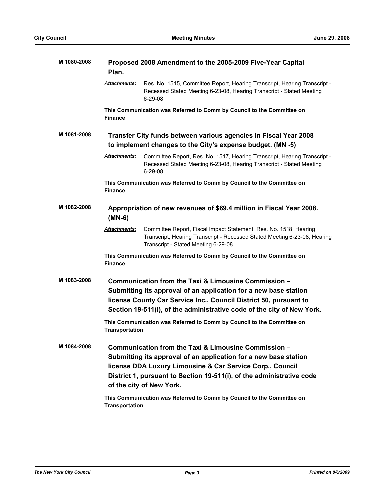| M 1080-2008 | Proposed 2008 Amendment to the 2005-2009 Five-Year Capital<br>Plan.              |                                                                                                                                                                                                                                                                                            |  |
|-------------|----------------------------------------------------------------------------------|--------------------------------------------------------------------------------------------------------------------------------------------------------------------------------------------------------------------------------------------------------------------------------------------|--|
|             | <b>Attachments:</b>                                                              | Res. No. 1515, Committee Report, Hearing Transcript, Hearing Transcript -<br>Recessed Stated Meeting 6-23-08, Hearing Transcript - Stated Meeting<br>$6 - 29 - 08$                                                                                                                         |  |
|             | <b>Finance</b>                                                                   | This Communication was Referred to Comm by Council to the Committee on                                                                                                                                                                                                                     |  |
| M 1081-2008 |                                                                                  | Transfer City funds between various agencies in Fiscal Year 2008<br>to implement changes to the City's expense budget. (MN -5)                                                                                                                                                             |  |
|             | Attachments:                                                                     | Committee Report, Res. No. 1517, Hearing Transcript, Hearing Transcript -<br>Recessed Stated Meeting 6-23-08, Hearing Transcript - Stated Meeting<br>$6 - 29 - 08$                                                                                                                         |  |
|             | <b>Finance</b>                                                                   | This Communication was Referred to Comm by Council to the Committee on                                                                                                                                                                                                                     |  |
| M 1082-2008 | Appropriation of new revenues of \$69.4 million in Fiscal Year 2008.<br>$(MN-6)$ |                                                                                                                                                                                                                                                                                            |  |
|             | <u>Attachments:</u>                                                              | Committee Report, Fiscal Impact Statement, Res. No. 1518, Hearing<br>Transcript, Hearing Transcript - Recessed Stated Meeting 6-23-08, Hearing<br>Transcript - Stated Meeting 6-29-08                                                                                                      |  |
|             | <b>Finance</b>                                                                   | This Communication was Referred to Comm by Council to the Committee on                                                                                                                                                                                                                     |  |
| M 1083-2008 |                                                                                  | Communication from the Taxi & Limousine Commission -<br>Submitting its approval of an application for a new base station<br>license County Car Service Inc., Council District 50, pursuant to<br>Section 19-511(i), of the administrative code of the city of New York.                    |  |
|             | <b>Transportation</b>                                                            | This Communication was Referred to Comm by Council to the Committee on                                                                                                                                                                                                                     |  |
| M 1084-2008 |                                                                                  | Communication from the Taxi & Limousine Commission -<br>Submitting its approval of an application for a new base station<br>license DDA Luxury Limousine & Car Service Corp., Council<br>District 1, pursuant to Section 19-511(i), of the administrative code<br>of the city of New York. |  |
|             | <b>Transportation</b>                                                            | This Communication was Referred to Comm by Council to the Committee on                                                                                                                                                                                                                     |  |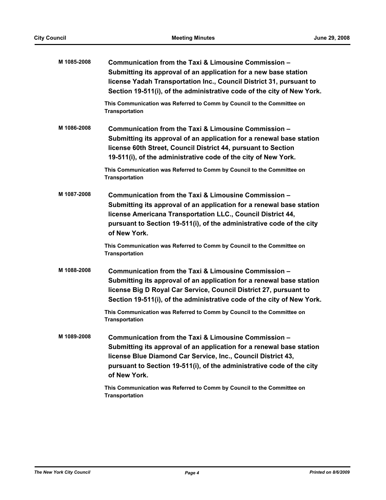| M 1085-2008 | Communication from the Taxi & Limousine Commission -<br>Submitting its approval of an application for a new base station<br>license Yadah Transportation Inc., Council District 31, pursuant to<br>Section 19-511(i), of the administrative code of the city of New York.                                                                             |
|-------------|-------------------------------------------------------------------------------------------------------------------------------------------------------------------------------------------------------------------------------------------------------------------------------------------------------------------------------------------------------|
|             | This Communication was Referred to Comm by Council to the Committee on<br>Transportation                                                                                                                                                                                                                                                              |
| M 1086-2008 | Communication from the Taxi & Limousine Commission -<br>Submitting its approval of an application for a renewal base station<br>license 60th Street, Council District 44, pursuant to Section<br>19-511(i), of the administrative code of the city of New York.                                                                                       |
|             | This Communication was Referred to Comm by Council to the Committee on<br><b>Transportation</b>                                                                                                                                                                                                                                                       |
| M 1087-2008 | Communication from the Taxi & Limousine Commission -<br>Submitting its approval of an application for a renewal base station<br>license Americana Transportation LLC., Council District 44,<br>pursuant to Section 19-511(i), of the administrative code of the city<br>of New York.                                                                  |
|             | This Communication was Referred to Comm by Council to the Committee on<br><b>Transportation</b>                                                                                                                                                                                                                                                       |
| M 1088-2008 | Communication from the Taxi & Limousine Commission -<br>Submitting its approval of an application for a renewal base station<br>license Big D Royal Car Service, Council District 27, pursuant to<br>Section 19-511(i), of the administrative code of the city of New York.<br>This Communication was Referred to Comm by Council to the Committee on |
|             | <b>Transportation</b>                                                                                                                                                                                                                                                                                                                                 |
| M 1089-2008 | Communication from the Taxi & Limousine Commission -<br>Submitting its approval of an application for a renewal base station<br>license Blue Diamond Car Service, Inc., Council District 43,<br>pursuant to Section 19-511(i), of the administrative code of the city<br>of New York.                                                                 |
|             | This Communication was Referred to Comm by Council to the Committee on<br><b>Transportation</b>                                                                                                                                                                                                                                                       |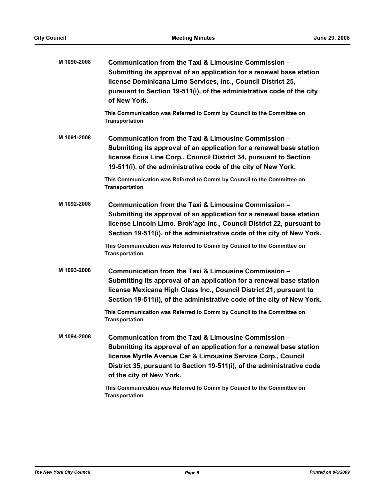| M 1090-2008 | Communication from the Taxi & Limousine Commission -                                                                                                                                                                                                                                               |
|-------------|----------------------------------------------------------------------------------------------------------------------------------------------------------------------------------------------------------------------------------------------------------------------------------------------------|
|             | Submitting its approval of an application for a renewal base station<br>license Dominicana Limo Services, Inc., Council District 25,<br>pursuant to Section 19-511(i), of the administrative code of the city                                                                                      |
|             | of New York.                                                                                                                                                                                                                                                                                       |
|             | This Communication was Referred to Comm by Council to the Committee on<br><b>Transportation</b>                                                                                                                                                                                                    |
| M 1091-2008 | Communication from the Taxi & Limousine Commission -<br>Submitting its approval of an application for a renewal base station<br>license Ecua Line Corp., Council District 34, pursuant to Section<br>19-511(i), of the administrative code of the city of New York.                                |
|             | This Communication was Referred to Comm by Council to the Committee on<br><b>Transportation</b>                                                                                                                                                                                                    |
| M 1092-2008 | Communication from the Taxi & Limousine Commission -<br>Submitting its approval of an application for a renewal base station<br>license Lincoln Limo. Brok'age Inc., Council District 22, pursuant to<br>Section 19-511(i), of the administrative code of the city of New York.                    |
|             | This Communication was Referred to Comm by Council to the Committee on<br><b>Transportation</b>                                                                                                                                                                                                    |
| M 1093-2008 | Communication from the Taxi & Limousine Commission -<br>Submitting its approval of an application for a renewal base station<br>license Mexicana High Class Inc., Council District 21, pursuant to<br>Section 19-511(i), of the administrative code of the city of New York.                       |
|             | This Communication was Referred to Comm by Council to the Committee on<br><b>Transportation</b>                                                                                                                                                                                                    |
| M 1094-2008 | Communication from the Taxi & Limousine Commission -<br>Submitting its approval of an application for a renewal base station<br>license Myrtle Avenue Car & Limousine Service Corp., Council<br>District 35, pursuant to Section 19-511(i), of the administrative code<br>of the city of New York. |
|             | This Communication was Referred to Comm by Council to the Committee on<br><b>Transportation</b>                                                                                                                                                                                                    |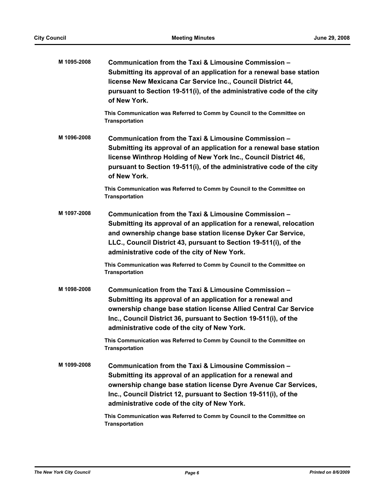| M 1095-2008 | Communication from the Taxi & Limousine Commission -<br>Submitting its approval of an application for a renewal base station<br>license New Mexicana Car Service Inc., Council District 44,<br>pursuant to Section 19-511(i), of the administrative code of the city<br>of New York.                            |
|-------------|-----------------------------------------------------------------------------------------------------------------------------------------------------------------------------------------------------------------------------------------------------------------------------------------------------------------|
|             | This Communication was Referred to Comm by Council to the Committee on<br><b>Transportation</b>                                                                                                                                                                                                                 |
| M 1096-2008 | Communication from the Taxi & Limousine Commission -<br>Submitting its approval of an application for a renewal base station<br>license Winthrop Holding of New York Inc., Council District 46,<br>pursuant to Section 19-511(i), of the administrative code of the city<br>of New York.                        |
|             | This Communication was Referred to Comm by Council to the Committee on<br><b>Transportation</b>                                                                                                                                                                                                                 |
| M 1097-2008 | Communication from the Taxi & Limousine Commission -<br>Submitting its approval of an application for a renewal, relocation<br>and ownership change base station license Dyker Car Service,<br>LLC., Council District 43, pursuant to Section 19-511(i), of the<br>administrative code of the city of New York. |
|             | This Communication was Referred to Comm by Council to the Committee on<br><b>Transportation</b>                                                                                                                                                                                                                 |
| M 1098-2008 | Communication from the Taxi & Limousine Commission -<br>Submitting its approval of an application for a renewal and<br>ownership change base station license Allied Central Car Service<br>Inc., Council District 36, pursuant to Section 19-511(i), of the<br>administrative code of the city of New York.     |
|             | This Communication was Referred to Comm by Council to the Committee on<br><b>Transportation</b>                                                                                                                                                                                                                 |
| M 1099-2008 | Communication from the Taxi & Limousine Commission -<br>Submitting its approval of an application for a renewal and<br>ownership change base station license Dyre Avenue Car Services,<br>Inc., Council District 12, pursuant to Section 19-511(i), of the<br>administrative code of the city of New York.      |
|             | This Communication was Referred to Comm by Council to the Committee on<br><b>Transportation</b>                                                                                                                                                                                                                 |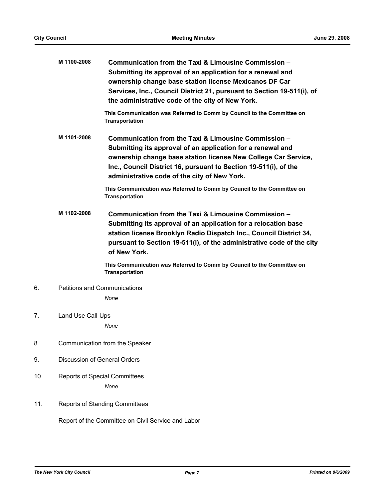|                         | M 1100-2008                                  | Communication from the Taxi & Limousine Commission -<br>Submitting its approval of an application for a renewal and<br>ownership change base station license Mexicanos DF Car<br>Services, Inc., Council District 21, pursuant to Section 19-511(i), of<br>the administrative code of the city of New York. |  |
|-------------------------|----------------------------------------------|-------------------------------------------------------------------------------------------------------------------------------------------------------------------------------------------------------------------------------------------------------------------------------------------------------------|--|
|                         |                                              | This Communication was Referred to Comm by Council to the Committee on<br><b>Transportation</b>                                                                                                                                                                                                             |  |
|                         | M 1101-2008                                  | Communication from the Taxi & Limousine Commission -<br>Submitting its approval of an application for a renewal and<br>ownership change base station license New College Car Service,<br>Inc., Council District 16, pursuant to Section 19-511(i), of the<br>administrative code of the city of New York.   |  |
|                         |                                              | This Communication was Referred to Comm by Council to the Committee on<br><b>Transportation</b>                                                                                                                                                                                                             |  |
|                         | M 1102-2008                                  | Communication from the Taxi & Limousine Commission -<br>Submitting its approval of an application for a relocation base<br>station license Brooklyn Radio Dispatch Inc., Council District 34,<br>pursuant to Section 19-511(i), of the administrative code of the city<br>of New York.                      |  |
|                         |                                              | This Communication was Referred to Comm by Council to the Committee on<br><b>Transportation</b>                                                                                                                                                                                                             |  |
| 6.                      | <b>Petitions and Communications</b>          |                                                                                                                                                                                                                                                                                                             |  |
|                         |                                              | None                                                                                                                                                                                                                                                                                                        |  |
| 7.<br>Land Use Call-Ups |                                              |                                                                                                                                                                                                                                                                                                             |  |
|                         |                                              | None                                                                                                                                                                                                                                                                                                        |  |
| 8.                      | Communication from the Speaker               |                                                                                                                                                                                                                                                                                                             |  |
| 9.                      | <b>Discussion of General Orders</b>          |                                                                                                                                                                                                                                                                                                             |  |
| 10.                     | <b>Reports of Special Committees</b><br>None |                                                                                                                                                                                                                                                                                                             |  |
| 11.                     |                                              | <b>Reports of Standing Committees</b>                                                                                                                                                                                                                                                                       |  |
|                         |                                              | Report of the Committee on Civil Service and Labor                                                                                                                                                                                                                                                          |  |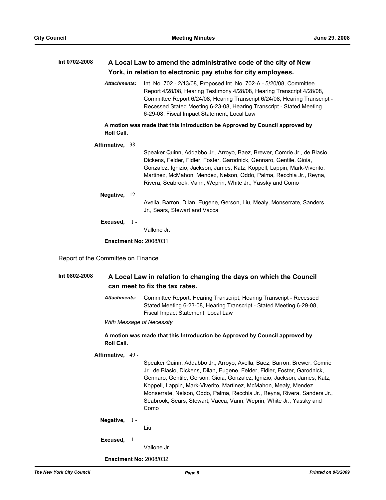# **Int 0702-2008 A Local Law to amend the administrative code of the city of New York, in relation to electronic pay stubs for city employees.**

*Attachments:* Int. No. 702 - 2/13/08, Proposed Int. No. 702-A - 5/20/08, Committee Report 4/28/08, Hearing Testimony 4/28/08, Hearing Transcript 4/28/08, Committee Report 6/24/08, Hearing Transcript 6/24/08, Hearing Transcript - Recessed Stated Meeting 6-23-08, Hearing Transcript - Stated Meeting 6-29-08, Fiscal Impact Statement, Local Law

**A motion was made that this Introduction be Approved by Council approved by Roll Call.**

**Affirmative,** 38 -

Speaker Quinn, Addabbo Jr., Arroyo, Baez, Brewer, Comrie Jr., de Blasio, Dickens, Felder, Fidler, Foster, Garodnick, Gennaro, Gentile, Gioia, Gonzalez, Ignizio, Jackson, James, Katz, Koppell, Lappin, Mark-Viverito, Martinez, McMahon, Mendez, Nelson, Oddo, Palma, Recchia Jr., Reyna, Rivera, Seabrook, Vann, Weprin, White Jr., Yassky and Como

**Negative,** 12 -

Avella, Barron, Dilan, Eugene, Gerson, Liu, Mealy, Monserrate, Sanders Jr., Sears, Stewart and Vacca

**Excused,** 1 -

Vallone Jr.

**Enactment No:** 2008/031

Report of the Committee on Finance

## **Int 0802-2008 A Local Law in relation to changing the days on which the Council can meet to fix the tax rates.**

*Attachments:* Committee Report, Hearing Transcript, Hearing Transcript - Recessed Stated Meeting 6-23-08, Hearing Transcript - Stated Meeting 6-29-08, Fiscal Impact Statement, Local Law

*With Message of Necessity*

#### **A motion was made that this Introduction be Approved by Council approved by Roll Call.**

**Affirmative,** 49 -

Speaker Quinn, Addabbo Jr., Arroyo, Avella, Baez, Barron, Brewer, Comrie Jr., de Blasio, Dickens, Dilan, Eugene, Felder, Fidler, Foster, Garodnick, Gennaro, Gentile, Gerson, Gioia, Gonzalez, Ignizio, Jackson, James, Katz, Koppell, Lappin, Mark-Viverito, Martinez, McMahon, Mealy, Mendez, Monserrate, Nelson, Oddo, Palma, Recchia Jr., Reyna, Rivera, Sanders Jr., Seabrook, Sears, Stewart, Vacca, Vann, Weprin, White Jr., Yassky and Como

**Negative,** 1 -

Liu

**Excused,** 1 -

Vallone Jr.

**Enactment No:** 2008/032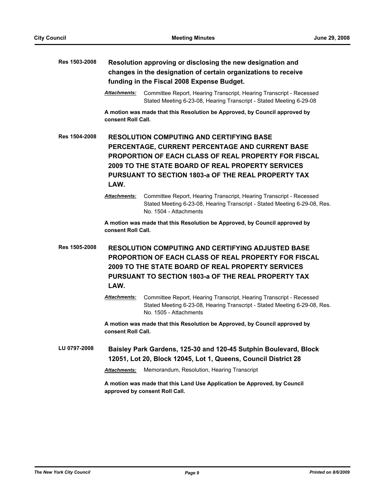# **Res 1503-2008 Resolution approving or disclosing the new designation and changes in the designation of certain organizations to receive funding in the Fiscal 2008 Expense Budget.**

*Attachments:* Committee Report, Hearing Transcript, Hearing Transcript - Recessed Stated Meeting 6-23-08, Hearing Transcript - Stated Meeting 6-29-08

**A motion was made that this Resolution be Approved, by Council approved by consent Roll Call.**

**Res 1504-2008 RESOLUTION COMPUTING AND CERTIFYING BASE PERCENTAGE, CURRENT PERCENTAGE AND CURRENT BASE PROPORTION OF EACH CLASS OF REAL PROPERTY FOR FISCAL 2009 TO THE STATE BOARD OF REAL PROPERTY SERVICES PURSUANT TO SECTION 1803-a OF THE REAL PROPERTY TAX LAW.**

> *Attachments:* Committee Report, Hearing Transcript, Hearing Transcript - Recessed Stated Meeting 6-23-08, Hearing Transcript - Stated Meeting 6-29-08, Res. No. 1504 - Attachments

**A motion was made that this Resolution be Approved, by Council approved by consent Roll Call.**

**Res 1505-2008 RESOLUTION COMPUTING AND CERTIFYING ADJUSTED BASE PROPORTION OF EACH CLASS OF REAL PROPERTY FOR FISCAL 2009 TO THE STATE BOARD OF REAL PROPERTY SERVICES PURSUANT TO SECTION 1803-a OF THE REAL PROPERTY TAX LAW.**

> *Attachments:* Committee Report, Hearing Transcript, Hearing Transcript - Recessed Stated Meeting 6-23-08, Hearing Transcript - Stated Meeting 6-29-08, Res. No. 1505 - Attachments

**A motion was made that this Resolution be Approved, by Council approved by consent Roll Call.**

**LU 0797-2008 Baisley Park Gardens, 125-30 and 120-45 Sutphin Boulevard, Block 12051, Lot 20, Block 12045, Lot 1, Queens, Council District 28**

*Attachments:* Memorandum, Resolution, Hearing Transcript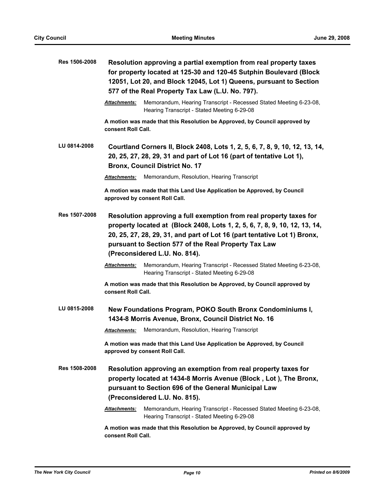| Res 1506-2008                                                                                          | Resolution approving a partial exemption from real property taxes<br>for property located at 125-30 and 120-45 Sutphin Boulevard (Block<br>12051, Lot 20, and Block 12045, Lot 1) Queens, pursuant to Section<br>577 of the Real Property Tax Law (L.U. No. 797).                                                     |                                                                                                                                                                                              |  |
|--------------------------------------------------------------------------------------------------------|-----------------------------------------------------------------------------------------------------------------------------------------------------------------------------------------------------------------------------------------------------------------------------------------------------------------------|----------------------------------------------------------------------------------------------------------------------------------------------------------------------------------------------|--|
|                                                                                                        | <b>Attachments:</b>                                                                                                                                                                                                                                                                                                   | Memorandum, Hearing Transcript - Recessed Stated Meeting 6-23-08,<br>Hearing Transcript - Stated Meeting 6-29-08                                                                             |  |
|                                                                                                        | consent Roll Call.                                                                                                                                                                                                                                                                                                    | A motion was made that this Resolution be Approved, by Council approved by                                                                                                                   |  |
| LU 0814-2008                                                                                           |                                                                                                                                                                                                                                                                                                                       | Courtland Corners II, Block 2408, Lots 1, 2, 5, 6, 7, 8, 9, 10, 12, 13, 14,<br>20, 25, 27, 28, 29, 31 and part of Lot 16 (part of tentative Lot 1),<br><b>Bronx, Council District No. 17</b> |  |
|                                                                                                        | Attachments:                                                                                                                                                                                                                                                                                                          | Memorandum, Resolution, Hearing Transcript                                                                                                                                                   |  |
|                                                                                                        |                                                                                                                                                                                                                                                                                                                       | A motion was made that this Land Use Application be Approved, by Council<br>approved by consent Roll Call.                                                                                   |  |
| Res 1507-2008                                                                                          | Resolution approving a full exemption from real property taxes for<br>property located at (Block 2408, Lots 1, 2, 5, 6, 7, 8, 9, 10, 12, 13, 14,<br>20, 25, 27, 28, 29, 31, and part of Lot 16 (part tentative Lot 1) Bronx,<br>pursuant to Section 577 of the Real Property Tax Law<br>(Preconsidered L.U. No. 814). |                                                                                                                                                                                              |  |
|                                                                                                        | <b>Attachments:</b>                                                                                                                                                                                                                                                                                                   | Memorandum, Hearing Transcript - Recessed Stated Meeting 6-23-08,<br>Hearing Transcript - Stated Meeting 6-29-08                                                                             |  |
|                                                                                                        | consent Roll Call.                                                                                                                                                                                                                                                                                                    | A motion was made that this Resolution be Approved, by Council approved by                                                                                                                   |  |
| LU 0815-2008                                                                                           |                                                                                                                                                                                                                                                                                                                       | New Foundations Program, POKO South Bronx Condominiums I,<br>1434-8 Morris Avenue, Bronx, Council District No. 16                                                                            |  |
|                                                                                                        | <b>Attachments:</b>                                                                                                                                                                                                                                                                                                   | Memorandum, Resolution, Hearing Transcript                                                                                                                                                   |  |
|                                                                                                        |                                                                                                                                                                                                                                                                                                                       | A motion was made that this Land Use Application be Approved, by Council<br>approved by consent Roll Call.                                                                                   |  |
| Res 1508-2008<br>pursuant to Section 696 of the General Municipal Law<br>(Preconsidered L.U. No. 815). |                                                                                                                                                                                                                                                                                                                       | Resolution approving an exemption from real property taxes for<br>property located at 1434-8 Morris Avenue (Block, Lot), The Bronx,                                                          |  |
|                                                                                                        | Attachments:                                                                                                                                                                                                                                                                                                          | Memorandum, Hearing Transcript - Recessed Stated Meeting 6-23-08,<br>Hearing Transcript - Stated Meeting 6-29-08                                                                             |  |
|                                                                                                        | A motion was made that this Resolution be Approved, by Council approved by<br>consent Roll Call.                                                                                                                                                                                                                      |                                                                                                                                                                                              |  |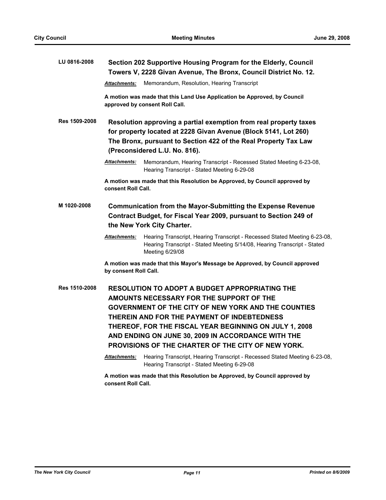| LU 0816-2008  | Section 202 Supportive Housing Program for the Elderly, Council                                                                                                                                                                                                                                                                                                                      |
|---------------|--------------------------------------------------------------------------------------------------------------------------------------------------------------------------------------------------------------------------------------------------------------------------------------------------------------------------------------------------------------------------------------|
|               | Towers V, 2228 Givan Avenue, The Bronx, Council District No. 12.                                                                                                                                                                                                                                                                                                                     |
|               | Memorandum, Resolution, Hearing Transcript<br><b>Attachments:</b>                                                                                                                                                                                                                                                                                                                    |
|               | A motion was made that this Land Use Application be Approved, by Council<br>approved by consent Roll Call.                                                                                                                                                                                                                                                                           |
| Res 1509-2008 | Resolution approving a partial exemption from real property taxes<br>for property located at 2228 Givan Avenue (Block 5141, Lot 260)<br>The Bronx, pursuant to Section 422 of the Real Property Tax Law<br>(Preconsidered L.U. No. 816).                                                                                                                                             |
|               | Memorandum, Hearing Transcript - Recessed Stated Meeting 6-23-08,<br><b>Attachments:</b><br>Hearing Transcript - Stated Meeting 6-29-08                                                                                                                                                                                                                                              |
|               | A motion was made that this Resolution be Approved, by Council approved by<br>consent Roll Call.                                                                                                                                                                                                                                                                                     |
| M 1020-2008   | <b>Communication from the Mayor-Submitting the Expense Revenue</b><br>Contract Budget, for Fiscal Year 2009, pursuant to Section 249 of<br>the New York City Charter.                                                                                                                                                                                                                |
|               | <b>Attachments:</b><br>Hearing Transcript, Hearing Transcript - Recessed Stated Meeting 6-23-08,<br>Hearing Transcript - Stated Meeting 5/14/08, Hearing Transcript - Stated<br>Meeting 6/29/08                                                                                                                                                                                      |
|               | A motion was made that this Mayor's Message be Approved, by Council approved<br>by consent Roll Call.                                                                                                                                                                                                                                                                                |
| Res 1510-2008 | <b>RESOLUTION TO ADOPT A BUDGET APPROPRIATING THE</b><br>AMOUNTS NECESSARY FOR THE SUPPORT OF THE<br><b>GOVERNMENT OF THE CITY OF NEW YORK AND THE COUNTIES</b><br>THEREIN AND FOR THE PAYMENT OF INDEBTEDNESS<br>THEREOF, FOR THE FISCAL YEAR BEGINNING ON JULY 1, 2008<br>AND ENDING ON JUNE 30, 2009 IN ACCORDANCE WITH THE<br>PROVISIONS OF THE CHARTER OF THE CITY OF NEW YORK. |
|               | Attachments:<br>Hearing Transcript, Hearing Transcript - Recessed Stated Meeting 6-23-08,<br>Hearing Transcript - Stated Meeting 6-29-08                                                                                                                                                                                                                                             |
|               | A motion was made that this Resolution be Approved, by Council approved by<br>consent Roll Call.                                                                                                                                                                                                                                                                                     |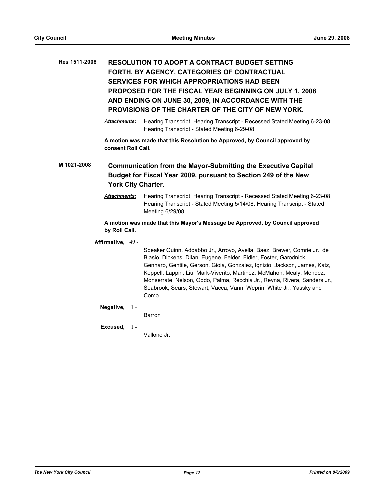# **Res 1511-2008 RESOLUTION TO ADOPT A CONTRACT BUDGET SETTING FORTH, BY AGENCY, CATEGORIES OF CONTRACTUAL SERVICES FOR WHICH APPROPRIATIONS HAD BEEN PROPOSED FOR THE FISCAL YEAR BEGINNING ON JULY 1, 2008 AND ENDING ON JUNE 30, 2009, IN ACCORDANCE WITH THE PROVISIONS OF THE CHARTER OF THE CITY OF NEW YORK.**

*Attachments:* Hearing Transcript, Hearing Transcript - Recessed Stated Meeting 6-23-08, Hearing Transcript - Stated Meeting 6-29-08

**A motion was made that this Resolution be Approved, by Council approved by consent Roll Call.**

**M 1021-2008 Communication from the Mayor-Submitting the Executive Capital Budget for Fiscal Year 2009, pursuant to Section 249 of the New York City Charter.**

> *Attachments:* Hearing Transcript, Hearing Transcript - Recessed Stated Meeting 6-23-08, Hearing Transcript - Stated Meeting 5/14/08, Hearing Transcript - Stated Meeting 6/29/08

**A motion was made that this Mayor's Message be Approved, by Council approved by Roll Call.**

#### **Affirmative,** 49 -

Speaker Quinn, Addabbo Jr., Arroyo, Avella, Baez, Brewer, Comrie Jr., de Blasio, Dickens, Dilan, Eugene, Felder, Fidler, Foster, Garodnick, Gennaro, Gentile, Gerson, Gioia, Gonzalez, Ignizio, Jackson, James, Katz, Koppell, Lappin, Liu, Mark-Viverito, Martinez, McMahon, Mealy, Mendez, Monserrate, Nelson, Oddo, Palma, Recchia Jr., Reyna, Rivera, Sanders Jr., Seabrook, Sears, Stewart, Vacca, Vann, Weprin, White Jr., Yassky and Como

### **Negative,** 1 -

Barron

#### **Excused,** 1 -

Vallone Jr.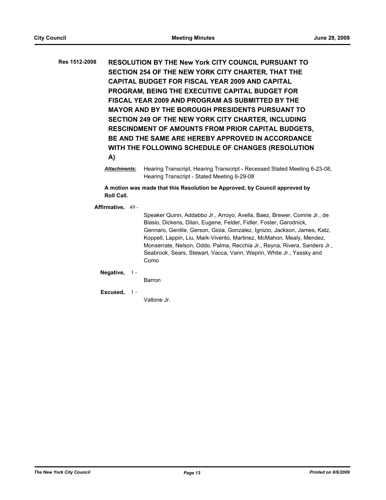**Res 1512-2008 RESOLUTION BY THE New York CITY COUNCIL PURSUANT TO SECTION 254 OF THE NEW YORK CITY CHARTER, THAT THE CAPITAL BUDGET FOR FISCAL YEAR 2009 AND CAPITAL PROGRAM, BEING THE EXECUTIVE CAPITAL BUDGET FOR FISCAL YEAR 2009 AND PROGRAM AS SUBMITTED BY THE MAYOR AND BY THE BOROUGH PRESIDENTS PURSUANT TO SECTION 249 OF THE NEW YORK CITY CHARTER, INCLUDING RESCINDMENT OF AMOUNTS FROM PRIOR CAPITAL BUDGETS, BE AND THE SAME ARE HEREBY APPROVED IN ACCORDANCE WITH THE FOLLOWING SCHEDULE OF CHANGES (RESOLUTION A)**

> *Attachments:* Hearing Transcript, Hearing Transcript - Recessed Stated Meeting 6-23-08, Hearing Transcript - Stated Meeting 6-29-08

**A motion was made that this Resolution be Approved, by Council approved by Roll Call.**

**Affirmative,** 49 -

Speaker Quinn, Addabbo Jr., Arroyo, Avella, Baez, Brewer, Comrie Jr., de Blasio, Dickens, Dilan, Eugene, Felder, Fidler, Foster, Garodnick, Gennaro, Gentile, Gerson, Gioia, Gonzalez, Ignizio, Jackson, James, Katz, Koppell, Lappin, Liu, Mark-Viverito, Martinez, McMahon, Mealy, Mendez, Monserrate, Nelson, Oddo, Palma, Recchia Jr., Reyna, Rivera, Sanders Jr., Seabrook, Sears, Stewart, Vacca, Vann, Weprin, White Jr., Yassky and Como

**Negative,** 1 -

- Barron
- **Excused,** 1 -

Vallone Jr.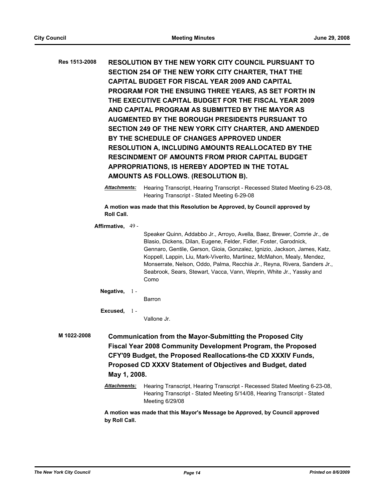**Res 1513-2008 RESOLUTION BY THE NEW YORK CITY COUNCIL PURSUANT TO SECTION 254 OF THE NEW YORK CITY CHARTER, THAT THE CAPITAL BUDGET FOR FISCAL YEAR 2009 AND CAPITAL PROGRAM FOR THE ENSUING THREE YEARS, AS SET FORTH IN THE EXECUTIVE CAPITAL BUDGET FOR THE FISCAL YEAR 2009 AND CAPITAL PROGRAM AS SUBMITTED BY THE MAYOR AS AUGMENTED BY THE BOROUGH PRESIDENTS PURSUANT TO SECTION 249 OF THE NEW YORK CITY CHARTER, AND AMENDED BY THE SCHEDULE OF CHANGES APPROVED UNDER RESOLUTION A, INCLUDING AMOUNTS REALLOCATED BY THE RESCINDMENT OF AMOUNTS FROM PRIOR CAPITAL BUDGET APPROPRIATIONS, IS HEREBY ADOPTED IN THE TOTAL AMOUNTS AS FOLLOWS. (RESOLUTION B).**

> *Attachments:* Hearing Transcript, Hearing Transcript - Recessed Stated Meeting 6-23-08, Hearing Transcript - Stated Meeting 6-29-08

**A motion was made that this Resolution be Approved, by Council approved by Roll Call.**

**Affirmative,** 49 -

Speaker Quinn, Addabbo Jr., Arroyo, Avella, Baez, Brewer, Comrie Jr., de Blasio, Dickens, Dilan, Eugene, Felder, Fidler, Foster, Garodnick, Gennaro, Gentile, Gerson, Gioia, Gonzalez, Ignizio, Jackson, James, Katz, Koppell, Lappin, Liu, Mark-Viverito, Martinez, McMahon, Mealy, Mendez, Monserrate, Nelson, Oddo, Palma, Recchia Jr., Reyna, Rivera, Sanders Jr., Seabrook, Sears, Stewart, Vacca, Vann, Weprin, White Jr., Yassky and Como

### **Negative,** 1 -

Barron

### **Excused,** 1 -

Vallone Jr.

**M 1022-2008 Communication from the Mayor-Submitting the Proposed City Fiscal Year 2008 Community Development Program, the Proposed CFY'09 Budget, the Proposed Reallocations-the CD XXXIV Funds, Proposed CD XXXV Statement of Objectives and Budget, dated May 1, 2008.**

> *Attachments:* Hearing Transcript, Hearing Transcript - Recessed Stated Meeting 6-23-08, Hearing Transcript - Stated Meeting 5/14/08, Hearing Transcript - Stated Meeting 6/29/08

**A motion was made that this Mayor's Message be Approved, by Council approved by Roll Call.**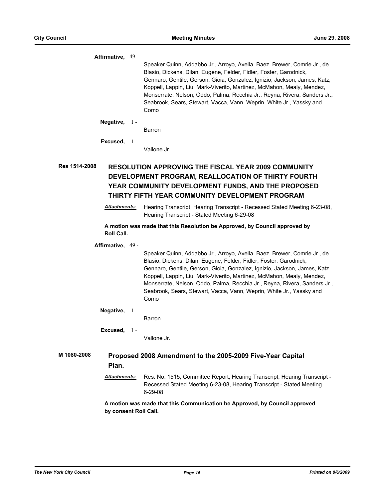**Affirmative,** 49 -

Speaker Quinn, Addabbo Jr., Arroyo, Avella, Baez, Brewer, Comrie Jr., de Blasio, Dickens, Dilan, Eugene, Felder, Fidler, Foster, Garodnick, Gennaro, Gentile, Gerson, Gioia, Gonzalez, Ignizio, Jackson, James, Katz, Koppell, Lappin, Liu, Mark-Viverito, Martinez, McMahon, Mealy, Mendez, Monserrate, Nelson, Oddo, Palma, Recchia Jr., Reyna, Rivera, Sanders Jr., Seabrook, Sears, Stewart, Vacca, Vann, Weprin, White Jr., Yassky and Como

**Negative,** 1 -

Barron

**Excused,** 1 -

Vallone Jr.

# **Res 1514-2008 RESOLUTION APPROVING THE FISCAL YEAR 2009 COMMUNITY DEVELOPMENT PROGRAM, REALLOCATION OF THIRTY FOURTH YEAR COMMUNITY DEVELOPMENT FUNDS, AND THE PROPOSED THIRTY FIFTH YEAR COMMUNITY DEVELOPMENT PROGRAM**

*Attachments:* Hearing Transcript, Hearing Transcript - Recessed Stated Meeting 6-23-08, Hearing Transcript - Stated Meeting 6-29-08

**A motion was made that this Resolution be Approved, by Council approved by Roll Call.**

**Affirmative,** 49 -

Speaker Quinn, Addabbo Jr., Arroyo, Avella, Baez, Brewer, Comrie Jr., de Blasio, Dickens, Dilan, Eugene, Felder, Fidler, Foster, Garodnick, Gennaro, Gentile, Gerson, Gioia, Gonzalez, Ignizio, Jackson, James, Katz, Koppell, Lappin, Liu, Mark-Viverito, Martinez, McMahon, Mealy, Mendez, Monserrate, Nelson, Oddo, Palma, Recchia Jr., Reyna, Rivera, Sanders Jr., Seabrook, Sears, Stewart, Vacca, Vann, Weprin, White Jr., Yassky and Como

#### **Negative,** 1 -

Barron

**Excused,** Vallone Jr.  $1 -$ 

# **M 1080-2008 Proposed 2008 Amendment to the 2005-2009 Five-Year Capital Plan.**

*Attachments:* Res. No. 1515, Committee Report, Hearing Transcript, Hearing Transcript - Recessed Stated Meeting 6-23-08, Hearing Transcript - Stated Meeting 6-29-08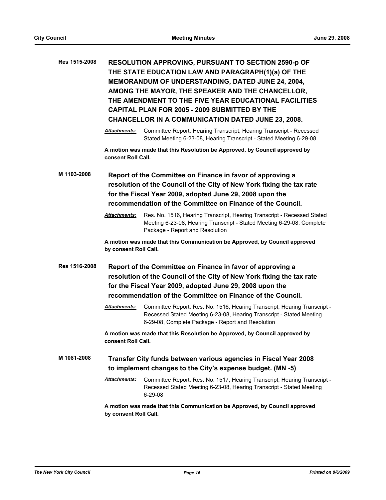| Res 1515-2008 |                                                                                                                                                                                                                                                               | RESOLUTION APPROVING, PURSUANT TO SECTION 2590-p OF<br>THE STATE EDUCATION LAW AND PARAGRAPH(1)(a) OF THE<br>MEMORANDUM OF UNDERSTANDING, DATED JUNE 24, 2004,<br>AMONG THE MAYOR, THE SPEAKER AND THE CHANCELLOR,<br>THE AMENDMENT TO THE FIVE YEAR EDUCATIONAL FACILITIES<br><b>CAPITAL PLAN FOR 2005 - 2009 SUBMITTED BY THE</b><br><b>CHANCELLOR IN A COMMUNICATION DATED JUNE 23, 2008.</b> |  |
|---------------|---------------------------------------------------------------------------------------------------------------------------------------------------------------------------------------------------------------------------------------------------------------|--------------------------------------------------------------------------------------------------------------------------------------------------------------------------------------------------------------------------------------------------------------------------------------------------------------------------------------------------------------------------------------------------|--|
|               | <b>Attachments:</b>                                                                                                                                                                                                                                           | Committee Report, Hearing Transcript, Hearing Transcript - Recessed<br>Stated Meeting 6-23-08, Hearing Transcript - Stated Meeting 6-29-08                                                                                                                                                                                                                                                       |  |
|               | consent Roll Call.                                                                                                                                                                                                                                            | A motion was made that this Resolution be Approved, by Council approved by                                                                                                                                                                                                                                                                                                                       |  |
| M 1103-2008   | Report of the Committee on Finance in favor of approving a<br>resolution of the Council of the City of New York fixing the tax rate<br>for the Fiscal Year 2009, adopted June 29, 2008 upon the<br>recommendation of the Committee on Finance of the Council. |                                                                                                                                                                                                                                                                                                                                                                                                  |  |
|               | <b>Attachments:</b>                                                                                                                                                                                                                                           | Res. No. 1516, Hearing Transcript, Hearing Transcript - Recessed Stated<br>Meeting 6-23-08, Hearing Transcript - Stated Meeting 6-29-08, Complete<br>Package - Report and Resolution                                                                                                                                                                                                             |  |
|               | by consent Roll Call.                                                                                                                                                                                                                                         | A motion was made that this Communication be Approved, by Council approved                                                                                                                                                                                                                                                                                                                       |  |
| Res 1516-2008 |                                                                                                                                                                                                                                                               | Report of the Committee on Finance in favor of approving a<br>resolution of the Council of the City of New York fixing the tax rate<br>for the Fiscal Year 2009, adopted June 29, 2008 upon the<br>recommendation of the Committee on Finance of the Council.                                                                                                                                    |  |
|               | <b>Attachments:</b>                                                                                                                                                                                                                                           | Committee Report, Res. No. 1516, Hearing Transcript, Hearing Transcript -<br>Recessed Stated Meeting 6-23-08, Hearing Transcript - Stated Meeting<br>6-29-08, Complete Package - Report and Resolution                                                                                                                                                                                           |  |
|               | consent Roll Call.                                                                                                                                                                                                                                            | A motion was made that this Resolution be Approved, by Council approved by                                                                                                                                                                                                                                                                                                                       |  |
| M 1081-2008   | Transfer City funds between various agencies in Fiscal Year 2008<br>to implement changes to the City's expense budget. (MN -5)                                                                                                                                |                                                                                                                                                                                                                                                                                                                                                                                                  |  |
|               | <b>Attachments:</b>                                                                                                                                                                                                                                           | Committee Report, Res. No. 1517, Hearing Transcript, Hearing Transcript -<br>Recessed Stated Meeting 6-23-08, Hearing Transcript - Stated Meeting<br>$6 - 29 - 08$                                                                                                                                                                                                                               |  |
|               | by consent Roll Call.                                                                                                                                                                                                                                         | A motion was made that this Communication be Approved, by Council approved                                                                                                                                                                                                                                                                                                                       |  |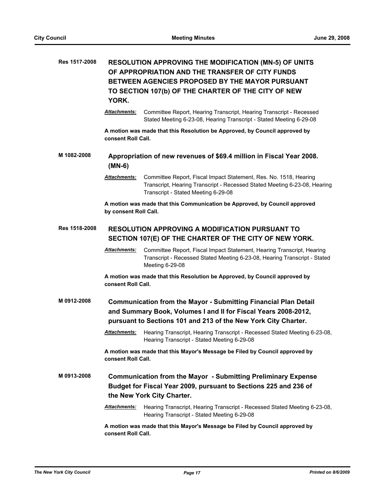| Res 1517-2008 | <b>RESOLUTION APPROVING THE MODIFICATION (MN-5) OF UNITS</b><br>OF APPROPRIATION AND THE TRANSFER OF CITY FUNDS<br>BETWEEN AGENCIES PROPOSED BY THE MAYOR PURSUANT<br>TO SECTION 107(b) OF THE CHARTER OF THE CITY OF NEW<br>YORK. |                                                                                                                                                                                                            |  |
|---------------|------------------------------------------------------------------------------------------------------------------------------------------------------------------------------------------------------------------------------------|------------------------------------------------------------------------------------------------------------------------------------------------------------------------------------------------------------|--|
|               | <b>Attachments:</b>                                                                                                                                                                                                                | Committee Report, Hearing Transcript, Hearing Transcript - Recessed<br>Stated Meeting 6-23-08, Hearing Transcript - Stated Meeting 6-29-08                                                                 |  |
|               | consent Roll Call.                                                                                                                                                                                                                 | A motion was made that this Resolution be Approved, by Council approved by                                                                                                                                 |  |
| M 1082-2008   | Appropriation of new revenues of \$69.4 million in Fiscal Year 2008.<br>$(MN-6)$                                                                                                                                                   |                                                                                                                                                                                                            |  |
|               | Attachments:                                                                                                                                                                                                                       | Committee Report, Fiscal Impact Statement, Res. No. 1518, Hearing<br>Transcript, Hearing Transcript - Recessed Stated Meeting 6-23-08, Hearing<br>Transcript - Stated Meeting 6-29-08                      |  |
|               | by consent Roll Call.                                                                                                                                                                                                              | A motion was made that this Communication be Approved, by Council approved                                                                                                                                 |  |
| Res 1518-2008 | <b>RESOLUTION APPROVING A MODIFICATION PURSUANT TO</b><br>SECTION 107(E) OF THE CHARTER OF THE CITY OF NEW YORK.                                                                                                                   |                                                                                                                                                                                                            |  |
|               | <b>Attachments:</b>                                                                                                                                                                                                                | Committee Report, Fiscal Impact Statement, Hearing Transcript, Hearing<br>Transcript - Recessed Stated Meeting 6-23-08, Hearing Transcript - Stated<br>Meeting 6-29-08                                     |  |
|               | consent Roll Call.                                                                                                                                                                                                                 | A motion was made that this Resolution be Approved, by Council approved by                                                                                                                                 |  |
| M 0912-2008   |                                                                                                                                                                                                                                    | <b>Communication from the Mayor - Submitting Financial Plan Detail</b><br>and Summary Book, Volumes I and II for Fiscal Years 2008-2012,<br>pursuant to Sections 101 and 213 of the New York City Charter. |  |
|               | <b>Attachments:</b>                                                                                                                                                                                                                | Hearing Transcript, Hearing Transcript - Recessed Stated Meeting 6-23-08,<br>Hearing Transcript - Stated Meeting 6-29-08                                                                                   |  |
|               | consent Roll Call.                                                                                                                                                                                                                 | A motion was made that this Mayor's Message be Filed by Council approved by                                                                                                                                |  |
| M 0913-2008   |                                                                                                                                                                                                                                    | <b>Communication from the Mayor - Submitting Preliminary Expense</b><br>Budget for Fiscal Year 2009, pursuant to Sections 225 and 236 of<br>the New York City Charter.                                     |  |
|               | <u> Attachments:</u>                                                                                                                                                                                                               | Hearing Transcript, Hearing Transcript - Recessed Stated Meeting 6-23-08,<br>Hearing Transcript - Stated Meeting 6-29-08                                                                                   |  |
|               | consent Roll Call.                                                                                                                                                                                                                 | A motion was made that this Mayor's Message be Filed by Council approved by                                                                                                                                |  |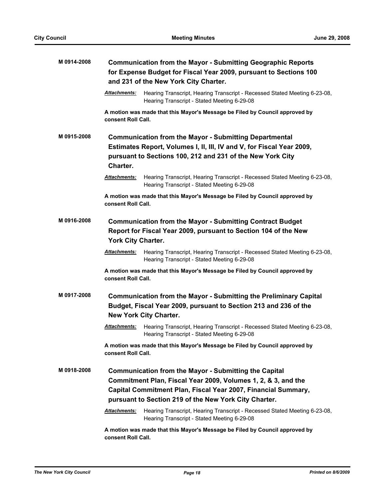| M 0914-2008 | <b>Communication from the Mayor - Submitting Geographic Reports</b><br>for Expense Budget for Fiscal Year 2009, pursuant to Sections 100<br>and 231 of the New York City Charter. |                                                                                                                                                                                                                                                         |  |
|-------------|-----------------------------------------------------------------------------------------------------------------------------------------------------------------------------------|---------------------------------------------------------------------------------------------------------------------------------------------------------------------------------------------------------------------------------------------------------|--|
|             | <b>Attachments:</b>                                                                                                                                                               | Hearing Transcript, Hearing Transcript - Recessed Stated Meeting 6-23-08,<br>Hearing Transcript - Stated Meeting 6-29-08                                                                                                                                |  |
|             | consent Roll Call.                                                                                                                                                                | A motion was made that this Mayor's Message be Filed by Council approved by                                                                                                                                                                             |  |
| M 0915-2008 | Charter.                                                                                                                                                                          | <b>Communication from the Mayor - Submitting Departmental</b><br>Estimates Report, Volumes I, II, III, IV and V, for Fiscal Year 2009,<br>pursuant to Sections 100, 212 and 231 of the New York City                                                    |  |
|             | Attachments:                                                                                                                                                                      | Hearing Transcript, Hearing Transcript - Recessed Stated Meeting 6-23-08,<br>Hearing Transcript - Stated Meeting 6-29-08                                                                                                                                |  |
|             | consent Roll Call.                                                                                                                                                                | A motion was made that this Mayor's Message be Filed by Council approved by                                                                                                                                                                             |  |
| M0916-2008  | <b>Communication from the Mayor - Submitting Contract Budget</b><br>Report for Fiscal Year 2009, pursuant to Section 104 of the New<br><b>York City Charter.</b>                  |                                                                                                                                                                                                                                                         |  |
|             | Attachments:                                                                                                                                                                      | Hearing Transcript, Hearing Transcript - Recessed Stated Meeting 6-23-08,<br>Hearing Transcript - Stated Meeting 6-29-08                                                                                                                                |  |
|             | consent Roll Call.                                                                                                                                                                | A motion was made that this Mayor's Message be Filed by Council approved by                                                                                                                                                                             |  |
| M 0917-2008 |                                                                                                                                                                                   | <b>Communication from the Mayor - Submitting the Preliminary Capital</b><br>Budget, Fiscal Year 2009, pursuant to Section 213 and 236 of the<br><b>New York City Charter.</b>                                                                           |  |
|             | <u> Attachments:</u>                                                                                                                                                              | Hearing Transcript, Hearing Transcript - Recessed Stated Meeting 6-23-08,<br>Hearing Transcript - Stated Meeting 6-29-08                                                                                                                                |  |
|             | A motion was made that this Mayor's Message be Filed by Council approved by<br>consent Roll Call.                                                                                 |                                                                                                                                                                                                                                                         |  |
| M 0918-2008 |                                                                                                                                                                                   | <b>Communication from the Mayor - Submitting the Capital</b><br>Commitment Plan, Fiscal Year 2009, Volumes 1, 2, & 3, and the<br>Capital Commitment Plan, Fiscal Year 2007, Financial Summary,<br>pursuant to Section 219 of the New York City Charter. |  |
|             | Attachments:                                                                                                                                                                      | Hearing Transcript, Hearing Transcript - Recessed Stated Meeting 6-23-08,<br>Hearing Transcript - Stated Meeting 6-29-08                                                                                                                                |  |
|             | A motion was made that this Mayor's Message be Filed by Council approved by<br>consent Roll Call.                                                                                 |                                                                                                                                                                                                                                                         |  |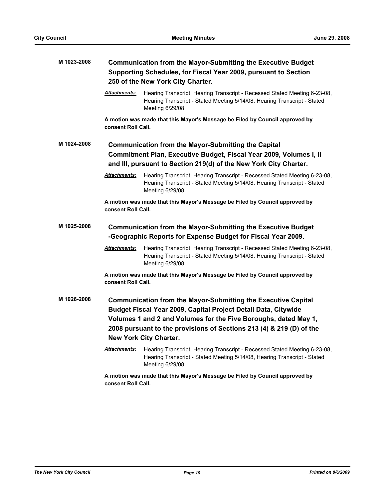| M 1023-2008 | <b>Communication from the Mayor-Submitting the Executive Budget</b><br>Supporting Schedules, for Fiscal Year 2009, pursuant to Section<br>250 of the New York City Charter.                                                                                                                                 |                                                                                                                                                                          |
|-------------|-------------------------------------------------------------------------------------------------------------------------------------------------------------------------------------------------------------------------------------------------------------------------------------------------------------|--------------------------------------------------------------------------------------------------------------------------------------------------------------------------|
|             | Attachments:                                                                                                                                                                                                                                                                                                | Hearing Transcript, Hearing Transcript - Recessed Stated Meeting 6-23-08,<br>Hearing Transcript - Stated Meeting 5/14/08, Hearing Transcript - Stated<br>Meeting 6/29/08 |
|             | consent Roll Call.                                                                                                                                                                                                                                                                                          | A motion was made that this Mayor's Message be Filed by Council approved by                                                                                              |
| M 1024-2008 |                                                                                                                                                                                                                                                                                                             | <b>Communication from the Mayor-Submitting the Capital</b>                                                                                                               |
|             | Commitment Plan, Executive Budget, Fiscal Year 2009, Volumes I, II                                                                                                                                                                                                                                          |                                                                                                                                                                          |
|             |                                                                                                                                                                                                                                                                                                             | and III, pursuant to Section 219(d) of the New York City Charter.                                                                                                        |
|             | <b>Attachments:</b>                                                                                                                                                                                                                                                                                         | Hearing Transcript, Hearing Transcript - Recessed Stated Meeting 6-23-08,<br>Hearing Transcript - Stated Meeting 5/14/08, Hearing Transcript - Stated<br>Meeting 6/29/08 |
|             | consent Roll Call.                                                                                                                                                                                                                                                                                          | A motion was made that this Mayor's Message be Filed by Council approved by                                                                                              |
| M 1025-2008 | <b>Communication from the Mayor-Submitting the Executive Budget</b><br>-Geographic Reports for Expense Budget for Fiscal Year 2009.                                                                                                                                                                         |                                                                                                                                                                          |
|             | <u> Attachments:</u>                                                                                                                                                                                                                                                                                        | Hearing Transcript, Hearing Transcript - Recessed Stated Meeting 6-23-08,<br>Hearing Transcript - Stated Meeting 5/14/08, Hearing Transcript - Stated<br>Meeting 6/29/08 |
|             | consent Roll Call.                                                                                                                                                                                                                                                                                          | A motion was made that this Mayor's Message be Filed by Council approved by                                                                                              |
| M 1026-2008 | <b>Communication from the Mayor-Submitting the Executive Capital</b><br>Budget Fiscal Year 2009, Capital Project Detail Data, Citywide<br>Volumes 1 and 2 and Volumes for the Five Boroughs, dated May 1,<br>2008 pursuant to the provisions of Sections 213 (4) & 219 (D) of the<br>New York City Charter. |                                                                                                                                                                          |
|             | <b>Attachments:</b>                                                                                                                                                                                                                                                                                         | Hearing Transcript, Hearing Transcript - Recessed Stated Meeting 6-23-08,<br>Hearing Transcript - Stated Meeting 5/14/08, Hearing Transcript - Stated<br>Meeting 6/29/08 |
|             | consent Roll Call.                                                                                                                                                                                                                                                                                          | A motion was made that this Mayor's Message be Filed by Council approved by                                                                                              |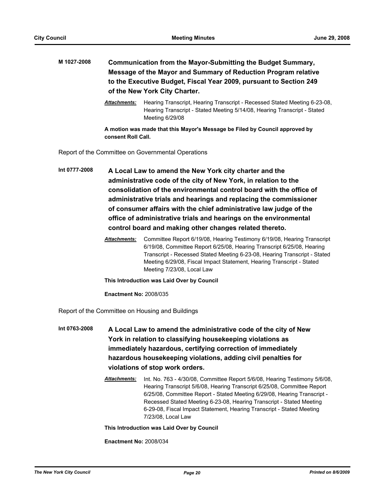# **M 1027-2008 Communication from the Mayor-Submitting the Budget Summary, Message of the Mayor and Summary of Reduction Program relative to the Executive Budget, Fiscal Year 2009, pursuant to Section 249 of the New York City Charter.**

*Attachments:* Hearing Transcript, Hearing Transcript - Recessed Stated Meeting 6-23-08, Hearing Transcript - Stated Meeting 5/14/08, Hearing Transcript - Stated Meeting 6/29/08

**A motion was made that this Mayor's Message be Filed by Council approved by consent Roll Call.**

Report of the Committee on Governmental Operations

**Int 0777-2008 A Local Law to amend the New York city charter and the administrative code of the city of New York, in relation to the consolidation of the environmental control board with the office of administrative trials and hearings and replacing the commissioner of consumer affairs with the chief administrative law judge of the office of administrative trials and hearings on the environmental control board and making other changes related thereto.**

> *Attachments:* Committee Report 6/19/08, Hearing Testimony 6/19/08, Hearing Transcript 6/19/08, Committee Report 6/25/08, Hearing Transcript 6/25/08, Hearing Transcript - Recessed Stated Meeting 6-23-08, Hearing Transcript - Stated Meeting 6/29/08, Fiscal Impact Statement, Hearing Transcript - Stated Meeting 7/23/08, Local Law

**This Introduction was Laid Over by Council**

**Enactment No:** 2008/035

Report of the Committee on Housing and Buildings

- **Int 0763-2008 A Local Law to amend the administrative code of the city of New York in relation to classifying housekeeping violations as immediately hazardous, certifying correction of immediately hazardous housekeeping violations, adding civil penalties for violations of stop work orders.**
	- *Attachments:* Int. No. 763 4/30/08, Committee Report 5/6/08, Hearing Testimony 5/6/08, Hearing Transcript 5/6/08, Hearing Transcript 6/25/08, Committee Report 6/25/08, Committee Report - Stated Meeting 6/29/08, Hearing Transcript - Recessed Stated Meeting 6-23-08, Hearing Transcript - Stated Meeting 6-29-08, Fiscal Impact Statement, Hearing Transcript - Stated Meeting 7/23/08, Local Law

#### **This Introduction was Laid Over by Council**

**Enactment No:** 2008/034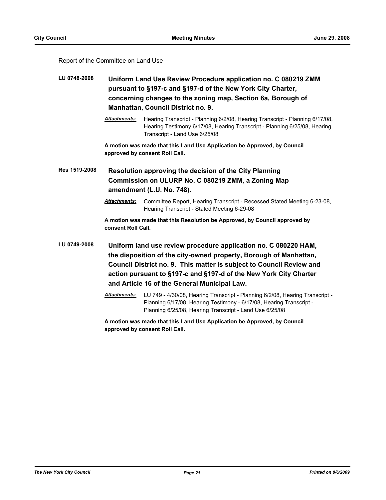### Report of the Committee on Land Use

- **LU 0748-2008 Uniform Land Use Review Procedure application no. C 080219 ZMM pursuant to §197-c and §197-d of the New York City Charter, concerning changes to the zoning map, Section 6a, Borough of Manhattan, Council District no. 9.**
	- *Attachments:* Hearing Transcript Planning 6/2/08, Hearing Transcript Planning 6/17/08, Hearing Testimony 6/17/08, Hearing Transcript - Planning 6/25/08, Hearing Transcript - Land Use 6/25/08

**A motion was made that this Land Use Application be Approved, by Council approved by consent Roll Call.**

**Res 1519-2008 Resolution approving the decision of the City Planning Commission on ULURP No. C 080219 ZMM, a Zoning Map amendment (L.U. No. 748).**

> *Attachments:* Committee Report, Hearing Transcript - Recessed Stated Meeting 6-23-08, Hearing Transcript - Stated Meeting 6-29-08

**A motion was made that this Resolution be Approved, by Council approved by consent Roll Call.**

**LU 0749-2008 Uniform land use review procedure application no. C 080220 HAM, the disposition of the city-owned property, Borough of Manhattan, Council District no. 9. This matter is subject to Council Review and action pursuant to §197-c and §197-d of the New York City Charter and Article 16 of the General Municipal Law.**

> *Attachments:* LU 749 - 4/30/08, Hearing Transcript - Planning 6/2/08, Hearing Transcript - Planning 6/17/08, Hearing Testimony - 6/17/08, Hearing Transcript - Planning 6/25/08, Hearing Transcript - Land Use 6/25/08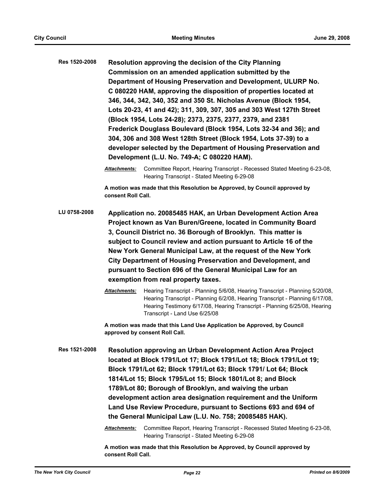| Res 1520-2008 |                                                                                                                                                                                                                                                                                                                                                                                                                                                                                                                 | Resolution approving the decision of the City Planning<br>Commission on an amended application submitted by the<br>Department of Housing Preservation and Development, ULURP No.<br>C 080220 HAM, approving the disposition of properties located at<br>346, 344, 342, 340, 352 and 350 St. Nicholas Avenue (Block 1954,<br>Lots 20-23, 41 and 42); 311, 309, 307, 305 and 303 West 127th Street<br>(Block 1954, Lots 24-28); 2373, 2375, 2377, 2379, and 2381<br>Frederick Douglass Boulevard (Block 1954, Lots 32-34 and 36); and<br>304, 306 and 308 West 128th Street (Block 1954, Lots 37-39) to a<br>developer selected by the Department of Housing Preservation and<br>Development (L.U. No. 749-A; C 080220 HAM). |  |
|---------------|-----------------------------------------------------------------------------------------------------------------------------------------------------------------------------------------------------------------------------------------------------------------------------------------------------------------------------------------------------------------------------------------------------------------------------------------------------------------------------------------------------------------|----------------------------------------------------------------------------------------------------------------------------------------------------------------------------------------------------------------------------------------------------------------------------------------------------------------------------------------------------------------------------------------------------------------------------------------------------------------------------------------------------------------------------------------------------------------------------------------------------------------------------------------------------------------------------------------------------------------------------|--|
|               | <b>Attachments:</b>                                                                                                                                                                                                                                                                                                                                                                                                                                                                                             | Committee Report, Hearing Transcript - Recessed Stated Meeting 6-23-08,<br>Hearing Transcript - Stated Meeting 6-29-08                                                                                                                                                                                                                                                                                                                                                                                                                                                                                                                                                                                                     |  |
|               | A motion was made that this Resolution be Approved, by Council approved by<br>consent Roll Call.                                                                                                                                                                                                                                                                                                                                                                                                                |                                                                                                                                                                                                                                                                                                                                                                                                                                                                                                                                                                                                                                                                                                                            |  |
| LU 0758-2008  | Application no. 20085485 HAK, an Urban Development Action Area<br>Project known as Van Buren/Greene, located in Community Board<br>3, Council District no. 36 Borough of Brooklyn. This matter is<br>subject to Council review and action pursuant to Article 16 of the<br>New York General Municipal Law, at the request of the New York<br>City Department of Housing Preservation and Development, and<br>pursuant to Section 696 of the General Municipal Law for an<br>exemption from real property taxes. |                                                                                                                                                                                                                                                                                                                                                                                                                                                                                                                                                                                                                                                                                                                            |  |
|               | <b>Attachments:</b>                                                                                                                                                                                                                                                                                                                                                                                                                                                                                             | Hearing Transcript - Planning 5/6/08, Hearing Transcript - Planning 5/20/08,<br>Hearing Transcript - Planning 6/2/08, Hearing Transcript - Planning 6/17/08,<br>Hearing Testimony 6/17/08, Hearing Transcript - Planning 6/25/08, Hearing<br>Transcript - Land Use 6/25/08                                                                                                                                                                                                                                                                                                                                                                                                                                                 |  |
|               |                                                                                                                                                                                                                                                                                                                                                                                                                                                                                                                 | A motion was made that this Land Use Application be Approved, by Council<br>approved by consent Roll Call.                                                                                                                                                                                                                                                                                                                                                                                                                                                                                                                                                                                                                 |  |
| Res 1521-2008 |                                                                                                                                                                                                                                                                                                                                                                                                                                                                                                                 | Resolution approving an Urban Development Action Area Project<br>located at Block 1791/Lot 17; Block 1791/Lot 18; Block 1791/Lot 19;<br>Block 1791/Lot 62; Block 1791/Lot 63; Block 1791/ Lot 64; Block<br>1814/Lot 15; Block 1795/Lot 15; Block 1801/Lot 8; and Block                                                                                                                                                                                                                                                                                                                                                                                                                                                     |  |

**1789/Lot 80; Borough of Brooklyn, and waiving the urban development action area designation requirement and the Uniform Land Use Review Procedure, pursuant to Sections 693 and 694 of the General Municipal Law (L.U. No. 758; 20085485 HAK).**

*Attachments:* Committee Report, Hearing Transcript - Recessed Stated Meeting 6-23-08, Hearing Transcript - Stated Meeting 6-29-08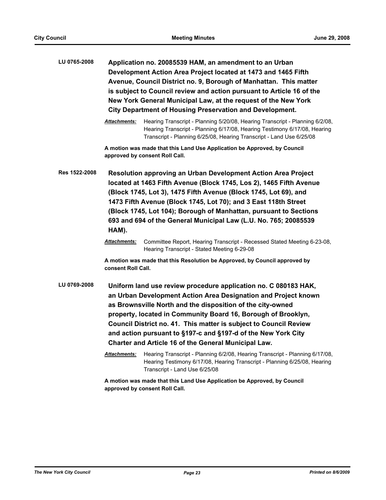| LU 0765-2008  | Application no. 20085539 HAM, an amendment to an Urban<br>Development Action Area Project located at 1473 and 1465 Fifth<br>Avenue, Council District no. 9, Borough of Manhattan. This matter<br>is subject to Council review and action pursuant to Article 16 of the<br>New York General Municipal Law, at the request of the New York<br><b>City Department of Housing Preservation and Development.</b> |                                                                                                                                                                                                                                                                                                                                                                                                                      |  |
|---------------|-------------------------------------------------------------------------------------------------------------------------------------------------------------------------------------------------------------------------------------------------------------------------------------------------------------------------------------------------------------------------------------------------------------|----------------------------------------------------------------------------------------------------------------------------------------------------------------------------------------------------------------------------------------------------------------------------------------------------------------------------------------------------------------------------------------------------------------------|--|
|               | <b>Attachments:</b>                                                                                                                                                                                                                                                                                                                                                                                         | Hearing Transcript - Planning 5/20/08, Hearing Transcript - Planning 6/2/08,<br>Hearing Transcript - Planning 6/17/08, Hearing Testimony 6/17/08, Hearing<br>Transcript - Planning 6/25/08, Hearing Transcript - Land Use 6/25/08                                                                                                                                                                                    |  |
|               | A motion was made that this Land Use Application be Approved, by Council<br>approved by consent Roll Call.                                                                                                                                                                                                                                                                                                  |                                                                                                                                                                                                                                                                                                                                                                                                                      |  |
| Res 1522-2008 | HAM).                                                                                                                                                                                                                                                                                                                                                                                                       | Resolution approving an Urban Development Action Area Project<br>located at 1463 Fifth Avenue (Block 1745, Los 2), 1465 Fifth Avenue<br>(Block 1745, Lot 3), 1475 Fifth Avenue (Block 1745, Lot 69), and<br>1473 Fifth Avenue (Block 1745, Lot 70); and 3 East 118th Street<br>(Block 1745, Lot 104); Borough of Manhattan, pursuant to Sections<br>693 and 694 of the General Municipal Law (L.U. No. 765; 20085539 |  |
|               | <b>Attachments:</b>                                                                                                                                                                                                                                                                                                                                                                                         | Committee Report, Hearing Transcript - Recessed Stated Meeting 6-23-08,<br>Hearing Transcript - Stated Meeting 6-29-08                                                                                                                                                                                                                                                                                               |  |
|               |                                                                                                                                                                                                                                                                                                                                                                                                             | A mation was made that this Pesslutian be Annreused by Council annreused by                                                                                                                                                                                                                                                                                                                                          |  |

**A motion was made that this Resolution be Approved, by Council approved by consent Roll Call.**

**LU 0769-2008 Uniform land use review procedure application no. C 080183 HAK, an Urban Development Action Area Designation and Project known as Brownsville North and the disposition of the city-owned property, located in Community Board 16, Borough of Brooklyn, Council District no. 41. This matter is subject to Council Review and action pursuant to §197-c and §197-d of the New York City Charter and Article 16 of the General Municipal Law.**

> *Attachments:* Hearing Transcript - Planning 6/2/08, Hearing Transcript - Planning 6/17/08, Hearing Testimony 6/17/08, Hearing Transcript - Planning 6/25/08, Hearing Transcript - Land Use 6/25/08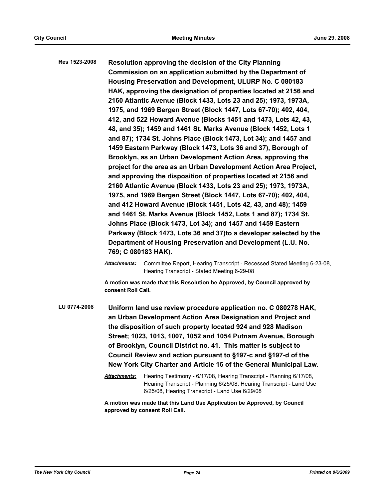**Res 1523-2008 Resolution approving the decision of the City Planning Commission on an application submitted by the Department of Housing Preservation and Development, ULURP No. C 080183 HAK, approving the designation of properties located at 2156 and 2160 Atlantic Avenue (Block 1433, Lots 23 and 25); 1973, 1973A, 1975, and 1969 Bergen Street (Block 1447, Lots 67-70); 402, 404, 412, and 522 Howard Avenue (Blocks 1451 and 1473, Lots 42, 43, 48, and 35); 1459 and 1461 St. Marks Avenue (Block 1452, Lots 1 and 87); 1734 St. Johns Place (Block 1473, Lot 34); and 1457 and 1459 Eastern Parkway (Block 1473, Lots 36 and 37), Borough of Brooklyn, as an Urban Development Action Area, approving the project for the area as an Urban Development Action Area Project, and approving the disposition of properties located at 2156 and 2160 Atlantic Avenue (Block 1433, Lots 23 and 25); 1973, 1973A, 1975, and 1969 Bergen Street (Block 1447, Lots 67-70); 402, 404, and 412 Howard Avenue (Block 1451, Lots 42, 43, and 48); 1459 and 1461 St. Marks Avenue (Block 1452, Lots 1 and 87); 1734 St. Johns Place (Block 1473, Lot 34); and 1457 and 1459 Eastern Parkway (Block 1473, Lots 36 and 37)to a developer selected by the Department of Housing Preservation and Development (L.U. No. 769; C 080183 HAK).**

> *Attachments:* Committee Report, Hearing Transcript - Recessed Stated Meeting 6-23-08, Hearing Transcript - Stated Meeting 6-29-08

**A motion was made that this Resolution be Approved, by Council approved by consent Roll Call.**

**LU 0774-2008 Uniform land use review procedure application no. C 080278 HAK, an Urban Development Action Area Designation and Project and the disposition of such property located 924 and 928 Madison Street; 1023, 1013, 1007, 1052 and 1054 Putnam Avenue, Borough of Brooklyn, Council District no. 41. This matter is subject to Council Review and action pursuant to §197-c and §197-d of the New York City Charter and Article 16 of the General Municipal Law.**

> *Attachments:* Hearing Testimony - 6/17/08, Hearing Transcript - Planning 6/17/08, Hearing Transcript - Planning 6/25/08, Hearing Transcript - Land Use 6/25/08, Hearing Transcript - Land Use 6/29/08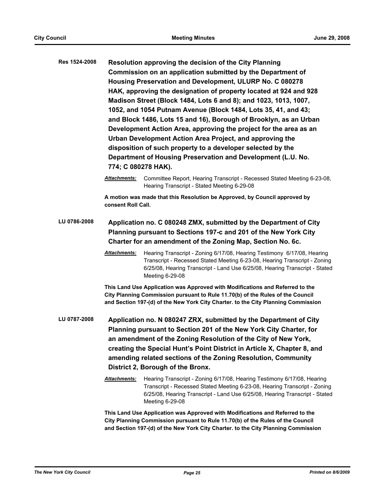| Res 1524-2008 | Resolution approving the decision of the City Planning<br>Commission on an application submitted by the Department of<br>Housing Preservation and Development, ULURP No. C 080278<br>HAK, approving the designation of property located at 924 and 928<br>Madison Street (Block 1484, Lots 6 and 8); and 1023, 1013, 1007,<br>1052, and 1054 Putnam Avenue (Block 1484, Lots 35, 41, and 43;<br>and Block 1486, Lots 15 and 16), Borough of Brooklyn, as an Urban<br>Development Action Area, approving the project for the area as an<br>Urban Development Action Area Project, and approving the<br>disposition of such property to a developer selected by the<br>Department of Housing Preservation and Development (L.U. No.<br>774; C 080278 HAK). |                                                                                                                                                                                                                                                                                                                                                                                            |  |
|---------------|----------------------------------------------------------------------------------------------------------------------------------------------------------------------------------------------------------------------------------------------------------------------------------------------------------------------------------------------------------------------------------------------------------------------------------------------------------------------------------------------------------------------------------------------------------------------------------------------------------------------------------------------------------------------------------------------------------------------------------------------------------|--------------------------------------------------------------------------------------------------------------------------------------------------------------------------------------------------------------------------------------------------------------------------------------------------------------------------------------------------------------------------------------------|--|
|               | Attachments:                                                                                                                                                                                                                                                                                                                                                                                                                                                                                                                                                                                                                                                                                                                                             | Committee Report, Hearing Transcript - Recessed Stated Meeting 6-23-08,<br>Hearing Transcript - Stated Meeting 6-29-08                                                                                                                                                                                                                                                                     |  |
|               | consent Roll Call.                                                                                                                                                                                                                                                                                                                                                                                                                                                                                                                                                                                                                                                                                                                                       | A motion was made that this Resolution be Approved, by Council approved by                                                                                                                                                                                                                                                                                                                 |  |
| LU 0786-2008  | Application no. C 080248 ZMX, submitted by the Department of City<br>Planning pursuant to Sections 197-c and 201 of the New York City<br>Charter for an amendment of the Zoning Map, Section No. 6c.                                                                                                                                                                                                                                                                                                                                                                                                                                                                                                                                                     |                                                                                                                                                                                                                                                                                                                                                                                            |  |
|               | Attachments:                                                                                                                                                                                                                                                                                                                                                                                                                                                                                                                                                                                                                                                                                                                                             | Hearing Transcript - Zoning 6/17/08, Hearing Testimony 6/17/08, Hearing<br>Transcript - Recessed Stated Meeting 6-23-08, Hearing Transcript - Zoning<br>6/25/08, Hearing Transcript - Land Use 6/25/08, Hearing Transcript - Stated<br>Meeting 6-29-08                                                                                                                                     |  |
|               |                                                                                                                                                                                                                                                                                                                                                                                                                                                                                                                                                                                                                                                                                                                                                          | This Land Use Application was Approved with Modifications and Referred to the<br>City Planning Commission pursuant to Rule 11.70(b) of the Rules of the Council<br>and Section 197-(d) of the New York City Charter. to the City Planning Commission                                                                                                                                       |  |
| LU 0787-2008  |                                                                                                                                                                                                                                                                                                                                                                                                                                                                                                                                                                                                                                                                                                                                                          | Application no. N 080247 ZRX, submitted by the Department of City<br>Planning pursuant to Section 201 of the New York City Charter, for<br>an amendment of the Zoning Resolution of the City of New York,<br>creating the Special Hunt's Point District in Article X, Chapter 8, and<br>amending related sections of the Zoning Resolution, Community<br>District 2, Borough of the Bronx. |  |
|               | Attachments:                                                                                                                                                                                                                                                                                                                                                                                                                                                                                                                                                                                                                                                                                                                                             | Hearing Transcript - Zoning 6/17/08, Hearing Testimony 6/17/08, Hearing<br>Transcript - Recessed Stated Meeting 6-23-08, Hearing Transcript - Zoning<br>6/25/08, Hearing Transcript - Land Use 6/25/08, Hearing Transcript - Stated<br>Meeting 6-29-08                                                                                                                                     |  |
|               | This Land Use Application was Approved with Modifications and Referred to the<br>City Planning Commission pursuant to Rule 11.70(b) of the Rules of the Council                                                                                                                                                                                                                                                                                                                                                                                                                                                                                                                                                                                          |                                                                                                                                                                                                                                                                                                                                                                                            |  |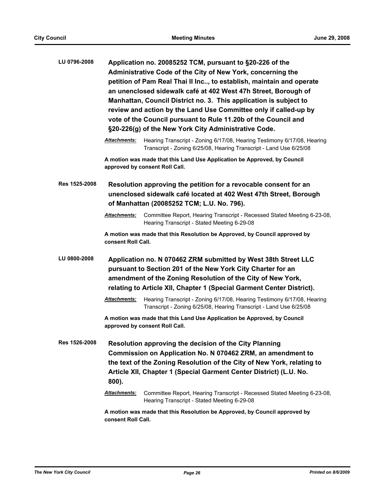| LU 0796-2008  | Application no. 20085252 TCM, pursuant to §20-226 of the<br>Administrative Code of the City of New York, concerning the<br>petition of Pam Real Thai II Inc, to establish, maintain and operate<br>an unenclosed sidewalk café at 402 West 47h Street, Borough of<br>Manhattan, Council District no. 3. This application is subject to<br>review and action by the Land Use Committee only if called-up by<br>vote of the Council pursuant to Rule 11.20b of the Council and<br>§20-226(g) of the New York City Administrative Code. |                                                                                                                                                                                                                                                                       |
|---------------|--------------------------------------------------------------------------------------------------------------------------------------------------------------------------------------------------------------------------------------------------------------------------------------------------------------------------------------------------------------------------------------------------------------------------------------------------------------------------------------------------------------------------------------|-----------------------------------------------------------------------------------------------------------------------------------------------------------------------------------------------------------------------------------------------------------------------|
|               | <b>Attachments:</b>                                                                                                                                                                                                                                                                                                                                                                                                                                                                                                                  | Hearing Transcript - Zoning 6/17/08, Hearing Testimony 6/17/08, Hearing<br>Transcript - Zoning 6/25/08, Hearing Transcript - Land Use 6/25/08                                                                                                                         |
|               |                                                                                                                                                                                                                                                                                                                                                                                                                                                                                                                                      | A motion was made that this Land Use Application be Approved, by Council<br>approved by consent Roll Call.                                                                                                                                                            |
| Res 1525-2008 | Resolution approving the petition for a revocable consent for an<br>unenclosed sidewalk café located at 402 West 47th Street, Borough<br>of Manhattan (20085252 TCM; L.U. No. 796).                                                                                                                                                                                                                                                                                                                                                  |                                                                                                                                                                                                                                                                       |
|               | <b>Attachments:</b>                                                                                                                                                                                                                                                                                                                                                                                                                                                                                                                  | Committee Report, Hearing Transcript - Recessed Stated Meeting 6-23-08,<br>Hearing Transcript - Stated Meeting 6-29-08                                                                                                                                                |
|               | consent Roll Call.                                                                                                                                                                                                                                                                                                                                                                                                                                                                                                                   | A motion was made that this Resolution be Approved, by Council approved by                                                                                                                                                                                            |
| LU 0800-2008  | Application no. N 070462 ZRM submitted by West 38th Street LLC<br>pursuant to Section 201 of the New York City Charter for an<br>amendment of the Zoning Resolution of the City of New York,<br>relating to Article XII, Chapter 1 (Special Garment Center District).                                                                                                                                                                                                                                                                |                                                                                                                                                                                                                                                                       |
|               | <b>Attachments:</b>                                                                                                                                                                                                                                                                                                                                                                                                                                                                                                                  | Hearing Transcript - Zoning 6/17/08, Hearing Testimony 6/17/08, Hearing<br>Transcript - Zoning 6/25/08, Hearing Transcript - Land Use 6/25/08                                                                                                                         |
|               |                                                                                                                                                                                                                                                                                                                                                                                                                                                                                                                                      | A motion was made that this Land Use Application be Approved, by Council<br>approved by consent Roll Call.                                                                                                                                                            |
| Res 1526-2008 | 800).                                                                                                                                                                                                                                                                                                                                                                                                                                                                                                                                | Resolution approving the decision of the City Planning<br>Commission on Application No. N 070462 ZRM, an amendment to<br>the text of the Zoning Resolution of the City of New York, relating to<br>Article XII, Chapter 1 (Special Garment Center District) (L.U. No. |
|               | <b>Attachments:</b>                                                                                                                                                                                                                                                                                                                                                                                                                                                                                                                  | Committee Report, Hearing Transcript - Recessed Stated Meeting 6-23-08,<br>Hearing Transcript - Stated Meeting 6-29-08                                                                                                                                                |
|               | A motion was made that this Resolution be Approved, by Council approved by<br>consent Roll Call.                                                                                                                                                                                                                                                                                                                                                                                                                                     |                                                                                                                                                                                                                                                                       |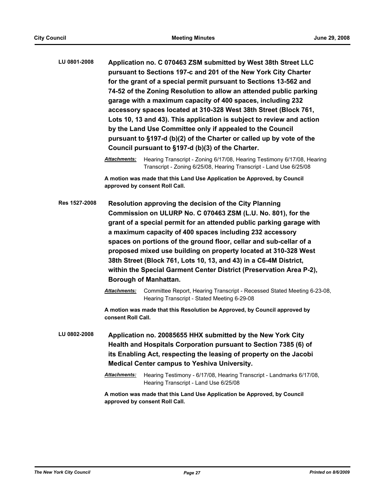**LU 0801-2008 Application no. C 070463 ZSM submitted by West 38th Street LLC pursuant to Sections 197-c and 201 of the New York City Charter for the grant of a special permit pursuant to Sections 13-562 and 74-52 of the Zoning Resolution to allow an attended public parking garage with a maximum capacity of 400 spaces, including 232 accessory spaces located at 310-328 West 38th Street (Block 761, Lots 10, 13 and 43). This application is subject to review and action by the Land Use Committee only if appealed to the Council pursuant to §197-d (b)(2) of the Charter or called up by vote of the Council pursuant to §197-d (b)(3) of the Charter.**

> *Attachments:* Hearing Transcript - Zoning 6/17/08, Hearing Testimony 6/17/08, Hearing Transcript - Zoning 6/25/08, Hearing Transcript - Land Use 6/25/08

**A motion was made that this Land Use Application be Approved, by Council approved by consent Roll Call.**

**Res 1527-2008 Resolution approving the decision of the City Planning Commission on ULURP No. C 070463 ZSM (L.U. No. 801), for the grant of a special permit for an attended public parking garage with a maximum capacity of 400 spaces including 232 accessory spaces on portions of the ground floor, cellar and sub-cellar of a proposed mixed use building on property located at 310-328 West 38th Street (Block 761, Lots 10, 13, and 43) in a C6-4M District, within the Special Garment Center District (Preservation Area P-2), Borough of Manhattan.**

> *Attachments:* Committee Report, Hearing Transcript - Recessed Stated Meeting 6-23-08, Hearing Transcript - Stated Meeting 6-29-08

**A motion was made that this Resolution be Approved, by Council approved by consent Roll Call.**

**LU 0802-2008 Application no. 20085655 HHX submitted by the New York City Health and Hospitals Corporation pursuant to Section 7385 (6) of its Enabling Act, respecting the leasing of property on the Jacobi Medical Center campus to Yeshiva University.**

> *Attachments:* Hearing Testimony - 6/17/08, Hearing Transcript - Landmarks 6/17/08, Hearing Transcript - Land Use 6/25/08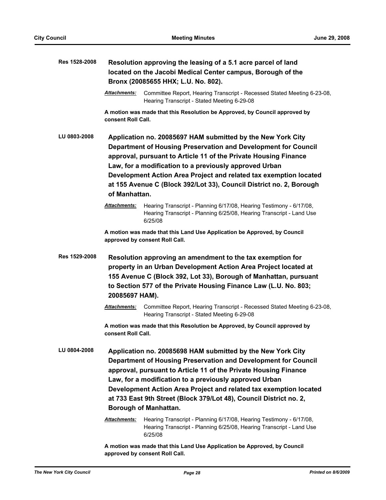| Res 1528-2008 |                                                                                                                                                                                                                                                                                                                                                                                                                         | Resolution approving the leasing of a 5.1 acre parcel of land<br>located on the Jacobi Medical Center campus, Borough of the<br>Bronx (20085655 HHX; L.U. No. 802).                                                                                                                                                                                                                                                                   |
|---------------|-------------------------------------------------------------------------------------------------------------------------------------------------------------------------------------------------------------------------------------------------------------------------------------------------------------------------------------------------------------------------------------------------------------------------|---------------------------------------------------------------------------------------------------------------------------------------------------------------------------------------------------------------------------------------------------------------------------------------------------------------------------------------------------------------------------------------------------------------------------------------|
|               | <b>Attachments:</b>                                                                                                                                                                                                                                                                                                                                                                                                     | Committee Report, Hearing Transcript - Recessed Stated Meeting 6-23-08,<br>Hearing Transcript - Stated Meeting 6-29-08                                                                                                                                                                                                                                                                                                                |
|               | consent Roll Call.                                                                                                                                                                                                                                                                                                                                                                                                      | A motion was made that this Resolution be Approved, by Council approved by                                                                                                                                                                                                                                                                                                                                                            |
| LU 0803-2008  | Application no. 20085697 HAM submitted by the New York City<br>Department of Housing Preservation and Development for Council<br>approval, pursuant to Article 11 of the Private Housing Finance<br>Law, for a modification to a previously approved Urban<br>Development Action Area Project and related tax exemption located<br>at 155 Avenue C (Block 392/Lot 33), Council District no. 2, Borough<br>of Manhattan. |                                                                                                                                                                                                                                                                                                                                                                                                                                       |
|               | Attachments:                                                                                                                                                                                                                                                                                                                                                                                                            | Hearing Transcript - Planning 6/17/08, Hearing Testimony - 6/17/08,<br>Hearing Transcript - Planning 6/25/08, Hearing Transcript - Land Use<br>6/25/08                                                                                                                                                                                                                                                                                |
|               |                                                                                                                                                                                                                                                                                                                                                                                                                         | A motion was made that this Land Use Application be Approved, by Council<br>approved by consent Roll Call.                                                                                                                                                                                                                                                                                                                            |
| Res 1529-2008 | 20085697 HAM).                                                                                                                                                                                                                                                                                                                                                                                                          | Resolution approving an amendment to the tax exemption for<br>property in an Urban Development Action Area Project located at<br>155 Avenue C (Block 392, Lot 33), Borough of Manhattan, pursuant<br>to Section 577 of the Private Housing Finance Law (L.U. No. 803;                                                                                                                                                                 |
|               | <b>Attachments:</b>                                                                                                                                                                                                                                                                                                                                                                                                     | Committee Report, Hearing Transcript - Recessed Stated Meeting 6-23-08,<br>Hearing Transcript - Stated Meeting 6-29-08                                                                                                                                                                                                                                                                                                                |
|               | consent Roll Call.                                                                                                                                                                                                                                                                                                                                                                                                      | A motion was made that this Resolution be Approved, by Council approved by                                                                                                                                                                                                                                                                                                                                                            |
| LU 0804-2008  |                                                                                                                                                                                                                                                                                                                                                                                                                         | Application no. 20085698 HAM submitted by the New York City<br>Department of Housing Preservation and Development for Council<br>approval, pursuant to Article 11 of the Private Housing Finance<br>Law, for a modification to a previously approved Urban<br>Development Action Area Project and related tax exemption located<br>at 733 East 9th Street (Block 379/Lot 48), Council District no. 2,<br><b>Borough of Manhattan.</b> |
|               | Attachments:                                                                                                                                                                                                                                                                                                                                                                                                            | Hearing Transcript - Planning 6/17/08, Hearing Testimony - 6/17/08,<br>Hearing Transcript - Planning 6/25/08, Hearing Transcript - Land Use<br>6/25/08                                                                                                                                                                                                                                                                                |
|               |                                                                                                                                                                                                                                                                                                                                                                                                                         | A motion was made that this Land Use Application be Approved, by Council                                                                                                                                                                                                                                                                                                                                                              |

**approved by consent Roll Call.**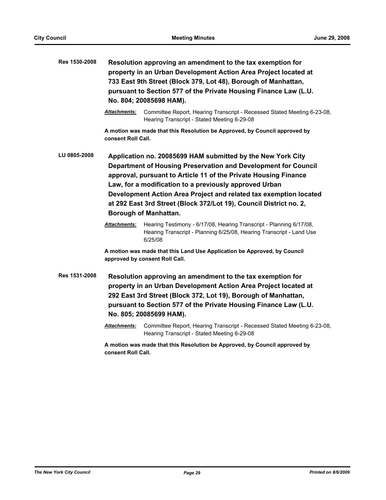| Res 1530-2008 | Resolution approving an amendment to the tax exemption for<br>property in an Urban Development Action Area Project located at<br>733 East 9th Street (Block 379, Lot 48), Borough of Manhattan,<br>pursuant to Section 577 of the Private Housing Finance Law (L.U.<br>No. 804; 20085698 HAM).                                                                                                                                        |                                                                                                                                                                                                                                                                                                |
|---------------|---------------------------------------------------------------------------------------------------------------------------------------------------------------------------------------------------------------------------------------------------------------------------------------------------------------------------------------------------------------------------------------------------------------------------------------|------------------------------------------------------------------------------------------------------------------------------------------------------------------------------------------------------------------------------------------------------------------------------------------------|
|               | <b>Attachments:</b>                                                                                                                                                                                                                                                                                                                                                                                                                   | Committee Report, Hearing Transcript - Recessed Stated Meeting 6-23-08,<br>Hearing Transcript - Stated Meeting 6-29-08                                                                                                                                                                         |
|               | consent Roll Call.                                                                                                                                                                                                                                                                                                                                                                                                                    | A motion was made that this Resolution be Approved, by Council approved by                                                                                                                                                                                                                     |
| LU 0805-2008  | Application no. 20085699 HAM submitted by the New York City<br>Department of Housing Preservation and Development for Council<br>approval, pursuant to Article 11 of the Private Housing Finance<br>Law, for a modification to a previously approved Urban<br>Development Action Area Project and related tax exemption located<br>at 292 East 3rd Street (Block 372/Lot 19), Council District no. 2,<br><b>Borough of Manhattan.</b> |                                                                                                                                                                                                                                                                                                |
|               | <b>Attachments:</b>                                                                                                                                                                                                                                                                                                                                                                                                                   | Hearing Testimony - 6/17/08, Hearing Transcript - Planning 6/17/08,<br>Hearing Transcript - Planning 6/25/08, Hearing Transcript - Land Use<br>6/25/08                                                                                                                                         |
|               |                                                                                                                                                                                                                                                                                                                                                                                                                                       | A motion was made that this Land Use Application be Approved, by Council<br>approved by consent Roll Call.                                                                                                                                                                                     |
| Res 1531-2008 |                                                                                                                                                                                                                                                                                                                                                                                                                                       | Resolution approving an amendment to the tax exemption for<br>property in an Urban Development Action Area Project located at<br>292 East 3rd Street (Block 372, Lot 19), Borough of Manhattan,<br>pursuant to Section 577 of the Private Housing Finance Law (L.U.<br>No. 805; 20085699 HAM). |
|               | Attachments:                                                                                                                                                                                                                                                                                                                                                                                                                          | Committee Report, Hearing Transcript - Recessed Stated Meeting 6-23-08,<br>Hearing Transcript - Stated Meeting 6-29-08                                                                                                                                                                         |
|               | consent Roll Call.                                                                                                                                                                                                                                                                                                                                                                                                                    | A motion was made that this Resolution be Approved, by Council approved by                                                                                                                                                                                                                     |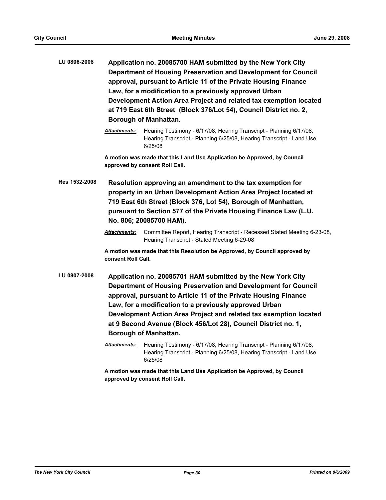| LU 0806-2008  |                                                                                                                                                                                                                                                                                                | Application no. 20085700 HAM submitted by the New York City<br>Department of Housing Preservation and Development for Council<br>approval, pursuant to Article 11 of the Private Housing Finance<br>Law, for a modification to a previously approved Urban<br>Development Action Area Project and related tax exemption located<br>at 719 East 6th Street (Block 376/Lot 54), Council District no. 2,<br><b>Borough of Manhattan.</b> |  |
|---------------|------------------------------------------------------------------------------------------------------------------------------------------------------------------------------------------------------------------------------------------------------------------------------------------------|---------------------------------------------------------------------------------------------------------------------------------------------------------------------------------------------------------------------------------------------------------------------------------------------------------------------------------------------------------------------------------------------------------------------------------------|--|
|               | <b>Attachments:</b>                                                                                                                                                                                                                                                                            | Hearing Testimony - 6/17/08, Hearing Transcript - Planning 6/17/08,<br>Hearing Transcript - Planning 6/25/08, Hearing Transcript - Land Use<br>6/25/08                                                                                                                                                                                                                                                                                |  |
|               |                                                                                                                                                                                                                                                                                                | A motion was made that this Land Use Application be Approved, by Council<br>approved by consent Roll Call.                                                                                                                                                                                                                                                                                                                            |  |
| Res 1532-2008 | Resolution approving an amendment to the tax exemption for<br>property in an Urban Development Action Area Project located at<br>719 East 6th Street (Block 376, Lot 54), Borough of Manhattan,<br>pursuant to Section 577 of the Private Housing Finance Law (L.U.<br>No. 806; 20085700 HAM). |                                                                                                                                                                                                                                                                                                                                                                                                                                       |  |
|               | <b>Attachments:</b>                                                                                                                                                                                                                                                                            | Committee Report, Hearing Transcript - Recessed Stated Meeting 6-23-08,<br>Hearing Transcript - Stated Meeting 6-29-08                                                                                                                                                                                                                                                                                                                |  |
|               | consent Roll Call.                                                                                                                                                                                                                                                                             | A motion was made that this Resolution be Approved, by Council approved by                                                                                                                                                                                                                                                                                                                                                            |  |
| LU 0807-2008  |                                                                                                                                                                                                                                                                                                | Application no. 20085701 HAM submitted by the New York City<br>Department of Housing Preservation and Development for Council<br>approval, pursuant to Article 11 of the Private Housing Finance<br>Law, for a modification to a previously approved Urban<br>Development Action Area Project and related tax exemption located<br>at 9 Second Avenue (Block 456/Lot 28), Council District no. 1,<br><b>Borough of Manhattan.</b>     |  |
|               | Attachments:                                                                                                                                                                                                                                                                                   | Hearing Testimony - 6/17/08, Hearing Transcript - Planning 6/17/08,<br>Hearing Transcript - Planning 6/25/08, Hearing Transcript - Land Use<br>6/25/08                                                                                                                                                                                                                                                                                |  |
|               | A motion was made that this Land Use Application be Approved, by Council<br>approved by consent Roll Call.                                                                                                                                                                                     |                                                                                                                                                                                                                                                                                                                                                                                                                                       |  |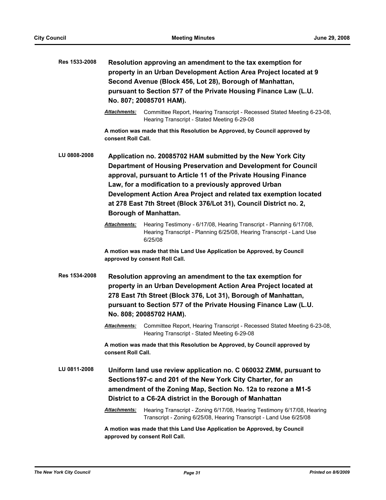| Res 1533-2008 |                      | Resolution approving an amendment to the tax exemption for<br>property in an Urban Development Action Area Project located at 9<br>Second Avenue (Block 456, Lot 28), Borough of Manhattan,<br>pursuant to Section 577 of the Private Housing Finance Law (L.U.<br>No. 807; 20085701 HAM).                                                                                                                                            |  |
|---------------|----------------------|---------------------------------------------------------------------------------------------------------------------------------------------------------------------------------------------------------------------------------------------------------------------------------------------------------------------------------------------------------------------------------------------------------------------------------------|--|
|               | <b>Attachments:</b>  | Committee Report, Hearing Transcript - Recessed Stated Meeting 6-23-08,<br>Hearing Transcript - Stated Meeting 6-29-08                                                                                                                                                                                                                                                                                                                |  |
|               | consent Roll Call.   | A motion was made that this Resolution be Approved, by Council approved by                                                                                                                                                                                                                                                                                                                                                            |  |
| LU 0808-2008  |                      | Application no. 20085702 HAM submitted by the New York City<br>Department of Housing Preservation and Development for Council<br>approval, pursuant to Article 11 of the Private Housing Finance<br>Law, for a modification to a previously approved Urban<br>Development Action Area Project and related tax exemption located<br>at 278 East 7th Street (Block 376/Lot 31), Council District no. 2,<br><b>Borough of Manhattan.</b> |  |
|               | <b>Attachments:</b>  | Hearing Testimony - 6/17/08, Hearing Transcript - Planning 6/17/08,<br>Hearing Transcript - Planning 6/25/08, Hearing Transcript - Land Use<br>6/25/08                                                                                                                                                                                                                                                                                |  |
|               |                      | A motion was made that this Land Use Application be Approved, by Council<br>approved by consent Roll Call.                                                                                                                                                                                                                                                                                                                            |  |
| Res 1534-2008 |                      | Resolution approving an amendment to the tax exemption for<br>property in an Urban Development Action Area Project located at<br>278 East 7th Street (Block 376, Lot 31), Borough of Manhattan,<br>pursuant to Section 577 of the Private Housing Finance Law (L.U.<br>No. 808; 20085702 HAM).                                                                                                                                        |  |
|               | Attachments:         | Committee Report, Hearing Transcript - Recessed Stated Meeting 6-23-08,<br>Hearing Transcript - Stated Meeting 6-29-08                                                                                                                                                                                                                                                                                                                |  |
|               | consent Roll Call.   | A motion was made that this Resolution be Approved, by Council approved by                                                                                                                                                                                                                                                                                                                                                            |  |
| LU 0811-2008  |                      | Uniform land use review application no. C 060032 ZMM, pursuant to<br>Sections 197-c and 201 of the New York City Charter, for an<br>amendment of the Zoning Map, Section No. 12a to rezone a M1-5<br>District to a C6-2A district in the Borough of Manhattan                                                                                                                                                                         |  |
|               | <u> Attachments:</u> | Hearing Transcript - Zoning 6/17/08, Hearing Testimony 6/17/08, Hearing<br>Transcript - Zoning 6/25/08, Hearing Transcript - Land Use 6/25/08                                                                                                                                                                                                                                                                                         |  |
|               |                      | A motion was made that this Land Use Application be Approved, by Council<br>approved by consent Roll Call.                                                                                                                                                                                                                                                                                                                            |  |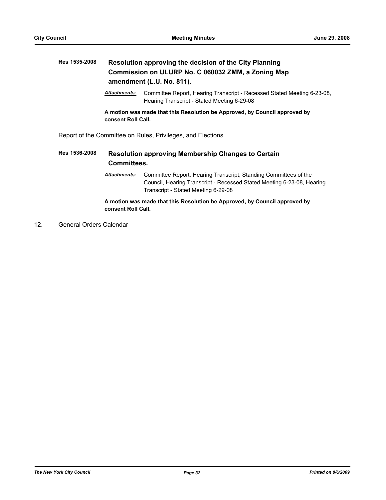# **Res 1535-2008 Resolution approving the decision of the City Planning Commission on ULURP No. C 060032 ZMM, a Zoning Map amendment (L.U. No. 811).**

*Attachments:* Committee Report, Hearing Transcript - Recessed Stated Meeting 6-23-08, Hearing Transcript - Stated Meeting 6-29-08

**A motion was made that this Resolution be Approved, by Council approved by consent Roll Call.**

Report of the Committee on Rules, Privileges, and Elections

# **Res 1536-2008 Resolution approving Membership Changes to Certain Committees.**

*Attachments:* Committee Report, Hearing Transcript, Standing Committees of the Council, Hearing Transcript - Recessed Stated Meeting 6-23-08, Hearing Transcript - Stated Meeting 6-29-08

**A motion was made that this Resolution be Approved, by Council approved by consent Roll Call.**

12. General Orders Calendar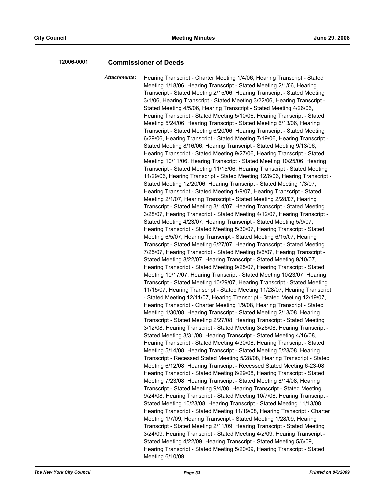### **T2006-0001 Commissioner of Deeds**

*Attachments:* Hearing Transcript - Charter Meeting 1/4/06, Hearing Transcript - Stated Meeting 1/18/06, Hearing Transcript - Stated Meeting 2/1/06, Hearing Transcript - Stated Meeting 2/15/06, Hearing Transcript - Stated Meeting 3/1/06, Hearing Transcript - Stated Meeting 3/22/06, Hearing Transcript - Stated Meeting 4/5/06, Hearing Transcript - Stated Meeting 4/26/06, Hearing Transcript - Stated Meeting 5/10/06, Hearing Transcript - Stated Meeting 5/24/06, Hearing Transcript - Stated Meeting 6/13/06, Hearing Transcript - Stated Meeting 6/20/06, Hearing Transcript - Stated Meeting 6/29/06, Hearing Transcript - Stated Meeting 7/19/06, Hearing Transcript - Stated Meeting 8/16/06, Hearing Transcript - Stated Meeting 9/13/06, Hearing Transcript - Stated Meeting 9/27/06, Hearing Transcript - Stated Meeting 10/11/06, Hearing Transcript - Stated Meeting 10/25/06, Hearing Transcript - Stated Meeting 11/15/06, Hearing Transcript - Stated Meeting 11/29/06, Hearing Transcript - Stated Meeting 12/6/06, Hearing Transcript - Stated Meeting 12/20/06, Hearing Transcript - Stated Meeting 1/3/07, Hearing Transcript - Stated Meeting 1/9/07, Hearing Transcript - Stated Meeting 2/1/07, Hearing Transcript - Stated Meeting 2/28/07, Hearing Transcript - Stated Meeting 3/14/07, Hearing Transcript - Stated Meeting 3/28/07, Hearing Transcript - Stated Meeting 4/12/07, Hearing Transcript - Stated Meeting 4/23/07, Hearing Transcript - Stated Meeting 5/9/07, Hearing Transcript - Stated Meeting 5/30/07, Hearing Transcript - Stated Meeting 6/5/07, Hearing Transcript - Stated Meeting 6/15/07, Hearing Transcript - Stated Meeting 6/27/07, Hearing Transcript - Stated Meeting 7/25/07, Hearing Transcript - Stated Meeting 8/6/07, Hearing Transcript - Stated Meeting 8/22/07, Hearing Transcript - Stated Meeting 9/10/07, Hearing Transcript - Stated Meeting 9/25/07, Hearing Transcript - Stated Meeting 10/17/07, Hearing Transcript - Stated Meeting 10/23/07, Hearing Transcript - Stated Meeting 10/29/07, Hearing Transcript - Stated Meeting 11/15/07, Hearing Transcript - Stated Meeting 11/28/07, Hearing Transcript - Stated Meeting 12/11/07, Hearing Transcript - Stated Meeting 12/19/07, Hearing Transcript - Charter Meeting 1/9/08, Hearing Transcript - Stated Meeting 1/30/08, Hearing Transcript - Stated Meeting 2/13/08, Hearing Transcript - Stated Meeting 2/27/08, Hearing Transcript - Stated Meeting 3/12/08, Hearing Transcript - Stated Meeting 3/26/08, Hearing Transcript - Stated Meeting 3/31/08, Hearing Transcript - Stated Meeting 4/16/08, Hearing Transcript - Stated Meeting 4/30/08, Hearing Transcript - Stated Meeting 5/14/08, Hearing Transcript - Stated Meeting 5/28/08, Hearing Transcript - Recessed Stated Meeting 5/28/08, Hearing Transcript - Stated Meeting 6/12/08, Hearing Transcript - Recessed Stated Meeting 6-23-08, Hearing Transcript - Stated Meeting 6/29/08, Hearing Transcript - Stated Meeting 7/23/08, Hearing Transcript - Stated Meeting 8/14/08, Hearing Transcript - Stated Meeting 9/4/08, Hearing Transcript - Stated Meeting 9/24/08, Hearing Transcript - Stated Meeting 10/7/08, Hearing Transcript - Stated Meeting 10/23/08, Hearing Transcript - Stated Meeting 11/13/08, Hearing Transcript - Stated Meeting 11/19/08, Hearing Transcript - Charter Meeting 1/7/09, Hearing Transcript - Stated Meeting 1/28/09, Hearing Transcript - Stated Meeting 2/11/09, Hearing Transcript - Stated Meeting 3/24/09, Hearing Transcript - Stated Meeting 4/2/09, Hearing Transcript - Stated Meeting 4/22/09, Hearing Transcript - Stated Meeting 5/6/09, Hearing Transcript - Stated Meeting 5/20/09, Hearing Transcript - Stated Meeting 6/10/09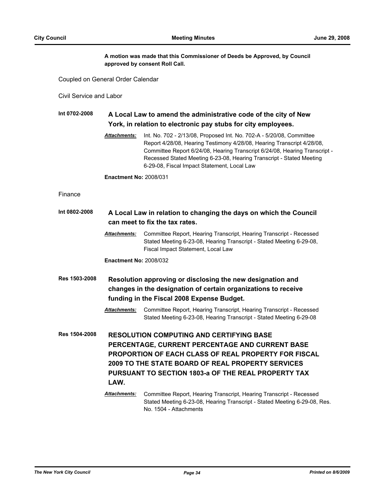**A motion was made that this Commissioner of Deeds be Approved, by Council approved by consent Roll Call.**

Coupled on General Order Calendar

Civil Service and Labor

### **Int 0702-2008 A Local Law to amend the administrative code of the city of New York, in relation to electronic pay stubs for city employees.**

*Attachments:* Int. No. 702 - 2/13/08, Proposed Int. No. 702-A - 5/20/08, Committee Report 4/28/08, Hearing Testimony 4/28/08, Hearing Transcript 4/28/08, Committee Report 6/24/08, Hearing Transcript 6/24/08, Hearing Transcript - Recessed Stated Meeting 6-23-08, Hearing Transcript - Stated Meeting 6-29-08, Fiscal Impact Statement, Local Law

**Enactment No:** 2008/031

### Finance

| Int 0802-2008 | A Local Law in relation to changing the days on which the Council<br>can meet to fix the tax rates.                                                                                                                                                                                          |                                                                                                                                                                                   |  |
|---------------|----------------------------------------------------------------------------------------------------------------------------------------------------------------------------------------------------------------------------------------------------------------------------------------------|-----------------------------------------------------------------------------------------------------------------------------------------------------------------------------------|--|
|               | <b>Attachments:</b>                                                                                                                                                                                                                                                                          | Committee Report, Hearing Transcript, Hearing Transcript - Recessed<br>Stated Meeting 6-23-08, Hearing Transcript - Stated Meeting 6-29-08,<br>Fiscal Impact Statement, Local Law |  |
|               | <b>Enactment No: 2008/032</b>                                                                                                                                                                                                                                                                |                                                                                                                                                                                   |  |
| Res 1503-2008 |                                                                                                                                                                                                                                                                                              | Resolution approving or disclosing the new designation and<br>changes in the designation of certain organizations to receive<br>funding in the Fiscal 2008 Expense Budget.        |  |
|               | <b>Attachments:</b>                                                                                                                                                                                                                                                                          | Committee Report, Hearing Transcript, Hearing Transcript - Recessed<br>Stated Meeting 6-23-08, Hearing Transcript - Stated Meeting 6-29-08                                        |  |
| Res 1504-2008 | <b>RESOLUTION COMPUTING AND CERTIFYING BASE</b><br>PERCENTAGE, CURRENT PERCENTAGE AND CURRENT BASE<br><b>PROPORTION OF EACH CLASS OF REAL PROPERTY FOR FISCAL</b><br>2009 TO THE STATE BOARD OF REAL PROPERTY SERVICES<br><b>PURSUANT TO SECTION 1803-a OF THE REAL PROPERTY TAX</b><br>LAW. |                                                                                                                                                                                   |  |
|               | <b>Attachments:</b>                                                                                                                                                                                                                                                                          | Committee Report, Hearing Transcript, Hearing Transcript - Recessed<br>Stated Meeting 6-23-08, Hearing Transcript - Stated Meeting 6-29-08, Res.<br>No. 1504 - Attachments        |  |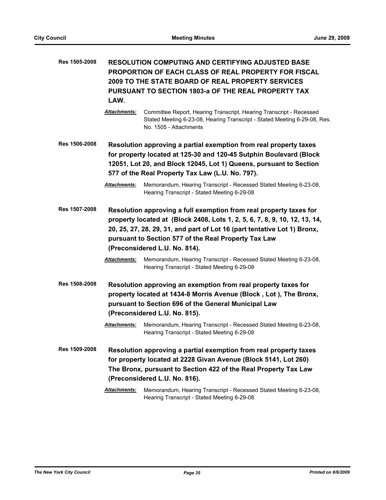| Res 1505-2008        | LAW.                                                                                                                                                                                                                                                              | <b>RESOLUTION COMPUTING AND CERTIFYING ADJUSTED BASE</b><br><b>PROPORTION OF EACH CLASS OF REAL PROPERTY FOR FISCAL</b><br>2009 TO THE STATE BOARD OF REAL PROPERTY SERVICES<br><b>PURSUANT TO SECTION 1803-a OF THE REAL PROPERTY TAX</b>                                                                                                                                                 |
|----------------------|-------------------------------------------------------------------------------------------------------------------------------------------------------------------------------------------------------------------------------------------------------------------|--------------------------------------------------------------------------------------------------------------------------------------------------------------------------------------------------------------------------------------------------------------------------------------------------------------------------------------------------------------------------------------------|
|                      | Attachments:                                                                                                                                                                                                                                                      | Committee Report, Hearing Transcript, Hearing Transcript - Recessed<br>Stated Meeting 6-23-08, Hearing Transcript - Stated Meeting 6-29-08, Res.<br>No. 1505 - Attachments                                                                                                                                                                                                                 |
| Res 1506-2008        | Resolution approving a partial exemption from real property taxes<br>for property located at 125-30 and 120-45 Sutphin Boulevard (Block<br>12051, Lot 20, and Block 12045, Lot 1) Queens, pursuant to Section<br>577 of the Real Property Tax Law (L.U. No. 797). |                                                                                                                                                                                                                                                                                                                                                                                            |
|                      | <b>Attachments:</b>                                                                                                                                                                                                                                               | Memorandum, Hearing Transcript - Recessed Stated Meeting 6-23-08,<br>Hearing Transcript - Stated Meeting 6-29-08                                                                                                                                                                                                                                                                           |
| <b>Res 1507-2008</b> | <b>Attachments:</b>                                                                                                                                                                                                                                               | Resolution approving a full exemption from real property taxes for<br>property located at (Block 2408, Lots 1, 2, 5, 6, 7, 8, 9, 10, 12, 13, 14,<br>20, 25, 27, 28, 29, 31, and part of Lot 16 (part tentative Lot 1) Bronx,<br>pursuant to Section 577 of the Real Property Tax Law<br>(Preconsidered L.U. No. 814).<br>Memorandum, Hearing Transcript - Recessed Stated Meeting 6-23-08, |
| Res 1508-2008        |                                                                                                                                                                                                                                                                   | Hearing Transcript - Stated Meeting 6-29-08<br>Resolution approving an exemption from real property taxes for<br>property located at 1434-8 Morris Avenue (Block, Lot), The Bronx,<br>pursuant to Section 696 of the General Municipal Law<br>(Preconsidered L.U. No. 815).                                                                                                                |
|                      | <b>Attachments:</b>                                                                                                                                                                                                                                               | Memorandum, Hearing Transcript - Recessed Stated Meeting 6-23-08,<br>Hearing Transcript - Stated Meeting 6-29-08                                                                                                                                                                                                                                                                           |
| <b>Res 1509-2008</b> |                                                                                                                                                                                                                                                                   | Resolution approving a partial exemption from real property taxes<br>for property located at 2228 Givan Avenue (Block 5141, Lot 260)<br>The Bronx, pursuant to Section 422 of the Real Property Tax Law<br>(Preconsidered L.U. No. 816).                                                                                                                                                   |
|                      | Attachments:                                                                                                                                                                                                                                                      | Memorandum, Hearing Transcript - Recessed Stated Meeting 6-23-08,<br>Hearing Transcript - Stated Meeting 6-29-08                                                                                                                                                                                                                                                                           |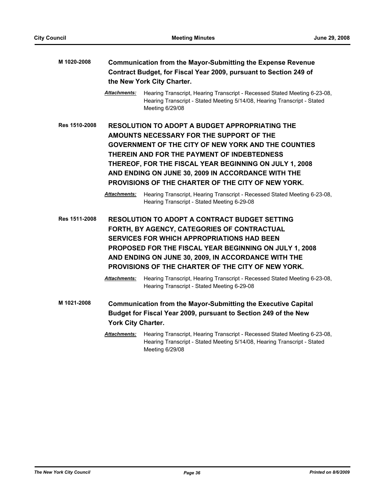| M 1020-2008   | <b>Communication from the Mayor-Submitting the Expense Revenue</b><br>Contract Budget, for Fiscal Year 2009, pursuant to Section 249 of<br>the New York City Charter. |                                                                                                                                                                                                                                                                                                                                                                                      |
|---------------|-----------------------------------------------------------------------------------------------------------------------------------------------------------------------|--------------------------------------------------------------------------------------------------------------------------------------------------------------------------------------------------------------------------------------------------------------------------------------------------------------------------------------------------------------------------------------|
|               | <u> Attachments:</u>                                                                                                                                                  | Hearing Transcript, Hearing Transcript - Recessed Stated Meeting 6-23-08,<br>Hearing Transcript - Stated Meeting 5/14/08, Hearing Transcript - Stated<br>Meeting 6/29/08                                                                                                                                                                                                             |
| Res 1510-2008 |                                                                                                                                                                       | <b>RESOLUTION TO ADOPT A BUDGET APPROPRIATING THE</b><br>AMOUNTS NECESSARY FOR THE SUPPORT OF THE<br><b>GOVERNMENT OF THE CITY OF NEW YORK AND THE COUNTIES</b><br>THEREIN AND FOR THE PAYMENT OF INDEBTEDNESS<br>THEREOF, FOR THE FISCAL YEAR BEGINNING ON JULY 1, 2008<br>AND ENDING ON JUNE 30, 2009 IN ACCORDANCE WITH THE<br>PROVISIONS OF THE CHARTER OF THE CITY OF NEW YORK. |
|               | Attachments:                                                                                                                                                          | Hearing Transcript, Hearing Transcript - Recessed Stated Meeting 6-23-08,<br>Hearing Transcript - Stated Meeting 6-29-08                                                                                                                                                                                                                                                             |
| Res 1511-2008 |                                                                                                                                                                       | <b>RESOLUTION TO ADOPT A CONTRACT BUDGET SETTING</b><br>FORTH, BY AGENCY, CATEGORIES OF CONTRACTUAL<br><b>SERVICES FOR WHICH APPROPRIATIONS HAD BEEN</b><br>PROPOSED FOR THE FISCAL YEAR BEGINNING ON JULY 1, 2008<br>AND ENDING ON JUNE 30, 2009, IN ACCORDANCE WITH THE<br>PROVISIONS OF THE CHARTER OF THE CITY OF NEW YORK.                                                      |
|               | <b>Attachments:</b>                                                                                                                                                   | Hearing Transcript, Hearing Transcript - Recessed Stated Meeting 6-23-08,<br>Hearing Transcript - Stated Meeting 6-29-08                                                                                                                                                                                                                                                             |
| M 1021-2008   | York City Charter.                                                                                                                                                    | <b>Communication from the Mayor-Submitting the Executive Capital</b><br>Budget for Fiscal Year 2009, pursuant to Section 249 of the New                                                                                                                                                                                                                                              |
|               | <u> Attachments:</u>                                                                                                                                                  | Hearing Transcript, Hearing Transcript - Recessed Stated Meeting 6-23-08,<br>Hearing Transcript - Stated Meeting 5/14/08, Hearing Transcript - Stated<br>Meeting 6/29/08                                                                                                                                                                                                             |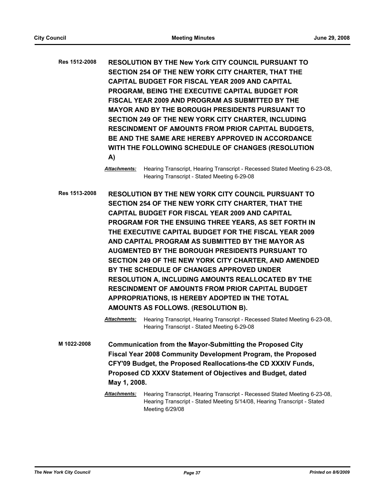**Res 1512-2008 RESOLUTION BY THE New York CITY COUNCIL PURSUANT TO SECTION 254 OF THE NEW YORK CITY CHARTER, THAT THE CAPITAL BUDGET FOR FISCAL YEAR 2009 AND CAPITAL PROGRAM, BEING THE EXECUTIVE CAPITAL BUDGET FOR FISCAL YEAR 2009 AND PROGRAM AS SUBMITTED BY THE MAYOR AND BY THE BOROUGH PRESIDENTS PURSUANT TO SECTION 249 OF THE NEW YORK CITY CHARTER, INCLUDING RESCINDMENT OF AMOUNTS FROM PRIOR CAPITAL BUDGETS, BE AND THE SAME ARE HEREBY APPROVED IN ACCORDANCE WITH THE FOLLOWING SCHEDULE OF CHANGES (RESOLUTION A)**

> *Attachments:* Hearing Transcript, Hearing Transcript - Recessed Stated Meeting 6-23-08, Hearing Transcript - Stated Meeting 6-29-08

**Res 1513-2008 RESOLUTION BY THE NEW YORK CITY COUNCIL PURSUANT TO SECTION 254 OF THE NEW YORK CITY CHARTER, THAT THE CAPITAL BUDGET FOR FISCAL YEAR 2009 AND CAPITAL PROGRAM FOR THE ENSUING THREE YEARS, AS SET FORTH IN THE EXECUTIVE CAPITAL BUDGET FOR THE FISCAL YEAR 2009 AND CAPITAL PROGRAM AS SUBMITTED BY THE MAYOR AS AUGMENTED BY THE BOROUGH PRESIDENTS PURSUANT TO SECTION 249 OF THE NEW YORK CITY CHARTER, AND AMENDED BY THE SCHEDULE OF CHANGES APPROVED UNDER RESOLUTION A, INCLUDING AMOUNTS REALLOCATED BY THE RESCINDMENT OF AMOUNTS FROM PRIOR CAPITAL BUDGET APPROPRIATIONS, IS HEREBY ADOPTED IN THE TOTAL AMOUNTS AS FOLLOWS. (RESOLUTION B).**

> *Attachments:* Hearing Transcript, Hearing Transcript - Recessed Stated Meeting 6-23-08, Hearing Transcript - Stated Meeting 6-29-08

**M 1022-2008 Communication from the Mayor-Submitting the Proposed City Fiscal Year 2008 Community Development Program, the Proposed CFY'09 Budget, the Proposed Reallocations-the CD XXXIV Funds, Proposed CD XXXV Statement of Objectives and Budget, dated May 1, 2008.**

*Attachments:* Hearing Transcript, Hearing Transcript - Recessed Stated Meeting 6-23-08, Hearing Transcript - Stated Meeting 5/14/08, Hearing Transcript - Stated Meeting 6/29/08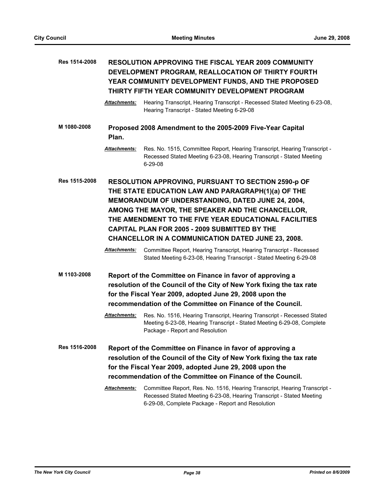| Res 1514-2008 | <b>RESOLUTION APPROVING THE FISCAL YEAR 2009 COMMUNITY</b><br>DEVELOPMENT PROGRAM, REALLOCATION OF THIRTY FOURTH<br>YEAR COMMUNITY DEVELOPMENT FUNDS, AND THE PROPOSED<br>THIRTY FIFTH YEAR COMMUNITY DEVELOPMENT PROGRAM                                                                                                                                                                 |                                                                                                                                                                                                                                                                                                                                                                                                                                                                         |
|---------------|-------------------------------------------------------------------------------------------------------------------------------------------------------------------------------------------------------------------------------------------------------------------------------------------------------------------------------------------------------------------------------------------|-------------------------------------------------------------------------------------------------------------------------------------------------------------------------------------------------------------------------------------------------------------------------------------------------------------------------------------------------------------------------------------------------------------------------------------------------------------------------|
|               | <b>Attachments:</b>                                                                                                                                                                                                                                                                                                                                                                       | Hearing Transcript, Hearing Transcript - Recessed Stated Meeting 6-23-08,<br>Hearing Transcript - Stated Meeting 6-29-08                                                                                                                                                                                                                                                                                                                                                |
| M 1080-2008   | Plan.                                                                                                                                                                                                                                                                                                                                                                                     | Proposed 2008 Amendment to the 2005-2009 Five-Year Capital                                                                                                                                                                                                                                                                                                                                                                                                              |
|               | Attachments:                                                                                                                                                                                                                                                                                                                                                                              | Res. No. 1515, Committee Report, Hearing Transcript, Hearing Transcript -<br>Recessed Stated Meeting 6-23-08, Hearing Transcript - Stated Meeting<br>$6 - 29 - 08$                                                                                                                                                                                                                                                                                                      |
| Res 1515-2008 | RESOLUTION APPROVING, PURSUANT TO SECTION 2590-p OF<br>THE STATE EDUCATION LAW AND PARAGRAPH(1)(a) OF THE<br>MEMORANDUM OF UNDERSTANDING, DATED JUNE 24, 2004,<br>AMONG THE MAYOR, THE SPEAKER AND THE CHANCELLOR,<br>THE AMENDMENT TO THE FIVE YEAR EDUCATIONAL FACILITIES<br>CAPITAL PLAN FOR 2005 - 2009 SUBMITTED BY THE<br><b>CHANCELLOR IN A COMMUNICATION DATED JUNE 23, 2008.</b> |                                                                                                                                                                                                                                                                                                                                                                                                                                                                         |
|               | Attachments:                                                                                                                                                                                                                                                                                                                                                                              | Committee Report, Hearing Transcript, Hearing Transcript - Recessed<br>Stated Meeting 6-23-08, Hearing Transcript - Stated Meeting 6-29-08                                                                                                                                                                                                                                                                                                                              |
| M 1103-2008   | <b>Attachments:</b>                                                                                                                                                                                                                                                                                                                                                                       | Report of the Committee on Finance in favor of approving a<br>resolution of the Council of the City of New York fixing the tax rate<br>for the Fiscal Year 2009, adopted June 29, 2008 upon the<br>recommendation of the Committee on Finance of the Council.<br>Res. No. 1516, Hearing Transcript, Hearing Transcript - Recessed Stated<br>Meeting 6-23-08, Hearing Transcript - Stated Meeting 6-29-08, Complete<br>Package - Report and Resolution                   |
| Res 1516-2008 | Attachments:                                                                                                                                                                                                                                                                                                                                                                              | Report of the Committee on Finance in favor of approving a<br>resolution of the Council of the City of New York fixing the tax rate<br>for the Fiscal Year 2009, adopted June 29, 2008 upon the<br>recommendation of the Committee on Finance of the Council.<br>Committee Report, Res. No. 1516, Hearing Transcript, Hearing Transcript -<br>Recessed Stated Meeting 6-23-08, Hearing Transcript - Stated Meeting<br>6-29-08, Complete Package - Report and Resolution |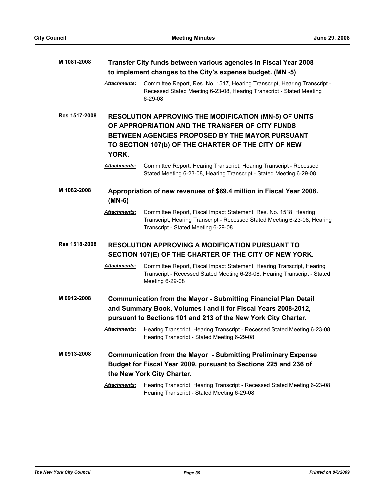| M 1081-2008   | Transfer City funds between various agencies in Fiscal Year 2008<br>to implement changes to the City's expense budget. (MN -5)                                                                             |                                                                                                                                                                                       |  |
|---------------|------------------------------------------------------------------------------------------------------------------------------------------------------------------------------------------------------------|---------------------------------------------------------------------------------------------------------------------------------------------------------------------------------------|--|
|               | Attachments:                                                                                                                                                                                               | Committee Report, Res. No. 1517, Hearing Transcript, Hearing Transcript -<br>Recessed Stated Meeting 6-23-08, Hearing Transcript - Stated Meeting<br>6-29-08                          |  |
| Res 1517-2008 |                                                                                                                                                                                                            | <b>RESOLUTION APPROVING THE MODIFICATION (MN-5) OF UNITS</b><br>OF APPROPRIATION AND THE TRANSFER OF CITY FUNDS                                                                       |  |
|               | YORK.                                                                                                                                                                                                      | BETWEEN AGENCIES PROPOSED BY THE MAYOR PURSUANT<br>TO SECTION 107(b) OF THE CHARTER OF THE CITY OF NEW                                                                                |  |
|               | Attachments:                                                                                                                                                                                               | Committee Report, Hearing Transcript, Hearing Transcript - Recessed<br>Stated Meeting 6-23-08, Hearing Transcript - Stated Meeting 6-29-08                                            |  |
| M 1082-2008   | $(MN-6)$                                                                                                                                                                                                   | Appropriation of new revenues of \$69.4 million in Fiscal Year 2008.                                                                                                                  |  |
|               | <b>Attachments:</b>                                                                                                                                                                                        | Committee Report, Fiscal Impact Statement, Res. No. 1518, Hearing<br>Transcript, Hearing Transcript - Recessed Stated Meeting 6-23-08, Hearing<br>Transcript - Stated Meeting 6-29-08 |  |
| Res 1518-2008 |                                                                                                                                                                                                            | <b>RESOLUTION APPROVING A MODIFICATION PURSUANT TO</b><br>SECTION 107(E) OF THE CHARTER OF THE CITY OF NEW YORK.                                                                      |  |
|               | <b>Attachments:</b>                                                                                                                                                                                        | Committee Report, Fiscal Impact Statement, Hearing Transcript, Hearing<br>Transcript - Recessed Stated Meeting 6-23-08, Hearing Transcript - Stated<br>Meeting 6-29-08                |  |
| M 0912-2008   | <b>Communication from the Mayor - Submitting Financial Plan Detail</b><br>and Summary Book, Volumes I and II for Fiscal Years 2008-2012,<br>pursuant to Sections 101 and 213 of the New York City Charter. |                                                                                                                                                                                       |  |
|               | <b>Attachments:</b>                                                                                                                                                                                        | Hearing Transcript, Hearing Transcript - Recessed Stated Meeting 6-23-08,<br>Hearing Transcript - Stated Meeting 6-29-08                                                              |  |
| M 0913-2008   |                                                                                                                                                                                                            | <b>Communication from the Mayor - Submitting Preliminary Expense</b><br>Budget for Fiscal Year 2009, pursuant to Sections 225 and 236 of<br>the New York City Charter.                |  |
|               | <b>Attachments:</b>                                                                                                                                                                                        | Hearing Transcript, Hearing Transcript - Recessed Stated Meeting 6-23-08,<br>Hearing Transcript - Stated Meeting 6-29-08                                                              |  |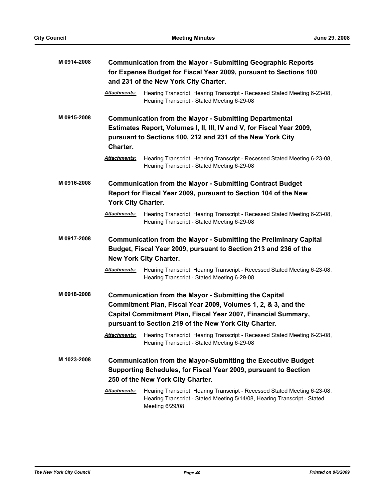| M 0914-2008 | <b>Communication from the Mayor - Submitting Geographic Reports</b><br>for Expense Budget for Fiscal Year 2009, pursuant to Sections 100<br>and 231 of the New York City Charter.                                                                       |                                                                                                                                                                                                                                                                                   |
|-------------|---------------------------------------------------------------------------------------------------------------------------------------------------------------------------------------------------------------------------------------------------------|-----------------------------------------------------------------------------------------------------------------------------------------------------------------------------------------------------------------------------------------------------------------------------------|
|             | <b>Attachments:</b>                                                                                                                                                                                                                                     | Hearing Transcript, Hearing Transcript - Recessed Stated Meeting 6-23-08,<br>Hearing Transcript - Stated Meeting 6-29-08                                                                                                                                                          |
| M 0915-2008 | Charter.<br>Attachments:                                                                                                                                                                                                                                | <b>Communication from the Mayor - Submitting Departmental</b><br>Estimates Report, Volumes I, II, III, IV and V, for Fiscal Year 2009,<br>pursuant to Sections 100, 212 and 231 of the New York City<br>Hearing Transcript, Hearing Transcript - Recessed Stated Meeting 6-23-08, |
|             |                                                                                                                                                                                                                                                         | Hearing Transcript - Stated Meeting 6-29-08                                                                                                                                                                                                                                       |
| M 0916-2008 | York City Charter.                                                                                                                                                                                                                                      | <b>Communication from the Mayor - Submitting Contract Budget</b><br>Report for Fiscal Year 2009, pursuant to Section 104 of the New                                                                                                                                               |
|             | <b>Attachments:</b>                                                                                                                                                                                                                                     | Hearing Transcript, Hearing Transcript - Recessed Stated Meeting 6-23-08,<br>Hearing Transcript - Stated Meeting 6-29-08                                                                                                                                                          |
| M 0917-2008 |                                                                                                                                                                                                                                                         | <b>Communication from the Mayor - Submitting the Preliminary Capital</b><br>Budget, Fiscal Year 2009, pursuant to Section 213 and 236 of the<br><b>New York City Charter.</b>                                                                                                     |
|             | <b>Attachments:</b>                                                                                                                                                                                                                                     | Hearing Transcript, Hearing Transcript - Recessed Stated Meeting 6-23-08,<br>Hearing Transcript - Stated Meeting 6-29-08                                                                                                                                                          |
| M 0918-2008 | <b>Communication from the Mayor - Submitting the Capital</b><br>Commitment Plan, Fiscal Year 2009, Volumes 1, 2, & 3, and the<br>Capital Commitment Plan, Fiscal Year 2007, Financial Summary,<br>pursuant to Section 219 of the New York City Charter. |                                                                                                                                                                                                                                                                                   |
|             | Attachments:                                                                                                                                                                                                                                            | Hearing Transcript, Hearing Transcript - Recessed Stated Meeting 6-23-08,<br>Hearing Transcript - Stated Meeting 6-29-08                                                                                                                                                          |
| M 1023-2008 |                                                                                                                                                                                                                                                         | <b>Communication from the Mayor-Submitting the Executive Budget</b><br>Supporting Schedules, for Fiscal Year 2009, pursuant to Section<br>250 of the New York City Charter.                                                                                                       |
|             | Attachments:                                                                                                                                                                                                                                            | Hearing Transcript, Hearing Transcript - Recessed Stated Meeting 6-23-08,<br>Hearing Transcript - Stated Meeting 5/14/08, Hearing Transcript - Stated<br>Meeting 6/29/08                                                                                                          |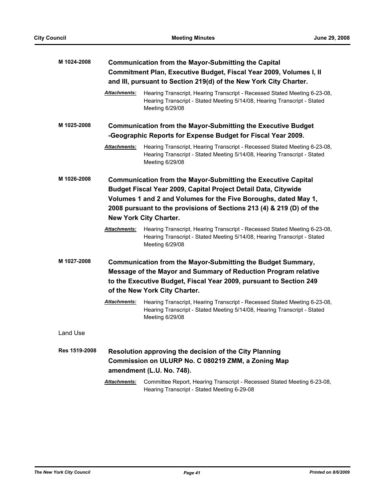| M 1024-2008          | <b>Communication from the Mayor-Submitting the Capital</b><br>Commitment Plan, Executive Budget, Fiscal Year 2009, Volumes I, II<br>and III, pursuant to Section 219(d) of the New York City Charter.                                                                                                              |                                                                                                                                                                          |
|----------------------|--------------------------------------------------------------------------------------------------------------------------------------------------------------------------------------------------------------------------------------------------------------------------------------------------------------------|--------------------------------------------------------------------------------------------------------------------------------------------------------------------------|
|                      | Attachments:                                                                                                                                                                                                                                                                                                       | Hearing Transcript, Hearing Transcript - Recessed Stated Meeting 6-23-08,<br>Hearing Transcript - Stated Meeting 5/14/08, Hearing Transcript - Stated<br>Meeting 6/29/08 |
| M 1025-2008          |                                                                                                                                                                                                                                                                                                                    | <b>Communication from the Mayor-Submitting the Executive Budget</b><br>-Geographic Reports for Expense Budget for Fiscal Year 2009.                                      |
|                      | Attachments:                                                                                                                                                                                                                                                                                                       | Hearing Transcript, Hearing Transcript - Recessed Stated Meeting 6-23-08,<br>Hearing Transcript - Stated Meeting 5/14/08, Hearing Transcript - Stated<br>Meeting 6/29/08 |
| M 1026-2008          | <b>Communication from the Mayor-Submitting the Executive Capital</b><br>Budget Fiscal Year 2009, Capital Project Detail Data, Citywide<br>Volumes 1 and 2 and Volumes for the Five Boroughs, dated May 1,<br>2008 pursuant to the provisions of Sections 213 (4) & 219 (D) of the<br><b>New York City Charter.</b> |                                                                                                                                                                          |
|                      | <b>Attachments:</b>                                                                                                                                                                                                                                                                                                | Hearing Transcript, Hearing Transcript - Recessed Stated Meeting 6-23-08,<br>Hearing Transcript - Stated Meeting 5/14/08, Hearing Transcript - Stated<br>Meeting 6/29/08 |
| M 1027-2008          | Communication from the Mayor-Submitting the Budget Summary,<br>Message of the Mayor and Summary of Reduction Program relative<br>to the Executive Budget, Fiscal Year 2009, pursuant to Section 249<br>of the New York City Charter.                                                                               |                                                                                                                                                                          |
|                      | <b>Attachments:</b>                                                                                                                                                                                                                                                                                                | Hearing Transcript, Hearing Transcript - Recessed Stated Meeting 6-23-08,<br>Hearing Transcript - Stated Meeting 5/14/08, Hearing Transcript - Stated<br>Meeting 6/29/08 |
| Land Use             |                                                                                                                                                                                                                                                                                                                    |                                                                                                                                                                          |
| <b>Res 1519-2008</b> | Resolution approving the decision of the City Planning<br>Commission on ULURP No. C 080219 ZMM, a Zoning Map<br>amendment (L.U. No. 748).                                                                                                                                                                          |                                                                                                                                                                          |
|                      | Attachments:                                                                                                                                                                                                                                                                                                       | Committee Report, Hearing Transcript - Recessed Stated Meeting 6-23-08,<br>Hearing Transcript - Stated Meeting 6-29-08                                                   |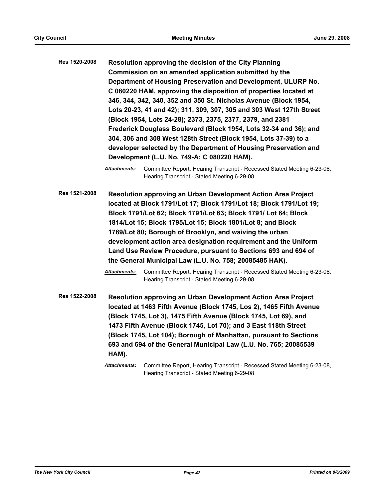| Res 1520-2008 | Resolution approving the decision of the City Planning               |
|---------------|----------------------------------------------------------------------|
|               | Commission on an amended application submitted by the                |
|               | Department of Housing Preservation and Development, ULURP No.        |
|               | C 080220 HAM, approving the disposition of properties located at     |
|               | 346, 344, 342, 340, 352 and 350 St. Nicholas Avenue (Block 1954,     |
|               | Lots 20-23, 41 and 42); 311, 309, 307, 305 and 303 West 127th Street |
|               | (Block 1954, Lots 24-28); 2373, 2375, 2377, 2379, and 2381           |
|               | Frederick Douglass Boulevard (Block 1954, Lots 32-34 and 36); and    |
|               | 304, 306 and 308 West 128th Street (Block 1954, Lots 37-39) to a     |
|               | developer selected by the Department of Housing Preservation and     |
|               | Development (L.U. No. 749-A; C 080220 HAM).                          |

**Res 1521-2008 Resolution approving an Urban Development Action Area Project located at Block 1791/Lot 17; Block 1791/Lot 18; Block 1791/Lot 19; Block 1791/Lot 62; Block 1791/Lot 63; Block 1791/ Lot 64; Block 1814/Lot 15; Block 1795/Lot 15; Block 1801/Lot 8; and Block 1789/Lot 80; Borough of Brooklyn, and waiving the urban development action area designation requirement and the Uniform Land Use Review Procedure, pursuant to Sections 693 and 694 of the General Municipal Law (L.U. No. 758; 20085485 HAK).**

> *Attachments:* Committee Report, Hearing Transcript - Recessed Stated Meeting 6-23-08, Hearing Transcript - Stated Meeting 6-29-08

**Res 1522-2008 Resolution approving an Urban Development Action Area Project located at 1463 Fifth Avenue (Block 1745, Los 2), 1465 Fifth Avenue (Block 1745, Lot 3), 1475 Fifth Avenue (Block 1745, Lot 69), and 1473 Fifth Avenue (Block 1745, Lot 70); and 3 East 118th Street (Block 1745, Lot 104); Borough of Manhattan, pursuant to Sections 693 and 694 of the General Municipal Law (L.U. No. 765; 20085539 HAM).**

*Attachments:* Committee Report, Hearing Transcript - Recessed Stated Meeting 6-23-08, Hearing Transcript - Stated Meeting 6-29-08

*Attachments:* Committee Report, Hearing Transcript - Recessed Stated Meeting 6-23-08, Hearing Transcript - Stated Meeting 6-29-08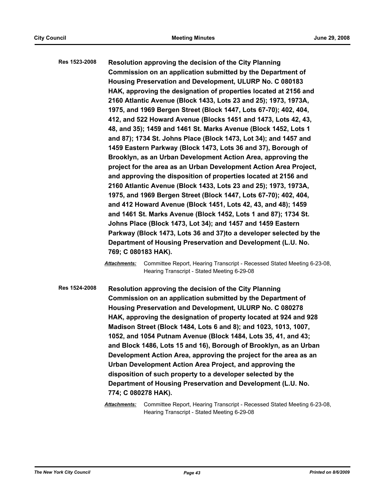**Res 1523-2008 Resolution approving the decision of the City Planning Commission on an application submitted by the Department of Housing Preservation and Development, ULURP No. C 080183 HAK, approving the designation of properties located at 2156 and 2160 Atlantic Avenue (Block 1433, Lots 23 and 25); 1973, 1973A, 1975, and 1969 Bergen Street (Block 1447, Lots 67-70); 402, 404, 412, and 522 Howard Avenue (Blocks 1451 and 1473, Lots 42, 43, 48, and 35); 1459 and 1461 St. Marks Avenue (Block 1452, Lots 1 and 87); 1734 St. Johns Place (Block 1473, Lot 34); and 1457 and 1459 Eastern Parkway (Block 1473, Lots 36 and 37), Borough of Brooklyn, as an Urban Development Action Area, approving the project for the area as an Urban Development Action Area Project, and approving the disposition of properties located at 2156 and 2160 Atlantic Avenue (Block 1433, Lots 23 and 25); 1973, 1973A, 1975, and 1969 Bergen Street (Block 1447, Lots 67-70); 402, 404, and 412 Howard Avenue (Block 1451, Lots 42, 43, and 48); 1459 and 1461 St. Marks Avenue (Block 1452, Lots 1 and 87); 1734 St. Johns Place (Block 1473, Lot 34); and 1457 and 1459 Eastern Parkway (Block 1473, Lots 36 and 37)to a developer selected by the Department of Housing Preservation and Development (L.U. No. 769; C 080183 HAK).**

> *Attachments:* Committee Report, Hearing Transcript - Recessed Stated Meeting 6-23-08, Hearing Transcript - Stated Meeting 6-29-08

**Res 1524-2008 Resolution approving the decision of the City Planning Commission on an application submitted by the Department of Housing Preservation and Development, ULURP No. C 080278 HAK, approving the designation of property located at 924 and 928 Madison Street (Block 1484, Lots 6 and 8); and 1023, 1013, 1007, 1052, and 1054 Putnam Avenue (Block 1484, Lots 35, 41, and 43; and Block 1486, Lots 15 and 16), Borough of Brooklyn, as an Urban Development Action Area, approving the project for the area as an Urban Development Action Area Project, and approving the disposition of such property to a developer selected by the Department of Housing Preservation and Development (L.U. No. 774; C 080278 HAK).**

> *Attachments:* Committee Report, Hearing Transcript - Recessed Stated Meeting 6-23-08, Hearing Transcript - Stated Meeting 6-29-08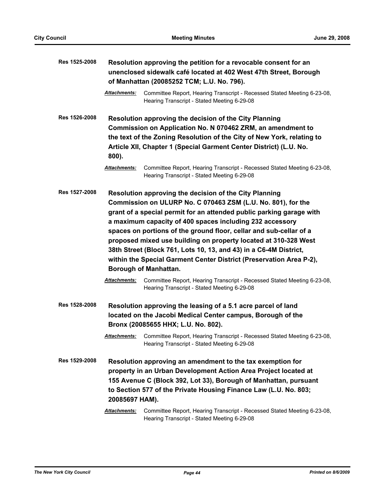| Res 1525-2008 | Resolution approving the petition for a revocable consent for an<br>unenclosed sidewalk café located at 402 West 47th Street, Borough<br>of Manhattan (20085252 TCM; L.U. No. 796). |                                                                                                                                                                                                                                                                                                                                                                                                                                                                                                                                                                                                                                                                                                           |
|---------------|-------------------------------------------------------------------------------------------------------------------------------------------------------------------------------------|-----------------------------------------------------------------------------------------------------------------------------------------------------------------------------------------------------------------------------------------------------------------------------------------------------------------------------------------------------------------------------------------------------------------------------------------------------------------------------------------------------------------------------------------------------------------------------------------------------------------------------------------------------------------------------------------------------------|
|               | <b>Attachments:</b>                                                                                                                                                                 | Committee Report, Hearing Transcript - Recessed Stated Meeting 6-23-08,<br>Hearing Transcript - Stated Meeting 6-29-08                                                                                                                                                                                                                                                                                                                                                                                                                                                                                                                                                                                    |
| Res 1526-2008 |                                                                                                                                                                                     | Resolution approving the decision of the City Planning<br>Commission on Application No. N 070462 ZRM, an amendment to                                                                                                                                                                                                                                                                                                                                                                                                                                                                                                                                                                                     |
|               | 800).                                                                                                                                                                               | the text of the Zoning Resolution of the City of New York, relating to<br>Article XII, Chapter 1 (Special Garment Center District) (L.U. No.                                                                                                                                                                                                                                                                                                                                                                                                                                                                                                                                                              |
|               | Attachments:                                                                                                                                                                        | Committee Report, Hearing Transcript - Recessed Stated Meeting 6-23-08,<br>Hearing Transcript - Stated Meeting 6-29-08                                                                                                                                                                                                                                                                                                                                                                                                                                                                                                                                                                                    |
| Res 1527-2008 | <b>Attachments:</b>                                                                                                                                                                 | Resolution approving the decision of the City Planning<br>Commission on ULURP No. C 070463 ZSM (L.U. No. 801), for the<br>grant of a special permit for an attended public parking garage with<br>a maximum capacity of 400 spaces including 232 accessory<br>spaces on portions of the ground floor, cellar and sub-cellar of a<br>proposed mixed use building on property located at 310-328 West<br>38th Street (Block 761, Lots 10, 13, and 43) in a C6-4M District,<br>within the Special Garment Center District (Preservation Area P-2),<br><b>Borough of Manhattan.</b><br>Committee Report, Hearing Transcript - Recessed Stated Meeting 6-23-08,<br>Hearing Transcript - Stated Meeting 6-29-08 |
| Res 1528-2008 |                                                                                                                                                                                     | Resolution approving the leasing of a 5.1 acre parcel of land<br>located on the Jacobi Medical Center campus, Borough of the<br>Bronx (20085655 HHX; L.U. No. 802).                                                                                                                                                                                                                                                                                                                                                                                                                                                                                                                                       |
|               | <b>Attachments:</b>                                                                                                                                                                 | Committee Report, Hearing Transcript - Recessed Stated Meeting 6-23-08,<br>Hearing Transcript - Stated Meeting 6-29-08                                                                                                                                                                                                                                                                                                                                                                                                                                                                                                                                                                                    |
| Res 1529-2008 |                                                                                                                                                                                     | Resolution approving an amendment to the tax exemption for                                                                                                                                                                                                                                                                                                                                                                                                                                                                                                                                                                                                                                                |
|               |                                                                                                                                                                                     | property in an Urban Development Action Area Project located at                                                                                                                                                                                                                                                                                                                                                                                                                                                                                                                                                                                                                                           |
|               |                                                                                                                                                                                     | 155 Avenue C (Block 392, Lot 33), Borough of Manhattan, pursuant                                                                                                                                                                                                                                                                                                                                                                                                                                                                                                                                                                                                                                          |
|               |                                                                                                                                                                                     | to Section 577 of the Private Housing Finance Law (L.U. No. 803;                                                                                                                                                                                                                                                                                                                                                                                                                                                                                                                                                                                                                                          |
|               | 20085697 HAM).                                                                                                                                                                      |                                                                                                                                                                                                                                                                                                                                                                                                                                                                                                                                                                                                                                                                                                           |
|               | <b>Attachments:</b>                                                                                                                                                                 | Committee Report, Hearing Transcript - Recessed Stated Meeting 6-23-08,<br>Hearing Transcript - Stated Meeting 6-29-08                                                                                                                                                                                                                                                                                                                                                                                                                                                                                                                                                                                    |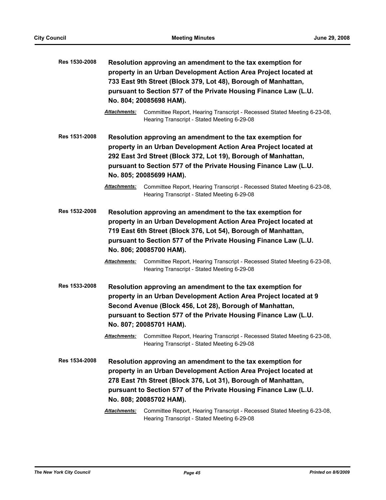| Res 1530-2008 | Resolution approving an amendment to the tax exemption for<br>property in an Urban Development Action Area Project located at<br>733 East 9th Street (Block 379, Lot 48), Borough of Manhattan,<br>pursuant to Section 577 of the Private Housing Finance Law (L.U.<br>No. 804; 20085698 HAM). |                                                                                                                                                                                                                                                                                                                                                                                                                          |
|---------------|------------------------------------------------------------------------------------------------------------------------------------------------------------------------------------------------------------------------------------------------------------------------------------------------|--------------------------------------------------------------------------------------------------------------------------------------------------------------------------------------------------------------------------------------------------------------------------------------------------------------------------------------------------------------------------------------------------------------------------|
|               | <b>Attachments:</b>                                                                                                                                                                                                                                                                            | Committee Report, Hearing Transcript - Recessed Stated Meeting 6-23-08,<br>Hearing Transcript - Stated Meeting 6-29-08                                                                                                                                                                                                                                                                                                   |
| Res 1531-2008 | Attachments:                                                                                                                                                                                                                                                                                   | Resolution approving an amendment to the tax exemption for<br>property in an Urban Development Action Area Project located at<br>292 East 3rd Street (Block 372, Lot 19), Borough of Manhattan,<br>pursuant to Section 577 of the Private Housing Finance Law (L.U.<br>No. 805; 20085699 HAM).<br>Committee Report, Hearing Transcript - Recessed Stated Meeting 6-23-08,<br>Hearing Transcript - Stated Meeting 6-29-08 |
| Res 1532-2008 |                                                                                                                                                                                                                                                                                                | Resolution approving an amendment to the tax exemption for<br>property in an Urban Development Action Area Project located at<br>719 East 6th Street (Block 376, Lot 54), Borough of Manhattan,<br>pursuant to Section 577 of the Private Housing Finance Law (L.U.<br>No. 806; 20085700 HAM).                                                                                                                           |
|               | <b>Attachments:</b>                                                                                                                                                                                                                                                                            | Committee Report, Hearing Transcript - Recessed Stated Meeting 6-23-08,<br>Hearing Transcript - Stated Meeting 6-29-08                                                                                                                                                                                                                                                                                                   |
| Res 1533-2008 |                                                                                                                                                                                                                                                                                                | Resolution approving an amendment to the tax exemption for<br>property in an Urban Development Action Area Project located at 9<br>Second Avenue (Block 456, Lot 28), Borough of Manhattan,<br>pursuant to Section 577 of the Private Housing Finance Law (L.U.<br>No. 807; 20085701 HAM).                                                                                                                               |
|               | <b>Attachments:</b>                                                                                                                                                                                                                                                                            | Committee Report, Hearing Transcript - Recessed Stated Meeting 6-23-08,<br>Hearing Transcript - Stated Meeting 6-29-08                                                                                                                                                                                                                                                                                                   |
| Res 1534-2008 |                                                                                                                                                                                                                                                                                                | Resolution approving an amendment to the tax exemption for<br>property in an Urban Development Action Area Project located at<br>278 East 7th Street (Block 376, Lot 31), Borough of Manhattan,<br>pursuant to Section 577 of the Private Housing Finance Law (L.U.<br>No. 808; 20085702 HAM).                                                                                                                           |
|               | Attachments:                                                                                                                                                                                                                                                                                   | Committee Report, Hearing Transcript - Recessed Stated Meeting 6-23-08,<br>Hearing Transcript - Stated Meeting 6-29-08                                                                                                                                                                                                                                                                                                   |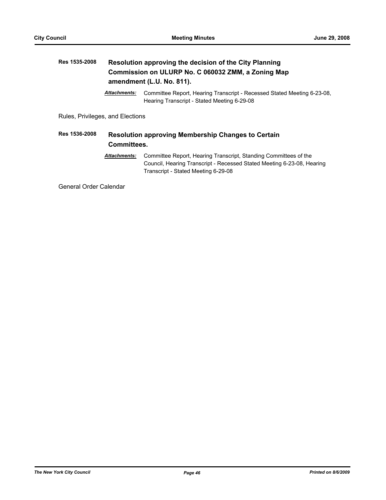# **Res 1535-2008 Resolution approving the decision of the City Planning Commission on ULURP No. C 060032 ZMM, a Zoning Map amendment (L.U. No. 811).** *Attachments:* Committee Report, Hearing Transcript - Recessed Stated Meeting 6-23-08, Hearing Transcript - Stated Meeting 6-29-08 Rules, Privileges, and Elections

# **Res 1536-2008 Resolution approving Membership Changes to Certain Committees.**

*Attachments:* Committee Report, Hearing Transcript, Standing Committees of the Council, Hearing Transcript - Recessed Stated Meeting 6-23-08, Hearing Transcript - Stated Meeting 6-29-08

General Order Calendar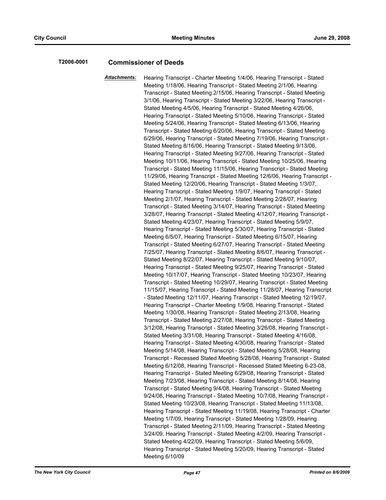### **T2006-0001 Commissioner of Deeds**

*Attachments:* Hearing Transcript - Charter Meeting 1/4/06, Hearing Transcript - Stated Meeting 1/18/06, Hearing Transcript - Stated Meeting 2/1/06, Hearing Transcript - Stated Meeting 2/15/06, Hearing Transcript - Stated Meeting 3/1/06, Hearing Transcript - Stated Meeting 3/22/06, Hearing Transcript - Stated Meeting 4/5/06, Hearing Transcript - Stated Meeting 4/26/06, Hearing Transcript - Stated Meeting 5/10/06, Hearing Transcript - Stated Meeting 5/24/06, Hearing Transcript - Stated Meeting 6/13/06, Hearing Transcript - Stated Meeting 6/20/06, Hearing Transcript - Stated Meeting 6/29/06, Hearing Transcript - Stated Meeting 7/19/06, Hearing Transcript - Stated Meeting 8/16/06, Hearing Transcript - Stated Meeting 9/13/06, Hearing Transcript - Stated Meeting 9/27/06, Hearing Transcript - Stated Meeting 10/11/06, Hearing Transcript - Stated Meeting 10/25/06, Hearing Transcript - Stated Meeting 11/15/06, Hearing Transcript - Stated Meeting 11/29/06, Hearing Transcript - Stated Meeting 12/6/06, Hearing Transcript - Stated Meeting 12/20/06, Hearing Transcript - Stated Meeting 1/3/07, Hearing Transcript - Stated Meeting 1/9/07, Hearing Transcript - Stated Meeting 2/1/07, Hearing Transcript - Stated Meeting 2/28/07, Hearing Transcript - Stated Meeting 3/14/07, Hearing Transcript - Stated Meeting 3/28/07, Hearing Transcript - Stated Meeting 4/12/07, Hearing Transcript - Stated Meeting 4/23/07, Hearing Transcript - Stated Meeting 5/9/07, Hearing Transcript - Stated Meeting 5/30/07, Hearing Transcript - Stated Meeting 6/5/07, Hearing Transcript - Stated Meeting 6/15/07, Hearing Transcript - Stated Meeting 6/27/07, Hearing Transcript - Stated Meeting 7/25/07, Hearing Transcript - Stated Meeting 8/6/07, Hearing Transcript - Stated Meeting 8/22/07, Hearing Transcript - Stated Meeting 9/10/07, Hearing Transcript - Stated Meeting 9/25/07, Hearing Transcript - Stated Meeting 10/17/07, Hearing Transcript - Stated Meeting 10/23/07, Hearing Transcript - Stated Meeting 10/29/07, Hearing Transcript - Stated Meeting 11/15/07, Hearing Transcript - Stated Meeting 11/28/07, Hearing Transcript - Stated Meeting 12/11/07, Hearing Transcript - Stated Meeting 12/19/07, Hearing Transcript - Charter Meeting 1/9/08, Hearing Transcript - Stated Meeting 1/30/08, Hearing Transcript - Stated Meeting 2/13/08, Hearing Transcript - Stated Meeting 2/27/08, Hearing Transcript - Stated Meeting 3/12/08, Hearing Transcript - Stated Meeting 3/26/08, Hearing Transcript - Stated Meeting 3/31/08, Hearing Transcript - Stated Meeting 4/16/08, Hearing Transcript - Stated Meeting 4/30/08, Hearing Transcript - Stated Meeting 5/14/08, Hearing Transcript - Stated Meeting 5/28/08, Hearing Transcript - Recessed Stated Meeting 5/28/08, Hearing Transcript - Stated Meeting 6/12/08, Hearing Transcript - Recessed Stated Meeting 6-23-08, Hearing Transcript - Stated Meeting 6/29/08, Hearing Transcript - Stated Meeting 7/23/08, Hearing Transcript - Stated Meeting 8/14/08, Hearing Transcript - Stated Meeting 9/4/08, Hearing Transcript - Stated Meeting 9/24/08, Hearing Transcript - Stated Meeting 10/7/08, Hearing Transcript - Stated Meeting 10/23/08, Hearing Transcript - Stated Meeting 11/13/08, Hearing Transcript - Stated Meeting 11/19/08, Hearing Transcript - Charter Meeting 1/7/09, Hearing Transcript - Stated Meeting 1/28/09, Hearing Transcript - Stated Meeting 2/11/09, Hearing Transcript - Stated Meeting 3/24/09, Hearing Transcript - Stated Meeting 4/2/09, Hearing Transcript - Stated Meeting 4/22/09, Hearing Transcript - Stated Meeting 5/6/09, Hearing Transcript - Stated Meeting 5/20/09, Hearing Transcript - Stated Meeting 6/10/09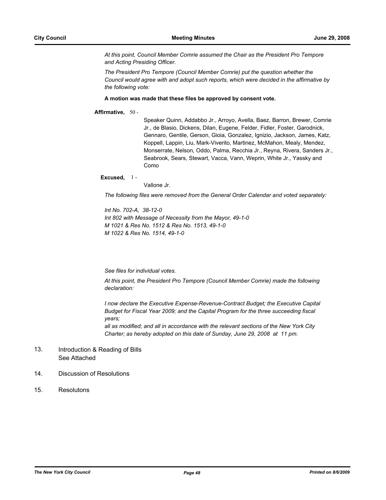*At this point, Council Member Comrie assumed the Chair as the President Pro Tempore and Acting Presiding Officer.*

*The President Pro Tempore (Council Member Comrie) put the question whether the Council would agree with and adopt such reports, which were decided in the affirmative by the following vote:*

#### **A motion was made that these files be approved by consent vote.**

### **Affirmative,** 50 -

Speaker Quinn, Addabbo Jr., Arroyo, Avella, Baez, Barron, Brewer, Comrie Jr., de Blasio, Dickens, Dilan, Eugene, Felder, Fidler, Foster, Garodnick, Gennaro, Gentile, Gerson, Gioia, Gonzalez, Ignizio, Jackson, James, Katz, Koppell, Lappin, Liu, Mark-Viverito, Martinez, McMahon, Mealy, Mendez, Monserrate, Nelson, Oddo, Palma, Recchia Jr., Reyna, Rivera, Sanders Jr., Seabrook, Sears, Stewart, Vacca, Vann, Weprin, White Jr., Yassky and Como

#### **Excused,** 1 -

Vallone Jr.

*The following files were removed from the General Order Calendar and voted separately:*

*Int No. 702-A, 38-12-0 Int 802 with Message of Necessity from the Mayor, 49-1-0 M 1021 & Res No. 1512 & Res No. 1513, 49-1-0 M 1022 & Res No. 1514, 49-1-0*

*See files for individual votes.*

*At this point, the President Pro Tempore (Council Member Comrie) made the following declaration:*

*I now declare the Executive Expense-Revenue-Contract Budget; the Executive Capital Budget for Fiscal Year 2009; and the Capital Program for the three succeeding fiscal years;*

*all as modified; and all in accordance with the relevant sections of the New York City Charter; as hereby adopted on this date of Sunday, June 29, 2008 at 11 pm.*

#### Introduction & Reading of Bills See Attached 13.

### 14. Discussion of Resolutions

15. Resolutons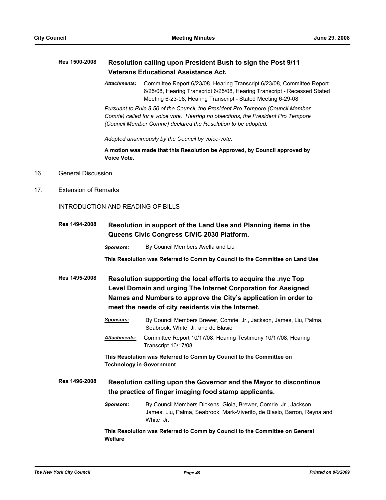### **Res 1500-2008 Resolution calling upon President Bush to sign the Post 9/11 Veterans Educational Assistance Act.**

*Attachments:* Committee Report 6/23/08, Hearing Transcript 6/23/08, Committee Report 6/25/08, Hearing Transcript 6/25/08, Hearing Transcript - Recessed Stated Meeting 6-23-08, Hearing Transcript - Stated Meeting 6-29-08

*Pursuant to Rule 8.50 of the Council, the President Pro Tempore (Council Member Comrie) called for a voice vote. Hearing no objections, the President Pro Tempore (Council Member Comrie) declared the Resolution to be adopted.*

*Adopted unanimously by the Council by voice-vote.*

**A motion was made that this Resolution be Approved, by Council approved by Voice Vote.**

- 16. General Discussion
- 17. Extension of Remarks

INTRODUCTION AND READING OF BILLS

| <b>Res 1494-2008</b> | Resolution in support of the Land Use and Planning items in the<br>Queens Civic Congress CIVIC 2030 Platform. |  |  |
|----------------------|---------------------------------------------------------------------------------------------------------------|--|--|
|                      |                                                                                                               |  |  |

**This Resolution was Referred to Comm by Council to the Committee on Land Use**

- **Res 1495-2008 Resolution supporting the local efforts to acquire the .nyc Top Level Domain and urging The Internet Corporation for Assigned Names and Numbers to approve the City's application in order to meet the needs of city residents via the Internet.**
	- *Sponsors:* By Council Members Brewer, Comrie Jr., Jackson, James, Liu, Palma, Seabrook, White Jr. and de Blasio
	- *Attachments:* Committee Report 10/17/08, Hearing Testimony 10/17/08, Hearing Transcript 10/17/08

**This Resolution was Referred to Comm by Council to the Committee on Technology in Government**

**Res 1496-2008 Resolution calling upon the Governor and the Mayor to discontinue the practice of finger imaging food stamp applicants.**

> *Sponsors:* By Council Members Dickens, Gioia, Brewer, Comrie Jr., Jackson, James, Liu, Palma, Seabrook, Mark-Viverito, de Blasio, Barron, Reyna and White Jr.

**This Resolution was Referred to Comm by Council to the Committee on General Welfare**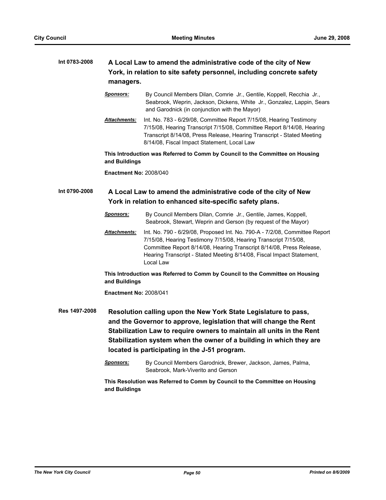# **Int 0783-2008 A Local Law to amend the administrative code of the city of New York, in relation to site safety personnel, including concrete safety managers.**

- *Sponsors:* By Council Members Dilan, Comrie Jr., Gentile, Koppell, Recchia Jr., Seabrook, Weprin, Jackson, Dickens, White Jr., Gonzalez, Lappin, Sears and Garodnick (in conjunction with the Mayor)
- *Attachments:* Int. No. 783 6/29/08, Committee Report 7/15/08, Hearing Testimony 7/15/08, Hearing Transcript 7/15/08, Committee Report 8/14/08, Hearing Transcript 8/14/08, Press Release, Hearing Transcript - Stated Meeting 8/14/08, Fiscal Impact Statement, Local Law

**This Introduction was Referred to Comm by Council to the Committee on Housing and Buildings**

**Enactment No:** 2008/040

## **Int 0790-2008 A Local Law to amend the administrative code of the city of New York in relation to enhanced site-specific safety plans.**

- *Sponsors:* By Council Members Dilan, Comrie Jr., Gentile, James, Koppell, Seabrook, Stewart, Weprin and Gerson (by request of the Mayor)
- *Attachments:* Int. No. 790 6/29/08, Proposed Int. No. 790-A 7/2/08, Committee Report 7/15/08, Hearing Testimony 7/15/08, Hearing Transcript 7/15/08, Committee Report 8/14/08, Hearing Transcript 8/14/08, Press Release, Hearing Transcript - Stated Meeting 8/14/08, Fiscal Impact Statement, Local Law

**This Introduction was Referred to Comm by Council to the Committee on Housing and Buildings**

**Enactment No:** 2008/041

**Res 1497-2008 Resolution calling upon the New York State Legislature to pass, and the Governor to approve, legislation that will change the Rent Stabilization Law to require owners to maintain all units in the Rent Stabilization system when the owner of a building in which they are located is participating in the J-51 program.**

> *Sponsors:* By Council Members Garodnick, Brewer, Jackson, James, Palma, Seabrook, Mark-Viverito and Gerson

**This Resolution was Referred to Comm by Council to the Committee on Housing and Buildings**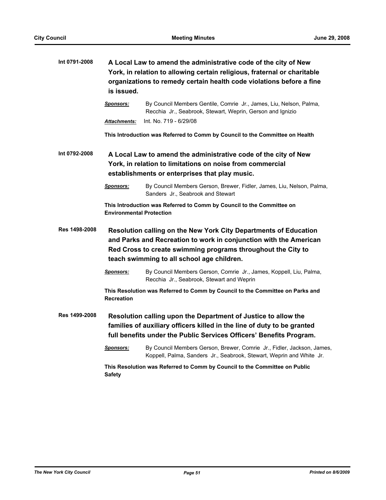| Int 0791-2008 | A Local Law to amend the administrative code of the city of New<br>York, in relation to allowing certain religious, fraternal or charitable<br>organizations to remedy certain health code violations before a fine<br>is issued.                   |                                                                                                                                                                                                                  |  |
|---------------|-----------------------------------------------------------------------------------------------------------------------------------------------------------------------------------------------------------------------------------------------------|------------------------------------------------------------------------------------------------------------------------------------------------------------------------------------------------------------------|--|
|               | <b>Sponsors:</b>                                                                                                                                                                                                                                    | By Council Members Gentile, Comrie Jr., James, Liu, Nelson, Palma,<br>Recchia Jr., Seabrook, Stewart, Weprin, Gerson and Ignizio                                                                                 |  |
|               | Attachments:                                                                                                                                                                                                                                        | Int. No. 719 - 6/29/08                                                                                                                                                                                           |  |
|               |                                                                                                                                                                                                                                                     | This Introduction was Referred to Comm by Council to the Committee on Health                                                                                                                                     |  |
| Int 0792-2008 | A Local Law to amend the administrative code of the city of New<br>York, in relation to limitations on noise from commercial<br>establishments or enterprises that play music.                                                                      |                                                                                                                                                                                                                  |  |
|               | <b>Sponsors:</b>                                                                                                                                                                                                                                    | By Council Members Gerson, Brewer, Fidler, James, Liu, Nelson, Palma,<br>Sanders Jr., Seabrook and Stewart                                                                                                       |  |
|               | <b>Environmental Protection</b>                                                                                                                                                                                                                     | This Introduction was Referred to Comm by Council to the Committee on                                                                                                                                            |  |
| Res 1498-2008 | Resolution calling on the New York City Departments of Education<br>and Parks and Recreation to work in conjunction with the American<br>Red Cross to create swimming programs throughout the City to<br>teach swimming to all school age children. |                                                                                                                                                                                                                  |  |
|               | <u>Sponsors:</u>                                                                                                                                                                                                                                    | By Council Members Gerson, Comrie Jr., James, Koppell, Liu, Palma,<br>Recchia Jr., Seabrook, Stewart and Weprin                                                                                                  |  |
|               | <b>Recreation</b>                                                                                                                                                                                                                                   | This Resolution was Referred to Comm by Council to the Committee on Parks and                                                                                                                                    |  |
| Res 1499-2008 |                                                                                                                                                                                                                                                     | Resolution calling upon the Department of Justice to allow the<br>families of auxiliary officers killed in the line of duty to be granted<br>full benefits under the Public Services Officers' Benefits Program. |  |
|               | <u>Sponsors:</u>                                                                                                                                                                                                                                    | By Council Members Gerson, Brewer, Comrie Jr., Fidler, Jackson, James,<br>Koppell, Palma, Sanders Jr., Seabrook, Stewart, Weprin and White Jr.                                                                   |  |
|               | <b>Safety</b>                                                                                                                                                                                                                                       | This Resolution was Referred to Comm by Council to the Committee on Public                                                                                                                                       |  |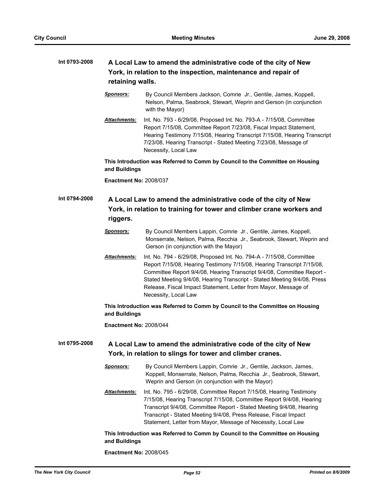# **Int 0793-2008 A Local Law to amend the administrative code of the city of New York, in relation to the inspection, maintenance and repair of retaining walls.**

- *Sponsors:* By Council Members Jackson, Comrie Jr., Gentile, James, Koppell, Nelson, Palma, Seabrook, Stewart, Weprin and Gerson (in conjunction with the Mayor)
- *Attachments:* Int. No. 793 6/29/08, Proposed Int. No. 793-A 7/15/08, Committee Report 7/15/08, Committee Report 7/23/08, Fiscal Impact Statement, Hearing Testimony 7/15/08, Hearing Transcript 7/15/08, Hearing Transcript 7/23/08, Hearing Transcript - Stated Meeting 7/23/08, Message of Necessity, Local Law

**This Introduction was Referred to Comm by Council to the Committee on Housing and Buildings**

**Enactment No:** 2008/037

# **Int 0794-2008 A Local Law to amend the administrative code of the city of New York, in relation to training for tower and climber crane workers and riggers.**

- *Sponsors:* By Council Members Lappin, Comrie Jr., Gentile, James, Koppell, Monserrate, Nelson, Palma, Recchia Jr., Seabrook, Stewart, Weprin and Gerson (in conjunction with the Mayor)
- *Attachments:* Int. No. 794 6/29/08, Proposed Int. No. 794-A 7/15/08, Committee Report 7/15/08, Hearing Testimony 7/15/08, Hearing Transcript 7/15/08, Committee Report 9/4/08, Hearing Transcript 9/4/08, Committee Report - Stated Meeting 9/4/08, Hearing Transcript - Stated Meeting 9/4/08, Press Release, Fiscal Impact Statement, Letter from Mayor, Message of Necessity, Local Law

### **This Introduction was Referred to Comm by Council to the Committee on Housing and Buildings**

**Enactment No:** 2008/044

- **Int 0795-2008 A Local Law to amend the administrative code of the city of New York, in relation to slings for tower and climber cranes.**
	- *Sponsors:* By Council Members Lappin, Comrie Jr., Gentile, Jackson, James, Koppell, Monserrate, Nelson, Palma, Recchia Jr., Seabrook, Stewart, Weprin and Gerson (in conjunction with the Mayor)
	- *Attachments:* Int. No. 795 6/29/08, Committee Report 7/15/08, Hearing Testimony 7/15/08, Hearing Transcript 7/15/08, Committee Report 9/4/08, Hearing Transcript 9/4/08, Committee Report - Stated Meeting 9/4/08, Hearing Transcript - Stated Meeting 9/4/08, Press Release, Fiscal Impact Statement, Letter from Mayor, Message of Necessity, Local Law

### **This Introduction was Referred to Comm by Council to the Committee on Housing and Buildings**

**Enactment No:** 2008/045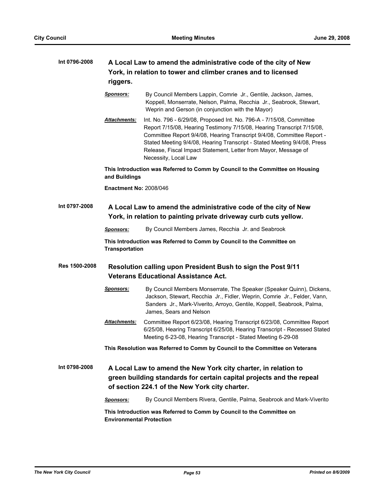# **Int 0796-2008 A Local Law to amend the administrative code of the city of New York, in relation to tower and climber cranes and to licensed riggers.**

*Sponsors:* By Council Members Lappin, Comrie Jr., Gentile, Jackson, James, Koppell, Monserrate, Nelson, Palma, Recchia Jr., Seabrook, Stewart, Weprin and Gerson (in conjunction with the Mayor)

*Attachments:* Int. No. 796 - 6/29/08, Proposed Int. No. 796-A - 7/15/08, Committee Report 7/15/08, Hearing Testimony 7/15/08, Hearing Transcript 7/15/08, Committee Report 9/4/08, Hearing Transcript 9/4/08, Committee Report - Stated Meeting 9/4/08, Hearing Transcript - Stated Meeting 9/4/08, Press Release, Fiscal Impact Statement, Letter from Mayor, Message of Necessity, Local Law

**This Introduction was Referred to Comm by Council to the Committee on Housing and Buildings**

**Enactment No:** 2008/046

### **Int 0797-2008 A Local Law to amend the administrative code of the city of New York, in relation to painting private driveway curb cuts yellow.**

*Sponsors:* By Council Members James, Recchia Jr. and Seabrook

**This Introduction was Referred to Comm by Council to the Committee on Transportation**

### **Res 1500-2008 Resolution calling upon President Bush to sign the Post 9/11 Veterans Educational Assistance Act.**

- *Sponsors:* By Council Members Monserrate, The Speaker (Speaker Quinn), Dickens, Jackson, Stewart, Recchia Jr., Fidler, Weprin, Comrie Jr., Felder, Vann, Sanders Jr., Mark-Viverito, Arroyo, Gentile, Koppell, Seabrook, Palma, James, Sears and Nelson
- *Attachments:* Committee Report 6/23/08, Hearing Transcript 6/23/08, Committee Report 6/25/08, Hearing Transcript 6/25/08, Hearing Transcript - Recessed Stated Meeting 6-23-08, Hearing Transcript - Stated Meeting 6-29-08

**This Resolution was Referred to Comm by Council to the Committee on Veterans**

**Int 0798-2008 A Local Law to amend the New York city charter, in relation to green building standards for certain capital projects and the repeal of section 224.1 of the New York city charter.**

*Sponsors:* By Council Members Rivera, Gentile, Palma, Seabrook and Mark-Viverito

**This Introduction was Referred to Comm by Council to the Committee on Environmental Protection**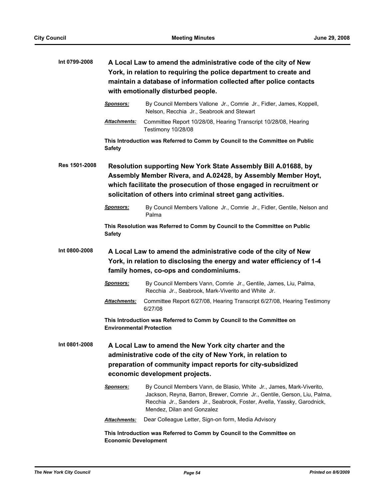| Int 0799-2008 | A Local Law to amend the administrative code of the city of New<br>York, in relation to requiring the police department to create and<br>maintain a database of information collected after police contacts<br>with emotionally disturbed people.                      |                                                                                                                                                                                                                                                          |  |
|---------------|------------------------------------------------------------------------------------------------------------------------------------------------------------------------------------------------------------------------------------------------------------------------|----------------------------------------------------------------------------------------------------------------------------------------------------------------------------------------------------------------------------------------------------------|--|
|               | <b>Sponsors:</b>                                                                                                                                                                                                                                                       | By Council Members Vallone Jr., Comrie Jr., Fidler, James, Koppell,<br>Nelson, Recchia Jr., Seabrook and Stewart                                                                                                                                         |  |
|               | Attachments:                                                                                                                                                                                                                                                           | Committee Report 10/28/08, Hearing Transcript 10/28/08, Hearing<br>Testimony 10/28/08                                                                                                                                                                    |  |
|               | <b>Safety</b>                                                                                                                                                                                                                                                          | This Introduction was Referred to Comm by Council to the Committee on Public                                                                                                                                                                             |  |
| Res 1501-2008 | Resolution supporting New York State Assembly Bill A.01688, by<br>Assembly Member Rivera, and A.02428, by Assembly Member Hoyt,<br>which facilitate the prosecution of those engaged in recruitment or<br>solicitation of others into criminal street gang activities. |                                                                                                                                                                                                                                                          |  |
|               | <u>Sponsors:</u>                                                                                                                                                                                                                                                       | By Council Members Vallone Jr., Comrie Jr., Fidler, Gentile, Nelson and<br>Palma                                                                                                                                                                         |  |
|               | <b>Safety</b>                                                                                                                                                                                                                                                          | This Resolution was Referred to Comm by Council to the Committee on Public                                                                                                                                                                               |  |
| Int 0800-2008 | A Local Law to amend the administrative code of the city of New<br>York, in relation to disclosing the energy and water efficiency of 1-4<br>family homes, co-ops and condominiums.                                                                                    |                                                                                                                                                                                                                                                          |  |
|               | <b>Sponsors:</b>                                                                                                                                                                                                                                                       | By Council Members Vann, Comrie Jr., Gentile, James, Liu, Palma,<br>Recchia Jr., Seabrook, Mark-Viverito and White Jr.                                                                                                                                   |  |
|               | Attachments:                                                                                                                                                                                                                                                           | Committee Report 6/27/08, Hearing Transcript 6/27/08, Hearing Testimony<br>6/27/08                                                                                                                                                                       |  |
|               | <b>Environmental Protection</b>                                                                                                                                                                                                                                        | This Introduction was Referred to Comm by Council to the Committee on                                                                                                                                                                                    |  |
| Int 0801-2008 | A Local Law to amend the New York city charter and the<br>administrative code of the city of New York, in relation to<br>preparation of community impact reports for city-subsidized<br>economic development projects.                                                 |                                                                                                                                                                                                                                                          |  |
|               | <u>Sponsors:</u>                                                                                                                                                                                                                                                       | By Council Members Vann, de Blasio, White Jr., James, Mark-Viverito,<br>Jackson, Reyna, Barron, Brewer, Comrie Jr., Gentile, Gerson, Liu, Palma,<br>Recchia Jr., Sanders Jr., Seabrook, Foster, Avella, Yassky, Garodnick,<br>Mendez, Dilan and Gonzalez |  |
|               | Attachments:                                                                                                                                                                                                                                                           | Dear Colleague Letter, Sign-on form, Media Advisory                                                                                                                                                                                                      |  |
|               | This Introduction was Referred to Comm by Council to the Committee on<br><b>Economic Development</b>                                                                                                                                                                   |                                                                                                                                                                                                                                                          |  |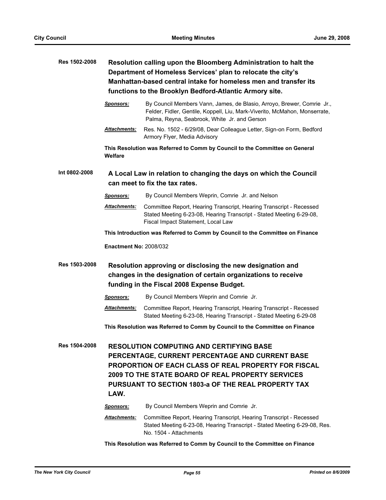**Res 1502-2008 Resolution calling upon the Bloomberg Administration to halt the** 

|                      | Department of Homeless Services' plan to relocate the city's<br>Manhattan-based central intake for homeless men and transfer its<br>functions to the Brooklyn Bedford-Atlantic Armory site.                                                                                                  |                                                                                                                                                                                                      |
|----------------------|----------------------------------------------------------------------------------------------------------------------------------------------------------------------------------------------------------------------------------------------------------------------------------------------|------------------------------------------------------------------------------------------------------------------------------------------------------------------------------------------------------|
|                      | <b>Sponsors:</b>                                                                                                                                                                                                                                                                             | By Council Members Vann, James, de Blasio, Arroyo, Brewer, Comrie Jr.,<br>Felder, Fidler, Gentile, Koppell, Liu, Mark-Viverito, McMahon, Monserrate,<br>Palma, Reyna, Seabrook, White Jr. and Gerson |
|                      | Attachments:                                                                                                                                                                                                                                                                                 | Res. No. 1502 - 6/29/08, Dear Colleague Letter, Sign-on Form, Bedford<br>Armory Flyer, Media Advisory                                                                                                |
|                      | Welfare                                                                                                                                                                                                                                                                                      | This Resolution was Referred to Comm by Council to the Committee on General                                                                                                                          |
| Int 0802-2008        | A Local Law in relation to changing the days on which the Council<br>can meet to fix the tax rates.                                                                                                                                                                                          |                                                                                                                                                                                                      |
|                      | <b>Sponsors:</b>                                                                                                                                                                                                                                                                             | By Council Members Weprin, Comrie Jr. and Nelson                                                                                                                                                     |
|                      | <u> Attachments:</u>                                                                                                                                                                                                                                                                         | Committee Report, Hearing Transcript, Hearing Transcript - Recessed<br>Stated Meeting 6-23-08, Hearing Transcript - Stated Meeting 6-29-08,<br>Fiscal Impact Statement, Local Law                    |
|                      |                                                                                                                                                                                                                                                                                              | This Introduction was Referred to Comm by Council to the Committee on Finance                                                                                                                        |
|                      | <b>Enactment No: 2008/032</b>                                                                                                                                                                                                                                                                |                                                                                                                                                                                                      |
| Res 1503-2008        | Resolution approving or disclosing the new designation and<br>changes in the designation of certain organizations to receive<br>funding in the Fiscal 2008 Expense Budget.                                                                                                                   |                                                                                                                                                                                                      |
|                      | <b>Sponsors:</b>                                                                                                                                                                                                                                                                             | By Council Members Weprin and Comrie Jr.                                                                                                                                                             |
|                      | <u> Attachments:</u>                                                                                                                                                                                                                                                                         | Committee Report, Hearing Transcript, Hearing Transcript - Recessed<br>Stated Meeting 6-23-08, Hearing Transcript - Stated Meeting 6-29-08                                                           |
|                      |                                                                                                                                                                                                                                                                                              | This Resolution was Referred to Comm by Council to the Committee on Finance                                                                                                                          |
| <b>Res 1504-2008</b> | <b>RESOLUTION COMPUTING AND CERTIFYING BASE</b><br>PERCENTAGE, CURRENT PERCENTAGE AND CURRENT BASE<br><b>PROPORTION OF EACH CLASS OF REAL PROPERTY FOR FISCAL</b><br><b>2009 TO THE STATE BOARD OF REAL PROPERTY SERVICES</b><br>PURSUANT TO SECTION 1803-a OF THE REAL PROPERTY TAX<br>LAW. |                                                                                                                                                                                                      |
|                      | <u>Sponsors:</u>                                                                                                                                                                                                                                                                             | By Council Members Weprin and Comrie Jr.                                                                                                                                                             |
|                      | Attachments:                                                                                                                                                                                                                                                                                 | Committee Report, Hearing Transcript, Hearing Transcript - Recessed<br>Stated Meeting 6-23-08, Hearing Transcript - Stated Meeting 6-29-08, Res.<br>No. 1504 - Attachments                           |
|                      |                                                                                                                                                                                                                                                                                              |                                                                                                                                                                                                      |

**This Resolution was Referred to Comm by Council to the Committee on Finance**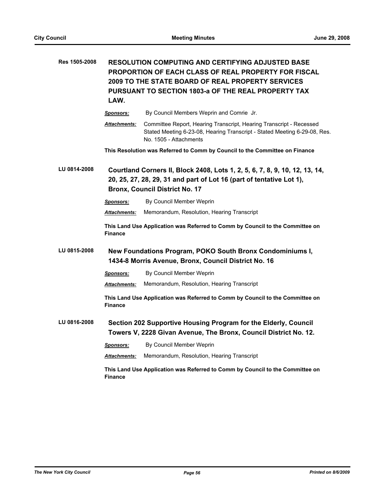| Res 1505-2008 | RESOLUTION COMPUTING AND CERTIFYING ADJUSTED BASE<br>PROPORTION OF EACH CLASS OF REAL PROPERTY FOR FISCAL<br>2009 TO THE STATE BOARD OF REAL PROPERTY SERVICES<br>PURSUANT TO SECTION 1803-a OF THE REAL PROPERTY TAX<br>LAW. |                                                                                                                                                                            |
|---------------|-------------------------------------------------------------------------------------------------------------------------------------------------------------------------------------------------------------------------------|----------------------------------------------------------------------------------------------------------------------------------------------------------------------------|
|               | <u>Sponsors:</u>                                                                                                                                                                                                              | By Council Members Weprin and Comrie Jr.                                                                                                                                   |
|               | Attachments:                                                                                                                                                                                                                  | Committee Report, Hearing Transcript, Hearing Transcript - Recessed<br>Stated Meeting 6-23-08, Hearing Transcript - Stated Meeting 6-29-08, Res.<br>No. 1505 - Attachments |
|               |                                                                                                                                                                                                                               | This Resolution was Referred to Comm by Council to the Committee on Finance                                                                                                |
| LU 0814-2008  | Courtland Corners II, Block 2408, Lots 1, 2, 5, 6, 7, 8, 9, 10, 12, 13, 14,<br>20, 25, 27, 28, 29, 31 and part of Lot 16 (part of tentative Lot 1),<br><b>Bronx, Council District No. 17</b>                                  |                                                                                                                                                                            |
|               | <u>Sponsors:</u>                                                                                                                                                                                                              | By Council Member Weprin                                                                                                                                                   |
|               | <b>Attachments:</b>                                                                                                                                                                                                           | Memorandum, Resolution, Hearing Transcript                                                                                                                                 |
|               | <b>Finance</b>                                                                                                                                                                                                                | This Land Use Application was Referred to Comm by Council to the Committee on                                                                                              |
| LU 0815-2008  | New Foundations Program, POKO South Bronx Condominiums I,<br>1434-8 Morris Avenue, Bronx, Council District No. 16                                                                                                             |                                                                                                                                                                            |
|               | <u>Sponsors:</u>                                                                                                                                                                                                              | By Council Member Weprin                                                                                                                                                   |
|               | Attachments:                                                                                                                                                                                                                  | Memorandum, Resolution, Hearing Transcript                                                                                                                                 |
|               | <b>Finance</b>                                                                                                                                                                                                                | This Land Use Application was Referred to Comm by Council to the Committee on                                                                                              |
| LU 0816-2008  |                                                                                                                                                                                                                               | Section 202 Supportive Housing Program for the Elderly, Council<br>Towers V, 2228 Givan Avenue, The Bronx, Council District No. 12.                                        |
|               | <u>Sponsors:</u>                                                                                                                                                                                                              | By Council Member Weprin                                                                                                                                                   |
|               | Attachments:                                                                                                                                                                                                                  | Memorandum, Resolution, Hearing Transcript                                                                                                                                 |
|               | <b>Finance</b>                                                                                                                                                                                                                | This Land Use Application was Referred to Comm by Council to the Committee on                                                                                              |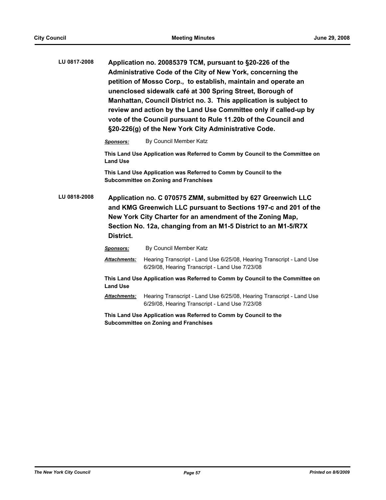| LU 0817-2008 |                                                                                                                                                                                                                                                                             | Application no. 20085379 TCM, pursuant to §20-226 of the<br>Administrative Code of the City of New York, concerning the<br>petition of Mosso Corp., to establish, maintain and operate an<br>unenclosed sidewalk café at 300 Spring Street, Borough of<br>Manhattan, Council District no. 3. This application is subject to<br>review and action by the Land Use Committee only if called-up by<br>vote of the Council pursuant to Rule 11.20b of the Council and<br>§20-226(g) of the New York City Administrative Code. |  |
|--------------|-----------------------------------------------------------------------------------------------------------------------------------------------------------------------------------------------------------------------------------------------------------------------------|---------------------------------------------------------------------------------------------------------------------------------------------------------------------------------------------------------------------------------------------------------------------------------------------------------------------------------------------------------------------------------------------------------------------------------------------------------------------------------------------------------------------------|--|
|              | <b>Sponsors:</b>                                                                                                                                                                                                                                                            | By Council Member Katz                                                                                                                                                                                                                                                                                                                                                                                                                                                                                                    |  |
|              | <b>Land Use</b>                                                                                                                                                                                                                                                             | This Land Use Application was Referred to Comm by Council to the Committee on                                                                                                                                                                                                                                                                                                                                                                                                                                             |  |
|              |                                                                                                                                                                                                                                                                             | This Land Use Application was Referred to Comm by Council to the<br><b>Subcommittee on Zoning and Franchises</b>                                                                                                                                                                                                                                                                                                                                                                                                          |  |
| LU 0818-2008 | Application no. C 070575 ZMM, submitted by 627 Greenwich LLC<br>and KMG Greenwich LLC pursuant to Sections 197-c and 201 of the<br>New York City Charter for an amendment of the Zoning Map,<br>Section No. 12a, changing from an M1-5 District to an M1-5/R7X<br>District. |                                                                                                                                                                                                                                                                                                                                                                                                                                                                                                                           |  |
|              |                                                                                                                                                                                                                                                                             |                                                                                                                                                                                                                                                                                                                                                                                                                                                                                                                           |  |
|              | Sponsors:                                                                                                                                                                                                                                                                   | By Council Member Katz                                                                                                                                                                                                                                                                                                                                                                                                                                                                                                    |  |
|              | <b>Attachments:</b>                                                                                                                                                                                                                                                         | Hearing Transcript - Land Use 6/25/08, Hearing Transcript - Land Use<br>6/29/08, Hearing Transcript - Land Use 7/23/08                                                                                                                                                                                                                                                                                                                                                                                                    |  |
|              | <b>Land Use</b>                                                                                                                                                                                                                                                             | This Land Use Application was Referred to Comm by Council to the Committee on                                                                                                                                                                                                                                                                                                                                                                                                                                             |  |
|              | <b>Attachments:</b>                                                                                                                                                                                                                                                         | Hearing Transcript - Land Use 6/25/08, Hearing Transcript - Land Use<br>6/29/08, Hearing Transcript - Land Use 7/23/08                                                                                                                                                                                                                                                                                                                                                                                                    |  |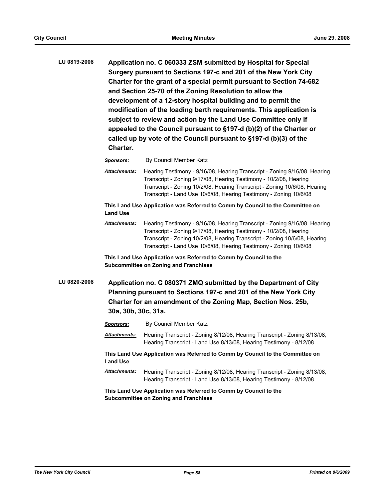**LU 0819-2008 Application no. C 060333 ZSM submitted by Hospital for Special Surgery pursuant to Sections 197-c and 201 of the New York City Charter for the grant of a special permit pursuant to Section 74-682 and Section 25-70 of the Zoning Resolution to allow the development of a 12-story hospital building and to permit the modification of the loading berth requirements. This application is subject to review and action by the Land Use Committee only if appealed to the Council pursuant to §197-d (b)(2) of the Charter or called up by vote of the Council pursuant to §197-d (b)(3) of the Charter.**

#### *Sponsors:* By Council Member Katz

*Attachments:* Hearing Testimony - 9/16/08, Hearing Transcript - Zoning 9/16/08, Hearing Transcript - Zoning 9/17/08, Hearing Testimony - 10/2/08, Hearing Transcript - Zoning 10/2/08, Hearing Transcript - Zoning 10/6/08, Hearing Transcript - Land Use 10/6/08, Hearing Testimony - Zoning 10/6/08

**This Land Use Application was Referred to Comm by Council to the Committee on Land Use**

*Attachments:* Hearing Testimony - 9/16/08, Hearing Transcript - Zoning 9/16/08, Hearing Transcript - Zoning 9/17/08, Hearing Testimony - 10/2/08, Hearing Transcript - Zoning 10/2/08, Hearing Transcript - Zoning 10/6/08, Hearing Transcript - Land Use 10/6/08, Hearing Testimony - Zoning 10/6/08

**This Land Use Application was Referred to Comm by Council to the Subcommittee on Zoning and Franchises**

**LU 0820-2008 Application no. C 080371 ZMQ submitted by the Department of City Planning pursuant to Sections 197-c and 201 of the New York City Charter for an amendment of the Zoning Map, Section Nos. 25b, 30a, 30b, 30c, 31a.**

*Sponsors:* By Council Member Katz

*Attachments:* Hearing Transcript - Zoning 8/12/08, Hearing Transcript - Zoning 8/13/08, Hearing Transcript - Land Use 8/13/08, Hearing Testimony - 8/12/08

**This Land Use Application was Referred to Comm by Council to the Committee on Land Use**

*Attachments:* Hearing Transcript - Zoning 8/12/08, Hearing Transcript - Zoning 8/13/08, Hearing Transcript - Land Use 8/13/08, Hearing Testimony - 8/12/08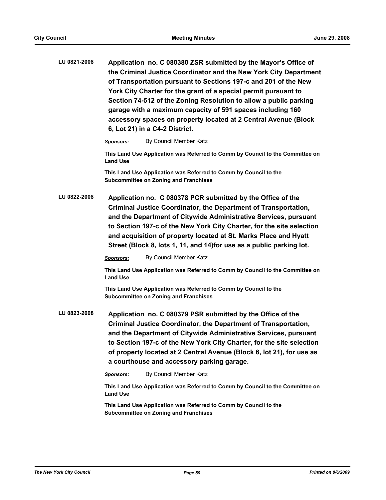| LU 0821-2008 | Application no. C 080380 ZSR submitted by the Mayor's Office of   |
|--------------|-------------------------------------------------------------------|
|              | the Criminal Justice Coordinator and the New York City Department |
|              | of Transportation pursuant to Sections 197-c and 201 of the New   |
|              | York City Charter for the grant of a special permit pursuant to   |
|              | Section 74-512 of the Zoning Resolution to allow a public parking |
|              | garage with a maximum capacity of 591 spaces including 160        |
|              | accessory spaces on property located at 2 Central Avenue (Block   |
|              | 6, Lot 21) in a C4-2 District.                                    |
|              |                                                                   |

*Sponsors:* By Council Member Katz

**This Land Use Application was Referred to Comm by Council to the Committee on Land Use**

**This Land Use Application was Referred to Comm by Council to the Subcommittee on Zoning and Franchises**

**LU 0822-2008 Application no. C 080378 PCR submitted by the Office of the Criminal Justice Coordinator, the Department of Transportation, and the Department of Citywide Administrative Services, pursuant to Section 197-c of the New York City Charter, for the site selection and acquisition of property located at St. Marks Place and Hyatt Street (Block 8, lots 1, 11, and 14)for use as a public parking lot.**

*Sponsors:* By Council Member Katz

**This Land Use Application was Referred to Comm by Council to the Committee on Land Use**

**This Land Use Application was Referred to Comm by Council to the Subcommittee on Zoning and Franchises**

**LU 0823-2008 Application no. C 080379 PSR submitted by the Office of the Criminal Justice Coordinator, the Department of Transportation, and the Department of Citywide Administrative Services, pursuant to Section 197-c of the New York City Charter, for the site selection of property located at 2 Central Avenue (Block 6, lot 21), for use as a courthouse and accessory parking garage.**

*Sponsors:* By Council Member Katz

**This Land Use Application was Referred to Comm by Council to the Committee on Land Use**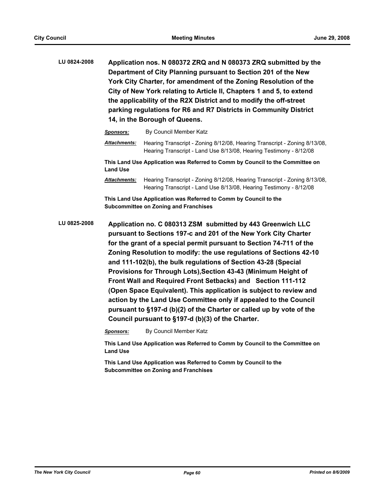**LU 0824-2008 Application nos. N 080372 ZRQ and N 080373 ZRQ submitted by the Department of City Planning pursuant to Section 201 of the New York City Charter, for amendment of the Zoning Resolution of the City of New York relating to Article II, Chapters 1 and 5, to extend the applicability of the R2X District and to modify the off-street parking regulations for R6 and R7 Districts in Community District 14, in the Borough of Queens.**

| <b>Sponsors:</b>    | By Council Member Katz                                                                                                                          |
|---------------------|-------------------------------------------------------------------------------------------------------------------------------------------------|
| <b>Attachments:</b> | Hearing Transcript - Zoning 8/12/08, Hearing Transcript - Zoning 8/13/08,<br>Hearing Transcript - Land Use 8/13/08, Hearing Testimony - 8/12/08 |
| <b>Land Use</b>     | This Land Use Application was Referred to Comm by Council to the Committee on                                                                   |
| <b>Attachments:</b> | Hearing Transcript - Zoning 8/12/08, Hearing Transcript - Zoning 8/13/08,                                                                       |

**This Land Use Application was Referred to Comm by Council to the Subcommittee on Zoning and Franchises**

**LU 0825-2008 Application no. C 080313 ZSM submitted by 443 Greenwich LLC pursuant to Sections 197-c and 201 of the New York City Charter for the grant of a special permit pursuant to Section 74-711 of the Zoning Resolution to modify: the use regulations of Sections 42-10 and 111-102(b), the bulk regulations of Section 43-28 (Special Provisions for Through Lots),Section 43-43 (Minimum Height of Front Wall and Required Front Setbacks) and Section 111-112 (Open Space Equivalent). This application is subject to review and action by the Land Use Committee only if appealed to the Council pursuant to §197-d (b)(2) of the Charter or called up by vote of the Council pursuant to §197-d (b)(3) of the Charter.**

*Sponsors:* By Council Member Katz

**This Land Use Application was Referred to Comm by Council to the Committee on Land Use**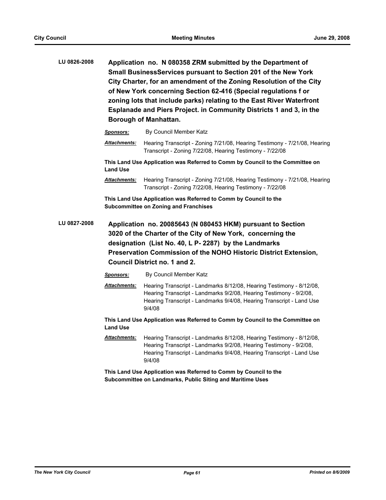**LU 0826-2008 Application no. N 080358 ZRM submitted by the Department of Small BusinessServices pursuant to Section 201 of the New York City Charter, for an amendment of the Zoning Resolution of the City of New York concerning Section 62-416 (Special regulations f or zoning lots that include parks) relating to the East River Waterfront Esplanade and Piers Project. in Community Districts 1 and 3, in the Borough of Manhattan.**

|              | <b>Sponsors:</b>                                                                                                 | By Council Member Katz                                                                                                                                                                                                                                                                   |  |
|--------------|------------------------------------------------------------------------------------------------------------------|------------------------------------------------------------------------------------------------------------------------------------------------------------------------------------------------------------------------------------------------------------------------------------------|--|
|              | <b>Attachments:</b>                                                                                              | Hearing Transcript - Zoning 7/21/08, Hearing Testimony - 7/21/08, Hearing<br>Transcript - Zoning 7/22/08, Hearing Testimony - 7/22/08                                                                                                                                                    |  |
|              | <b>Land Use</b>                                                                                                  | This Land Use Application was Referred to Comm by Council to the Committee on                                                                                                                                                                                                            |  |
|              | <b>Attachments:</b>                                                                                              | Hearing Transcript - Zoning 7/21/08, Hearing Testimony - 7/21/08, Hearing<br>Transcript - Zoning 7/22/08, Hearing Testimony - 7/22/08                                                                                                                                                    |  |
|              | This Land Use Application was Referred to Comm by Council to the<br><b>Subcommittee on Zoning and Franchises</b> |                                                                                                                                                                                                                                                                                          |  |
| LU 0827-2008 |                                                                                                                  | Application no. 20085643 (N 080453 HKM) pursuant to Section<br>3020 of the Charter of the City of New York, concerning the<br>designation (List No. 40, L P- 2287) by the Landmarks<br>Preservation Commission of the NOHO Historic District Extension,<br>Council District no. 1 and 2. |  |
|              | <b>Sponsors:</b>                                                                                                 | By Council Member Katz                                                                                                                                                                                                                                                                   |  |
|              | <b>Attachments:</b>                                                                                              | Hearing Transcript - Landmarks 8/12/08, Hearing Testimony - 8/12/08,<br>Hearing Transcript - Landmarks 9/2/08, Hearing Testimony - 9/2/08,<br>Hearing Transcript - Landmarks 9/4/08, Hearing Transcript - Land Use<br>9/4/08                                                             |  |

**This Land Use Application was Referred to Comm by Council to the Committee on Land Use**

*Attachments:* Hearing Transcript - Landmarks 8/12/08, Hearing Testimony - 8/12/08, Hearing Transcript - Landmarks 9/2/08, Hearing Testimony - 9/2/08, Hearing Transcript - Landmarks 9/4/08, Hearing Transcript - Land Use 9/4/08

**This Land Use Application was Referred to Comm by Council to the Subcommittee on Landmarks, Public Siting and Maritime Uses**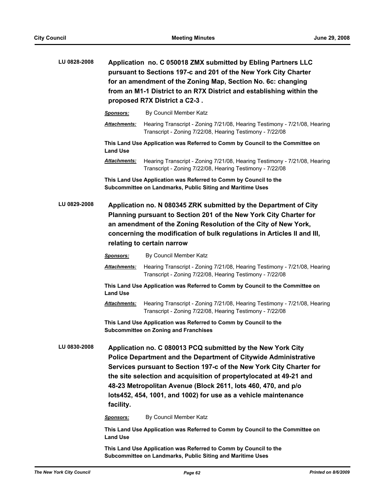| LU 0828-2008 | Application no. C 050018 ZMX submitted by Ebling Partners LLC<br>pursuant to Sections 197-c and 201 of the New York City Charter<br>for an amendment of the Zoning Map, Section No. 6c: changing<br>from an M1-1 District to an R7X District and establishing within the<br>proposed R7X District a C2-3.                                                                                                                          |                                                                                                                                       |  |
|--------------|------------------------------------------------------------------------------------------------------------------------------------------------------------------------------------------------------------------------------------------------------------------------------------------------------------------------------------------------------------------------------------------------------------------------------------|---------------------------------------------------------------------------------------------------------------------------------------|--|
|              | <b>Sponsors:</b>                                                                                                                                                                                                                                                                                                                                                                                                                   | By Council Member Katz                                                                                                                |  |
|              | Attachments:                                                                                                                                                                                                                                                                                                                                                                                                                       | Hearing Transcript - Zoning 7/21/08, Hearing Testimony - 7/21/08, Hearing<br>Transcript - Zoning 7/22/08, Hearing Testimony - 7/22/08 |  |
|              | <b>Land Use</b>                                                                                                                                                                                                                                                                                                                                                                                                                    | This Land Use Application was Referred to Comm by Council to the Committee on                                                         |  |
|              | <u> Attachments:</u>                                                                                                                                                                                                                                                                                                                                                                                                               | Hearing Transcript - Zoning 7/21/08, Hearing Testimony - 7/21/08, Hearing<br>Transcript - Zoning 7/22/08, Hearing Testimony - 7/22/08 |  |
|              |                                                                                                                                                                                                                                                                                                                                                                                                                                    | This Land Use Application was Referred to Comm by Council to the<br>Subcommittee on Landmarks, Public Siting and Maritime Uses        |  |
| LU 0829-2008 | Application no. N 080345 ZRK submitted by the Department of City<br>Planning pursuant to Section 201 of the New York City Charter for<br>an amendment of the Zoning Resolution of the City of New York,<br>concerning the modification of bulk regulations in Articles II and III,<br>relating to certain narrow                                                                                                                   |                                                                                                                                       |  |
|              | <b>Sponsors:</b>                                                                                                                                                                                                                                                                                                                                                                                                                   | By Council Member Katz                                                                                                                |  |
|              | Attachments:                                                                                                                                                                                                                                                                                                                                                                                                                       | Hearing Transcript - Zoning 7/21/08, Hearing Testimony - 7/21/08, Hearing<br>Transcript - Zoning 7/22/08, Hearing Testimony - 7/22/08 |  |
|              | <b>Land Use</b>                                                                                                                                                                                                                                                                                                                                                                                                                    | This Land Use Application was Referred to Comm by Council to the Committee on                                                         |  |
|              | Attachments:                                                                                                                                                                                                                                                                                                                                                                                                                       | Hearing Transcript - Zoning 7/21/08, Hearing Testimony - 7/21/08, Hearing<br>Transcript - Zoning 7/22/08, Hearing Testimony - 7/22/08 |  |
|              |                                                                                                                                                                                                                                                                                                                                                                                                                                    | This Land Use Application was Referred to Comm by Council to the<br><b>Subcommittee on Zoning and Franchises</b>                      |  |
| LU 0830-2008 | Application no. C 080013 PCQ submitted by the New York City<br><b>Police Department and the Department of Citywide Administrative</b><br>Services pursuant to Section 197-c of the New York City Charter for<br>the site selection and acquisition of propertylocated at 49-21 and<br>48-23 Metropolitan Avenue (Block 2611, lots 460, 470, and p/o<br>lots452, 454, 1001, and 1002) for use as a vehicle maintenance<br>facility. |                                                                                                                                       |  |
|              | <b>Sponsors:</b>                                                                                                                                                                                                                                                                                                                                                                                                                   | By Council Member Katz                                                                                                                |  |
|              | <b>Land Use</b>                                                                                                                                                                                                                                                                                                                                                                                                                    | This Land Use Application was Referred to Comm by Council to the Committee on                                                         |  |
|              |                                                                                                                                                                                                                                                                                                                                                                                                                                    | This Land Use Application was Referred to Comm by Council to the                                                                      |  |

**Subcommittee on Landmarks, Public Siting and Maritime Uses**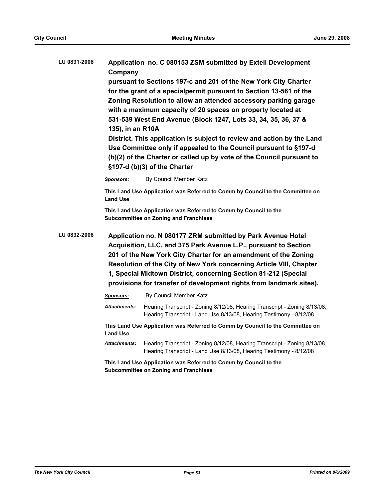| LU 0831-2008 | Application no. C 080153 ZSM submitted by Extell Development<br>Company<br>pursuant to Sections 197-c and 201 of the New York City Charter<br>for the grant of a specialpermit pursuant to Section 13-561 of the<br>Zoning Resolution to allow an attended accessory parking garage<br>with a maximum capacity of 20 spaces on property located at<br>531-539 West End Avenue (Block 1247, Lots 33, 34, 35, 36, 37 &<br>135), in an R10A<br>District. This application is subject to review and action by the Land<br>Use Committee only if appealed to the Council pursuant to §197-d<br>(b)(2) of the Charter or called up by vote of the Council pursuant to |                                                                                                                                                 |  |
|--------------|-----------------------------------------------------------------------------------------------------------------------------------------------------------------------------------------------------------------------------------------------------------------------------------------------------------------------------------------------------------------------------------------------------------------------------------------------------------------------------------------------------------------------------------------------------------------------------------------------------------------------------------------------------------------|-------------------------------------------------------------------------------------------------------------------------------------------------|--|
|              |                                                                                                                                                                                                                                                                                                                                                                                                                                                                                                                                                                                                                                                                 | §197-d (b)(3) of the Charter                                                                                                                    |  |
|              | <b>Sponsors:</b>                                                                                                                                                                                                                                                                                                                                                                                                                                                                                                                                                                                                                                                | By Council Member Katz                                                                                                                          |  |
|              | <b>Land Use</b>                                                                                                                                                                                                                                                                                                                                                                                                                                                                                                                                                                                                                                                 | This Land Use Application was Referred to Comm by Council to the Committee on                                                                   |  |
|              |                                                                                                                                                                                                                                                                                                                                                                                                                                                                                                                                                                                                                                                                 | This Land Use Application was Referred to Comm by Council to the<br><b>Subcommittee on Zoning and Franchises</b>                                |  |
| LU 0832-2008 | Application no. N 080177 ZRM submitted by Park Avenue Hotel<br>Acquisition, LLC, and 375 Park Avenue L.P., pursuant to Section<br>201 of the New York City Charter for an amendment of the Zoning<br>Resolution of the City of New York concerning Article VIII, Chapter<br>1, Special Midtown District, concerning Section 81-212 (Special<br>provisions for transfer of development rights from landmark sites).                                                                                                                                                                                                                                              |                                                                                                                                                 |  |
|              | Sponsors:                                                                                                                                                                                                                                                                                                                                                                                                                                                                                                                                                                                                                                                       | By Council Member Katz                                                                                                                          |  |
|              | Attachments:                                                                                                                                                                                                                                                                                                                                                                                                                                                                                                                                                                                                                                                    | Hearing Transcript - Zoning 8/12/08, Hearing Transcript - Zoning 8/13/08,<br>Hearing Transcript - Land Use 8/13/08, Hearing Testimony - 8/12/08 |  |
|              | <b>Land Use</b>                                                                                                                                                                                                                                                                                                                                                                                                                                                                                                                                                                                                                                                 | This Land Use Application was Referred to Comm by Council to the Committee on                                                                   |  |
|              | <u> Attachments:</u>                                                                                                                                                                                                                                                                                                                                                                                                                                                                                                                                                                                                                                            | Hearing Transcript - Zoning 8/12/08, Hearing Transcript - Zoning 8/13/08,<br>Hearing Transcript - Land Use 8/13/08, Hearing Testimony - 8/12/08 |  |
|              |                                                                                                                                                                                                                                                                                                                                                                                                                                                                                                                                                                                                                                                                 | This Land Use Application was Referred to Comm by Council to the                                                                                |  |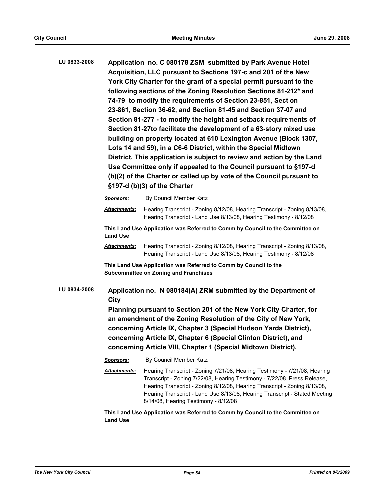**LU 0833-2008 Application no. C 080178 ZSM submitted by Park Avenue Hotel Acquisition, LLC pursuant to Sections 197-c and 201 of the New York City Charter for the grant of a special permit pursuant to the following sections of the Zoning Resolution Sections 81-212\* and 74-79 to modify the requirements of Section 23-851, Section 23-861, Section 36-62, and Section 81-45 and Section 37-07 and Section 81-277 - to modify the height and setback requirements of Section 81-27to facilitate the development of a 63-story mixed use building on property located at 610 Lexington Avenue (Block 1307, Lots 14 and 59), in a C6-6 District, within the Special Midtown District. This application is subject to review and action by the Land Use Committee only if appealed to the Council pursuant to §197-d (b)(2) of the Charter or called up by vote of the Council pursuant to §197-d (b)(3) of the Charter**

|              | <b>Sponsors:</b>                                                                                                                                                                                                                                                                                                                                                                                                          | By Council Member Katz                                                                                                                                                                                                                                                                                           |
|--------------|---------------------------------------------------------------------------------------------------------------------------------------------------------------------------------------------------------------------------------------------------------------------------------------------------------------------------------------------------------------------------------------------------------------------------|------------------------------------------------------------------------------------------------------------------------------------------------------------------------------------------------------------------------------------------------------------------------------------------------------------------|
|              | <b>Attachments:</b>                                                                                                                                                                                                                                                                                                                                                                                                       | Hearing Transcript - Zoning 8/12/08, Hearing Transcript - Zoning 8/13/08,<br>Hearing Transcript - Land Use 8/13/08, Hearing Testimony - 8/12/08                                                                                                                                                                  |
|              | <b>Land Use</b>                                                                                                                                                                                                                                                                                                                                                                                                           | This Land Use Application was Referred to Comm by Council to the Committee on                                                                                                                                                                                                                                    |
|              | <b>Attachments:</b>                                                                                                                                                                                                                                                                                                                                                                                                       | Hearing Transcript - Zoning 8/12/08, Hearing Transcript - Zoning 8/13/08,<br>Hearing Transcript - Land Use 8/13/08, Hearing Testimony - 8/12/08                                                                                                                                                                  |
|              |                                                                                                                                                                                                                                                                                                                                                                                                                           | This Land Use Application was Referred to Comm by Council to the<br><b>Subcommittee on Zoning and Franchises</b>                                                                                                                                                                                                 |
| LU 0834-2008 | Application no. N 080184(A) ZRM submitted by the Department of<br>City<br>Planning pursuant to Section 201 of the New York City Charter, for<br>an amendment of the Zoning Resolution of the City of New York,<br>concerning Article IX, Chapter 3 (Special Hudson Yards District),<br>concerning Article IX, Chapter 6 (Special Clinton District), and<br>concerning Article VIII, Chapter 1 (Special Midtown District). |                                                                                                                                                                                                                                                                                                                  |
|              | <b>Sponsors:</b>                                                                                                                                                                                                                                                                                                                                                                                                          | By Council Member Katz                                                                                                                                                                                                                                                                                           |
|              | <b>Attachments:</b>                                                                                                                                                                                                                                                                                                                                                                                                       | Hearing Transcript - Zoning 7/21/08, Hearing Testimony - 7/21/08, Hearing<br>Transcript - Zoning 7/22/08, Hearing Testimony - 7/22/08, Press Release,<br>Hearing Transcript - Zoning 8/12/08, Hearing Transcript - Zoning 8/13/08,<br>Hearing Transcript - Land Use 8/13/08, Hearing Transcript - Stated Meeting |

**This Land Use Application was Referred to Comm by Council to the Committee on Land Use**

8/14/08, Hearing Testimony - 8/12/08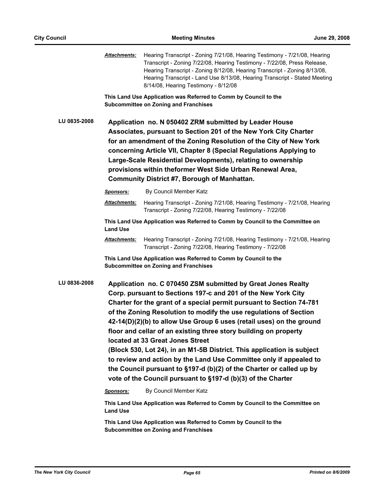|              | Attachments:         | Hearing Transcript - Zoning 7/21/08, Hearing Testimony - 7/21/08, Hearing<br>Transcript - Zoning 7/22/08, Hearing Testimony - 7/22/08, Press Release,<br>Hearing Transcript - Zoning 8/12/08, Hearing Transcript - Zoning 8/13/08,<br>Hearing Transcript - Land Use 8/13/08, Hearing Transcript - Stated Meeting<br>8/14/08, Hearing Testimony - 8/12/08                                                                                                                                                                                                                                                                                                                                                                                           |
|--------------|----------------------|----------------------------------------------------------------------------------------------------------------------------------------------------------------------------------------------------------------------------------------------------------------------------------------------------------------------------------------------------------------------------------------------------------------------------------------------------------------------------------------------------------------------------------------------------------------------------------------------------------------------------------------------------------------------------------------------------------------------------------------------------|
|              |                      | This Land Use Application was Referred to Comm by Council to the<br><b>Subcommittee on Zoning and Franchises</b>                                                                                                                                                                                                                                                                                                                                                                                                                                                                                                                                                                                                                                   |
| LU 0835-2008 |                      | Application no. N 050402 ZRM submitted by Leader House<br>Associates, pursuant to Section 201 of the New York City Charter<br>for an amendment of the Zoning Resolution of the City of New York<br>concerning Article VII, Chapter 8 (Special Regulations Applying to<br>Large-Scale Residential Developments), relating to ownership<br>provisions within theformer West Side Urban Renewal Area,<br><b>Community District #7, Borough of Manhattan.</b>                                                                                                                                                                                                                                                                                          |
|              | <b>Sponsors:</b>     | By Council Member Katz                                                                                                                                                                                                                                                                                                                                                                                                                                                                                                                                                                                                                                                                                                                             |
|              | Attachments:         | Hearing Transcript - Zoning 7/21/08, Hearing Testimony - 7/21/08, Hearing<br>Transcript - Zoning 7/22/08, Hearing Testimony - 7/22/08                                                                                                                                                                                                                                                                                                                                                                                                                                                                                                                                                                                                              |
|              | <b>Land Use</b>      | This Land Use Application was Referred to Comm by Council to the Committee on                                                                                                                                                                                                                                                                                                                                                                                                                                                                                                                                                                                                                                                                      |
|              | <u> Attachments:</u> | Hearing Transcript - Zoning 7/21/08, Hearing Testimony - 7/21/08, Hearing<br>Transcript - Zoning 7/22/08, Hearing Testimony - 7/22/08                                                                                                                                                                                                                                                                                                                                                                                                                                                                                                                                                                                                              |
|              |                      | This Land Use Application was Referred to Comm by Council to the<br><b>Subcommittee on Zoning and Franchises</b>                                                                                                                                                                                                                                                                                                                                                                                                                                                                                                                                                                                                                                   |
| LU 0836-2008 |                      | Application no. C 070450 ZSM submitted by Great Jones Realty<br>Corp. pursuant to Sections 197-c and 201 of the New York City<br>Charter for the grant of a special permit pursuant to Section 74-781<br>of the Zoning Resolution to modify the use regulations of Section<br>42-14(D)(2)(b) to allow Use Group 6 uses (retail uses) on the ground<br>floor and cellar of an existing three story building on property<br>located at 33 Great Jones Street<br>(Block 530, Lot 24), in an M1-5B District. This application is subject<br>to review and action by the Land Use Committee only if appealed to<br>the Council pursuant to §197-d (b)(2) of the Charter or called up by<br>vote of the Council pursuant to §197-d (b)(3) of the Charter |
|              | <b>Sponsors:</b>     | By Council Member Katz                                                                                                                                                                                                                                                                                                                                                                                                                                                                                                                                                                                                                                                                                                                             |
|              | <b>Land Use</b>      | This Land Use Application was Referred to Comm by Council to the Committee on                                                                                                                                                                                                                                                                                                                                                                                                                                                                                                                                                                                                                                                                      |
|              |                      | This Land Use Application was Referred to Comm by Council to the<br><b>Subcommittee on Zoning and Franchises</b>                                                                                                                                                                                                                                                                                                                                                                                                                                                                                                                                                                                                                                   |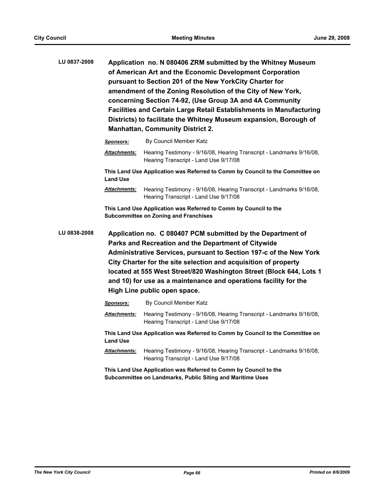| LU 0837-2008 |                                                                                                  | Application no. N 080406 ZRM submitted by the Whitney Museum<br>of American Art and the Economic Development Corporation<br>pursuant to Section 201 of the New YorkCity Charter for<br>amendment of the Zoning Resolution of the City of New York,<br>concerning Section 74-92, (Use Group 3A and 4A Community<br><b>Facilities and Certain Large Retail Establishments in Manufacturing</b><br>Districts) to facilitate the Whitney Museum expansion, Borough of<br><b>Manhattan, Community District 2.</b> |  |
|--------------|--------------------------------------------------------------------------------------------------|--------------------------------------------------------------------------------------------------------------------------------------------------------------------------------------------------------------------------------------------------------------------------------------------------------------------------------------------------------------------------------------------------------------------------------------------------------------------------------------------------------------|--|
|              | <b>Sponsors:</b>                                                                                 | By Council Member Katz                                                                                                                                                                                                                                                                                                                                                                                                                                                                                       |  |
|              | <b>Attachments:</b>                                                                              | Hearing Testimony - 9/16/08, Hearing Transcript - Landmarks 9/16/08,<br>Hearing Transcript - Land Use 9/17/08                                                                                                                                                                                                                                                                                                                                                                                                |  |
|              | This Land Use Application was Referred to Comm by Council to the Committee on<br><b>Land Use</b> |                                                                                                                                                                                                                                                                                                                                                                                                                                                                                                              |  |
|              | <b>Attachments:</b>                                                                              | Hearing Testimony - 9/16/08, Hearing Transcript - Landmarks 9/16/08,<br>Hearing Transcript - Land Use 9/17/08                                                                                                                                                                                                                                                                                                                                                                                                |  |

**This Land Use Application was Referred to Comm by Council to the Subcommittee on Zoning and Franchises**

**LU 0838-2008 Application no. C 080407 PCM submitted by the Department of Parks and Recreation and the Department of Citywide Administrative Services, pursuant to Section 197-c of the New York City Charter for the site selection and acquisition of property located at 555 West Street/820 Washington Street (Block 644, Lots 1 and 10) for use as a maintenance and operations facility for the High Line public open space.**

| <b>Sponsors:</b>    | By Council Member Katz                                                                                        |
|---------------------|---------------------------------------------------------------------------------------------------------------|
| <b>Attachments:</b> | Hearing Testimony - 9/16/08, Hearing Transcript - Landmarks 9/16/08,<br>Hearing Transcript - Land Use 9/17/08 |
| <b>Land Use</b>     | This Land Use Application was Referred to Comm by Council to the Committee on                                 |
| <b>Attachments:</b> | Hearing Testimony - 9/16/08, Hearing Transcript - Landmarks 9/16/08,<br>Hearing Transcript - Land Use 9/17/08 |
|                     |                                                                                                               |

**This Land Use Application was Referred to Comm by Council to the Subcommittee on Landmarks, Public Siting and Maritime Uses**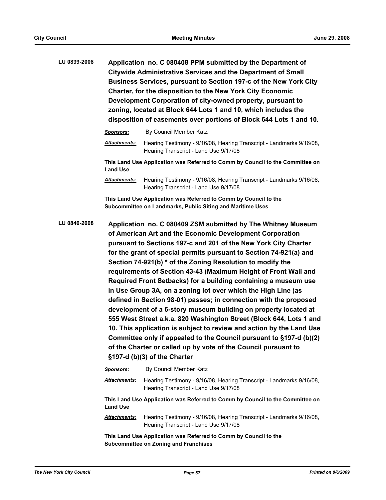**LU 0839-2008 Application no. C 080408 PPM submitted by the Department of Citywide Administrative Services and the Department of Small Business Services, pursuant to Section 197-c of the New York City Charter, for the disposition to the New York City Economic Development Corporation of city-owned property, pursuant to zoning, located at Block 644 Lots 1 and 10, which includes the disposition of easements over portions of Block 644 Lots 1 and 10.**

| Sponsors:           | By Council Member Katz                                                                                        |
|---------------------|---------------------------------------------------------------------------------------------------------------|
| <b>Attachments:</b> | Hearing Testimony - 9/16/08, Hearing Transcript - Landmarks 9/16/08,<br>Hearing Transcript - Land Use 9/17/08 |
| <b>Land Use</b>     | This Land Use Application was Referred to Comm by Council to the Committee on                                 |
| <b>Attachments:</b> | Hearing Testimony - 9/16/08, Hearing Transcript - Landmarks 9/16/08,<br>Hearing Transcript - Land Use 9/17/08 |

**This Land Use Application was Referred to Comm by Council to the Subcommittee on Landmarks, Public Siting and Maritime Uses**

**LU 0840-2008 Application no. C 080409 ZSM submitted by The Whitney Museum of American Art and the Economic Development Corporation pursuant to Sections 197-c and 201 of the New York City Charter for the grant of special permits pursuant to Section 74-921(a) and Section 74-921(b) \* of the Zoning Resolution to modify the requirements of Section 43-43 (Maximum Height of Front Wall and Required Front Setbacks) for a building containing a museum use in Use Group 3A, on a zoning lot over which the High Line (as defined in Section 98-01) passes; in connection with the proposed development of a 6-story museum building on property located at 555 West Street a.k.a. 820 Washington Street (Block 644, Lots 1 and 10. This application is subject to review and action by the Land Use Committee only if appealed to the Council pursuant to §197-d (b)(2) of the Charter or called up by vote of the Council pursuant to §197-d (b)(3) of the Charter**

> *Sponsors:* By Council Member Katz *Attachments:* Hearing Testimony - 9/16/08, Hearing Transcript - Landmarks 9/16/08, Hearing Transcript - Land Use 9/17/08 **This Land Use Application was Referred to Comm by Council to the Committee on Land Use** *Attachments:* Hearing Testimony - 9/16/08, Hearing Transcript - Landmarks 9/16/08, Hearing Transcript - Land Use 9/17/08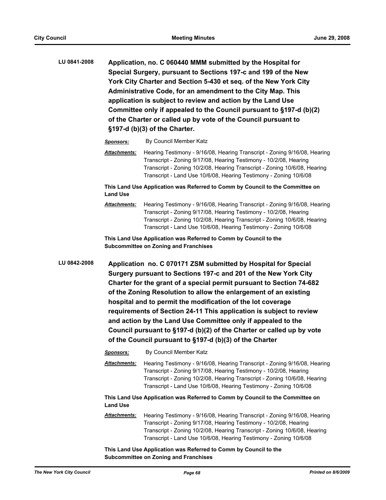**LU 0841-2008 Application, no. C 060440 MMM submitted by the Hospital for Special Surgery, pursuant to Sections 197-c and 199 of the New York City Charter and Section 5-430 et seq. of the New York City Administrative Code, for an amendment to the City Map. This application is subject to review and action by the Land Use Committee only if appealed to the Council pursuant to §197-d (b)(2) of the Charter or called up by vote of the Council pursuant to §197-d (b)(3) of the Charter.**

*Sponsors:* By Council Member Katz

*Attachments:* Hearing Testimony - 9/16/08, Hearing Transcript - Zoning 9/16/08, Hearing Transcript - Zoning 9/17/08, Hearing Testimony - 10/2/08, Hearing Transcript - Zoning 10/2/08, Hearing Transcript - Zoning 10/6/08, Hearing Transcript - Land Use 10/6/08, Hearing Testimony - Zoning 10/6/08

**This Land Use Application was Referred to Comm by Council to the Committee on Land Use**

*Attachments:* Hearing Testimony - 9/16/08, Hearing Transcript - Zoning 9/16/08, Hearing Transcript - Zoning 9/17/08, Hearing Testimony - 10/2/08, Hearing Transcript - Zoning 10/2/08, Hearing Transcript - Zoning 10/6/08, Hearing Transcript - Land Use 10/6/08, Hearing Testimony - Zoning 10/6/08

**This Land Use Application was Referred to Comm by Council to the Subcommittee on Zoning and Franchises**

**LU 0842-2008 Application no. C 070171 ZSM submitted by Hospital for Special Surgery pursuant to Sections 197-c and 201 of the New York City Charter for the grant of a special permit pursuant to Section 74-682 of the Zoning Resolution to allow the enlargement of an existing hospital and to permit the modification of the lot coverage requirements of Section 24-11 This application is subject to review and action by the Land Use Committee only if appealed to the Council pursuant to §197-d (b)(2) of the Charter or called up by vote of the Council pursuant to §197-d (b)(3) of the Charter**

*Sponsors:* By Council Member Katz

*Attachments:* Hearing Testimony - 9/16/08, Hearing Transcript - Zoning 9/16/08, Hearing Transcript - Zoning 9/17/08, Hearing Testimony - 10/2/08, Hearing Transcript - Zoning 10/2/08, Hearing Transcript - Zoning 10/6/08, Hearing Transcript - Land Use 10/6/08, Hearing Testimony - Zoning 10/6/08

**This Land Use Application was Referred to Comm by Council to the Committee on Land Use**

*Attachments:* Hearing Testimony - 9/16/08, Hearing Transcript - Zoning 9/16/08, Hearing Transcript - Zoning 9/17/08, Hearing Testimony - 10/2/08, Hearing Transcript - Zoning 10/2/08, Hearing Transcript - Zoning 10/6/08, Hearing Transcript - Land Use 10/6/08, Hearing Testimony - Zoning 10/6/08